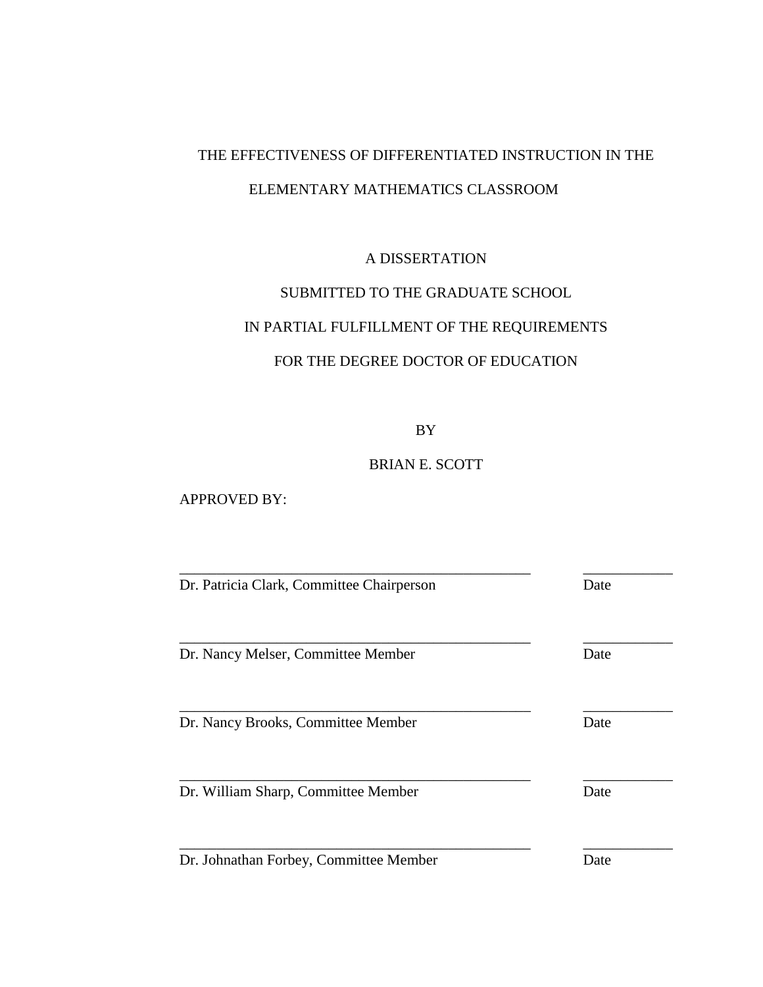# THE EFFECTIVENESS OF DIFFERENTIATED INSTRUCTION IN THE ELEMENTARY MATHEMATICS CLASSROOM

## A DISSERTATION

# SUBMITTED TO THE GRADUATE SCHOOL

# IN PARTIAL FULFILLMENT OF THE REQUIREMENTS

# FOR THE DEGREE DOCTOR OF EDUCATION

BY

# BRIAN E. SCOTT

## APPROVED BY:

| Dr. Patricia Clark, Committee Chairperson | Date |
|-------------------------------------------|------|
| Dr. Nancy Melser, Committee Member        | Date |
| Dr. Nancy Brooks, Committee Member        | Date |
| Dr. William Sharp, Committee Member       | Date |
| Dr. Johnathan Forbey, Committee Member    | Date |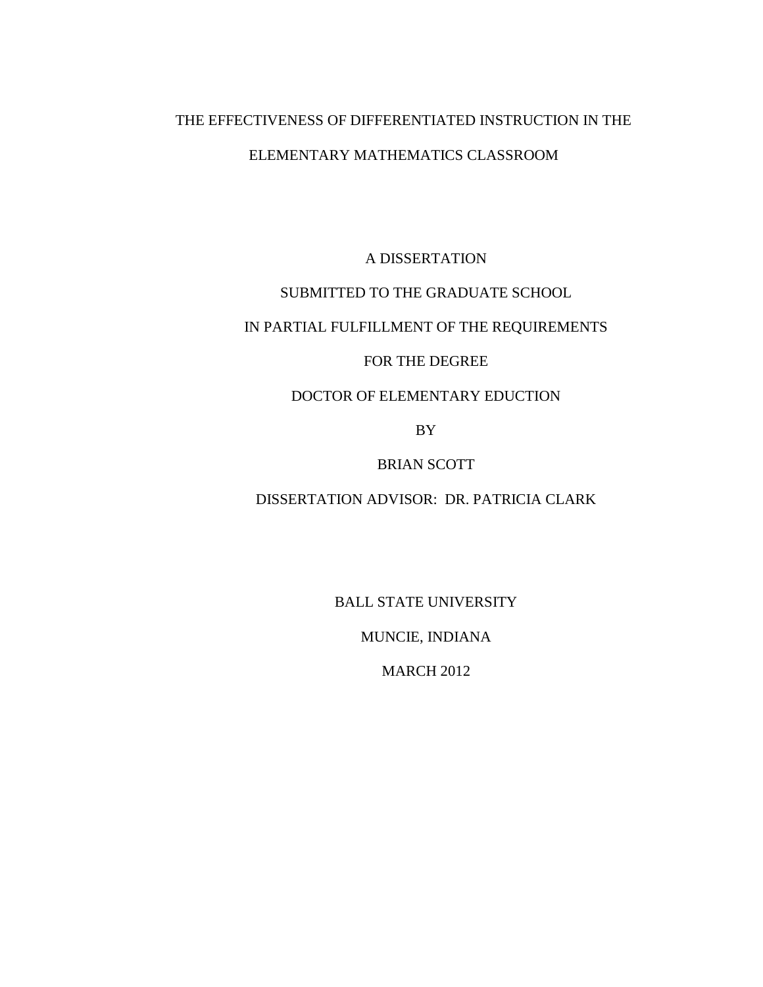# THE EFFECTIVENESS OF DIFFERENTIATED INSTRUCTION IN THE ELEMENTARY MATHEMATICS CLASSROOM

A DISSERTATION

# SUBMITTED TO THE GRADUATE SCHOOL

# IN PARTIAL FULFILLMENT OF THE REQUIREMENTS

## FOR THE DEGREE

## DOCTOR OF ELEMENTARY EDUCTION

BY

## BRIAN SCOTT

# DISSERTATION ADVISOR: DR. PATRICIA CLARK

BALL STATE UNIVERSITY

MUNCIE, INDIANA

MARCH 2012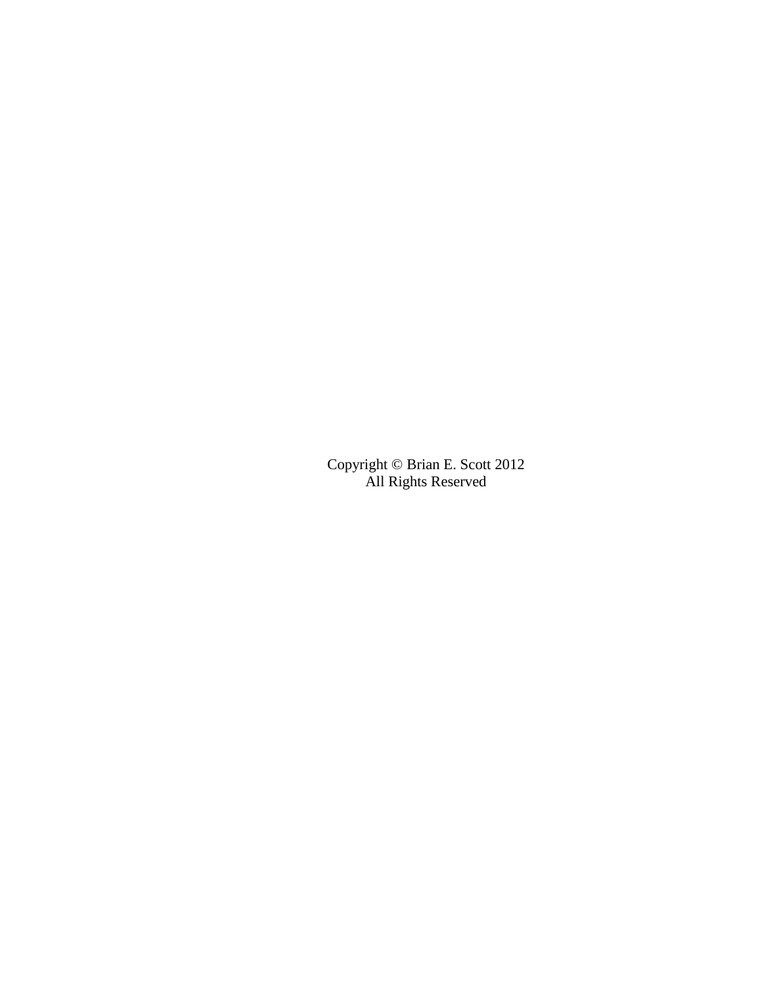Copyright © Brian E. Scott 2012 All Rights Reserved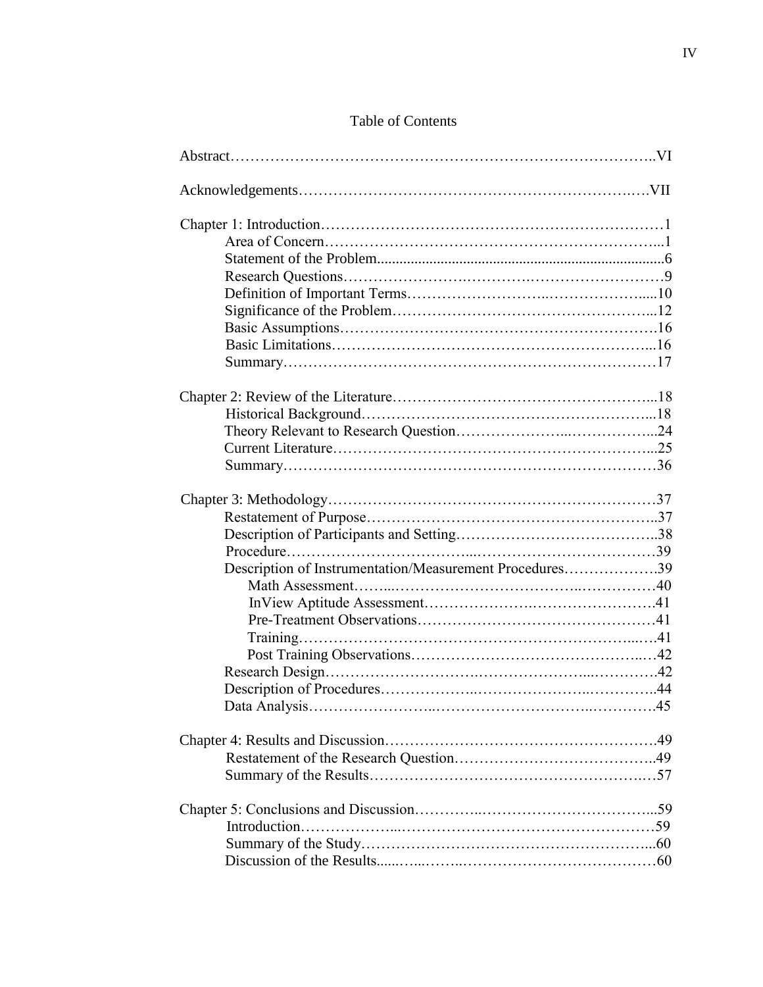| Table of Contents |  |
|-------------------|--|
|-------------------|--|

| Description of Instrumentation/Measurement Procedures39 |  |
|---------------------------------------------------------|--|
|                                                         |  |
|                                                         |  |
|                                                         |  |
|                                                         |  |
|                                                         |  |
|                                                         |  |
|                                                         |  |
|                                                         |  |
|                                                         |  |
|                                                         |  |
|                                                         |  |
|                                                         |  |
|                                                         |  |
|                                                         |  |
|                                                         |  |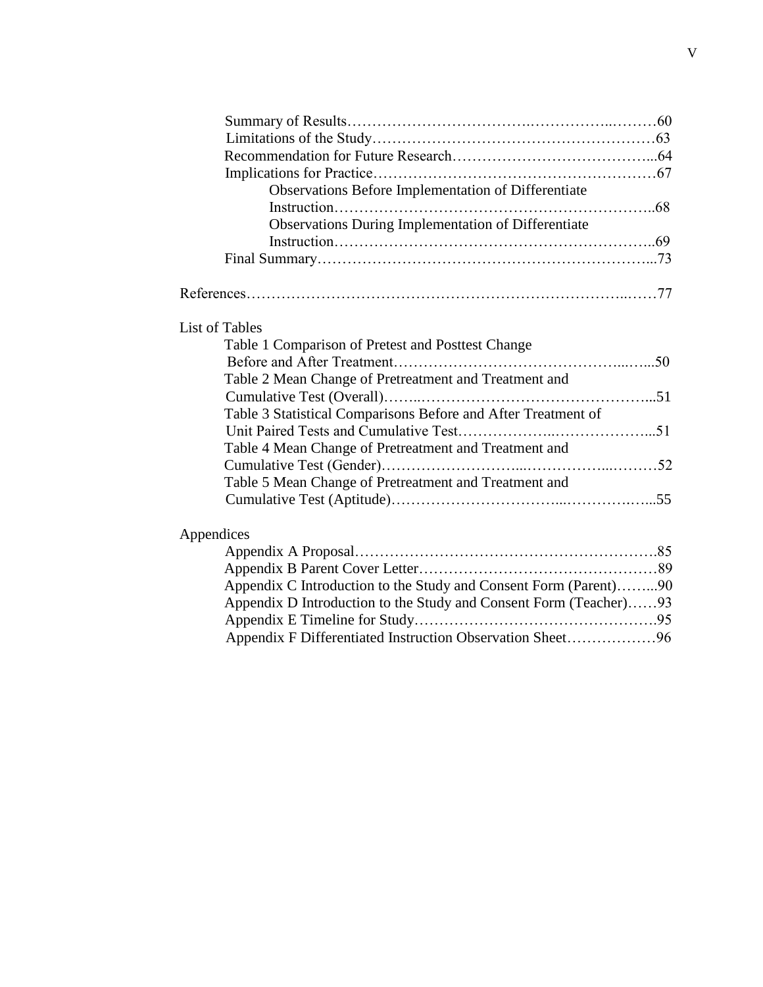| Observations Before Implementation of Differentiate               |  |
|-------------------------------------------------------------------|--|
|                                                                   |  |
| Observations During Implementation of Differentiate               |  |
|                                                                   |  |
|                                                                   |  |
|                                                                   |  |
|                                                                   |  |
| <b>List of Tables</b>                                             |  |
| Table 1 Comparison of Pretest and Posttest Change                 |  |
|                                                                   |  |
| Table 2 Mean Change of Pretreatment and Treatment and             |  |
|                                                                   |  |
| Table 3 Statistical Comparisons Before and After Treatment of     |  |
|                                                                   |  |
| Table 4 Mean Change of Pretreatment and Treatment and             |  |
|                                                                   |  |
| Table 5 Mean Change of Pretreatment and Treatment and             |  |
|                                                                   |  |
| Appendices                                                        |  |
|                                                                   |  |
|                                                                   |  |
| Appendix C Introduction to the Study and Consent Form (Parent)90  |  |
| Appendix D Introduction to the Study and Consent Form (Teacher)93 |  |
|                                                                   |  |
| Appendix F Differentiated Instruction Observation Sheet96         |  |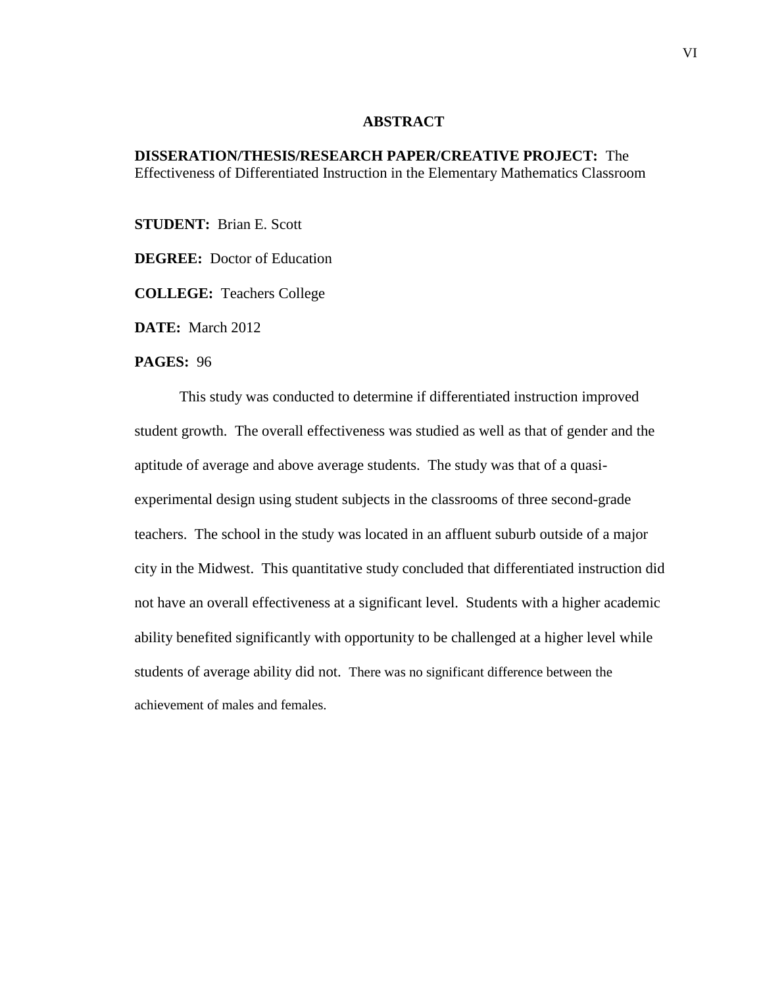#### **ABSTRACT**

## **DISSERATION/THESIS/RESEARCH PAPER/CREATIVE PROJECT:** The Effectiveness of Differentiated Instruction in the Elementary Mathematics Classroom

**STUDENT:** Brian E. Scott

**DEGREE:** Doctor of Education

**COLLEGE:** Teachers College

**DATE:** March 2012

#### **PAGES:** 96

This study was conducted to determine if differentiated instruction improved student growth. The overall effectiveness was studied as well as that of gender and the aptitude of average and above average students. The study was that of a quasiexperimental design using student subjects in the classrooms of three second-grade teachers. The school in the study was located in an affluent suburb outside of a major city in the Midwest. This quantitative study concluded that differentiated instruction did not have an overall effectiveness at a significant level. Students with a higher academic ability benefited significantly with opportunity to be challenged at a higher level while students of average ability did not. There was no significant difference between the achievement of males and females.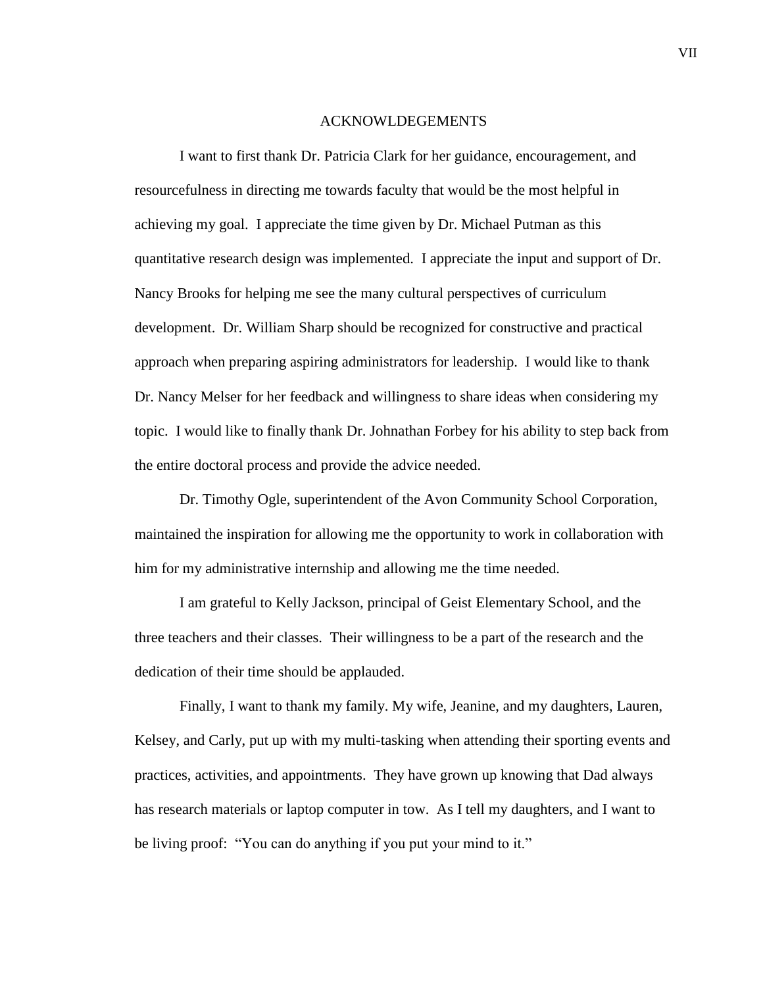#### ACKNOWLDEGEMENTS

I want to first thank Dr. Patricia Clark for her guidance, encouragement, and resourcefulness in directing me towards faculty that would be the most helpful in achieving my goal. I appreciate the time given by Dr. Michael Putman as this quantitative research design was implemented. I appreciate the input and support of Dr. Nancy Brooks for helping me see the many cultural perspectives of curriculum development. Dr. William Sharp should be recognized for constructive and practical approach when preparing aspiring administrators for leadership. I would like to thank Dr. Nancy Melser for her feedback and willingness to share ideas when considering my topic. I would like to finally thank Dr. Johnathan Forbey for his ability to step back from the entire doctoral process and provide the advice needed.

Dr. Timothy Ogle, superintendent of the Avon Community School Corporation, maintained the inspiration for allowing me the opportunity to work in collaboration with him for my administrative internship and allowing me the time needed.

I am grateful to Kelly Jackson, principal of Geist Elementary School, and the three teachers and their classes. Their willingness to be a part of the research and the dedication of their time should be applauded.

Finally, I want to thank my family. My wife, Jeanine, and my daughters, Lauren, Kelsey, and Carly, put up with my multi-tasking when attending their sporting events and practices, activities, and appointments. They have grown up knowing that Dad always has research materials or laptop computer in tow. As I tell my daughters, and I want to be living proof: "You can do anything if you put your mind to it."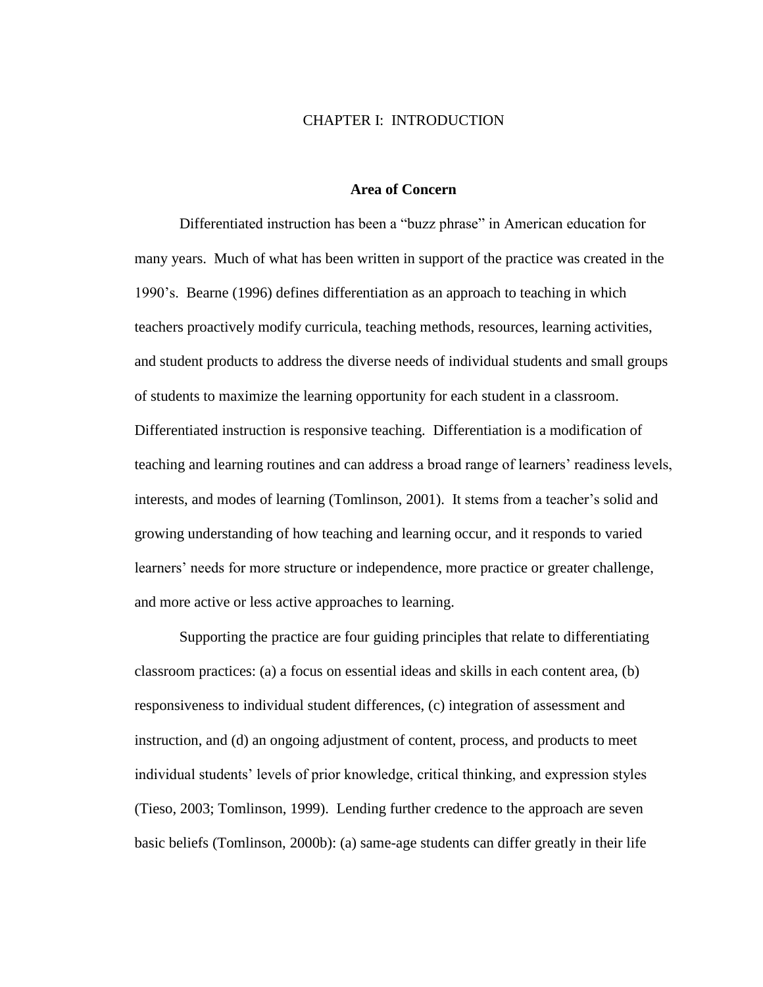## CHAPTER I: INTRODUCTION

## **Area of Concern**

Differentiated instruction has been a "buzz phrase" in American education for many years. Much of what has been written in support of the practice was created in the 1990's. Bearne (1996) defines differentiation as an approach to teaching in which teachers proactively modify curricula, teaching methods, resources, learning activities, and student products to address the diverse needs of individual students and small groups of students to maximize the learning opportunity for each student in a classroom. Differentiated instruction is responsive teaching. Differentiation is a modification of teaching and learning routines and can address a broad range of learners' readiness levels, interests, and modes of learning (Tomlinson, 2001). It stems from a teacher's solid and growing understanding of how teaching and learning occur, and it responds to varied learners' needs for more structure or independence, more practice or greater challenge, and more active or less active approaches to learning.

Supporting the practice are four guiding principles that relate to differentiating classroom practices: (a) a focus on essential ideas and skills in each content area, (b) responsiveness to individual student differences, (c) integration of assessment and instruction, and (d) an ongoing adjustment of content, process, and products to meet individual students' levels of prior knowledge, critical thinking, and expression styles (Tieso, 2003; Tomlinson, 1999). Lending further credence to the approach are seven basic beliefs (Tomlinson, 2000b): (a) same-age students can differ greatly in their life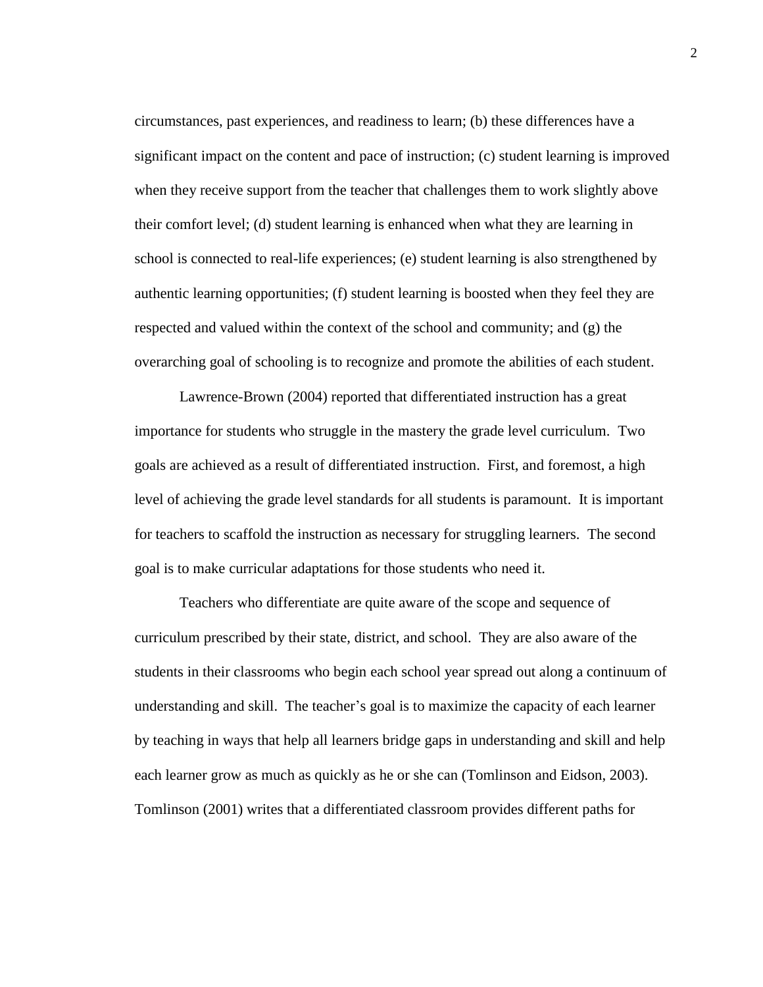circumstances, past experiences, and readiness to learn; (b) these differences have a significant impact on the content and pace of instruction; (c) student learning is improved when they receive support from the teacher that challenges them to work slightly above their comfort level; (d) student learning is enhanced when what they are learning in school is connected to real-life experiences; (e) student learning is also strengthened by authentic learning opportunities; (f) student learning is boosted when they feel they are respected and valued within the context of the school and community; and (g) the overarching goal of schooling is to recognize and promote the abilities of each student.

Lawrence-Brown (2004) reported that differentiated instruction has a great importance for students who struggle in the mastery the grade level curriculum. Two goals are achieved as a result of differentiated instruction. First, and foremost, a high level of achieving the grade level standards for all students is paramount. It is important for teachers to scaffold the instruction as necessary for struggling learners. The second goal is to make curricular adaptations for those students who need it.

Teachers who differentiate are quite aware of the scope and sequence of curriculum prescribed by their state, district, and school. They are also aware of the students in their classrooms who begin each school year spread out along a continuum of understanding and skill. The teacher's goal is to maximize the capacity of each learner by teaching in ways that help all learners bridge gaps in understanding and skill and help each learner grow as much as quickly as he or she can (Tomlinson and Eidson, 2003). Tomlinson (2001) writes that a differentiated classroom provides different paths for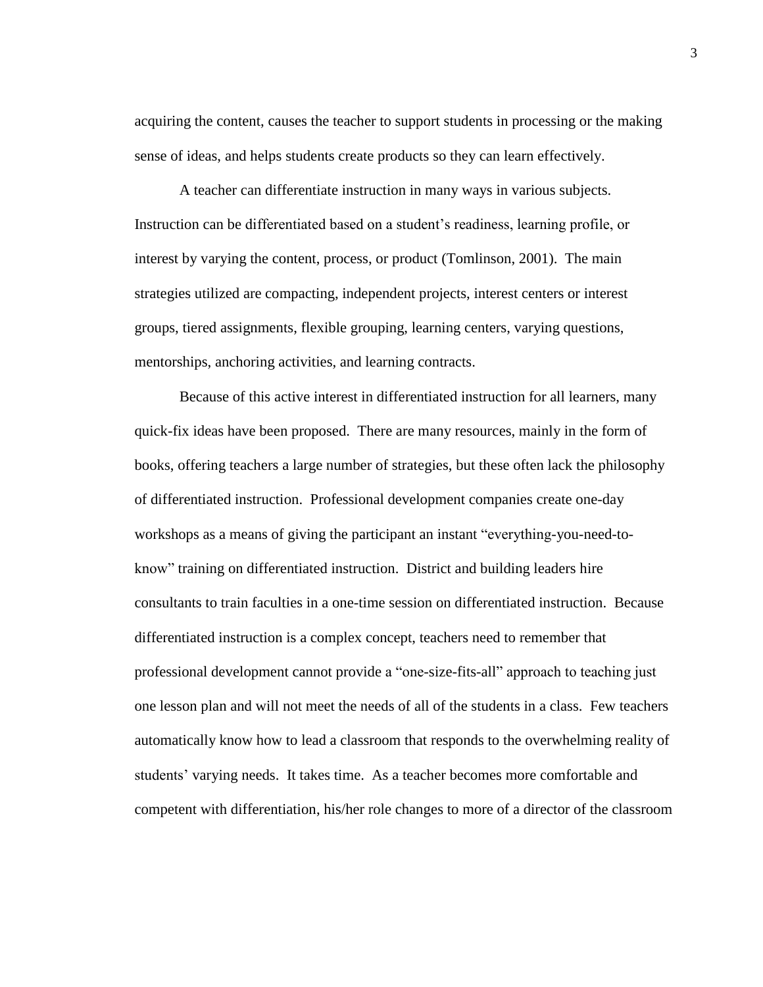acquiring the content, causes the teacher to support students in processing or the making sense of ideas, and helps students create products so they can learn effectively.

A teacher can differentiate instruction in many ways in various subjects. Instruction can be differentiated based on a student's readiness, learning profile, or interest by varying the content, process, or product (Tomlinson, 2001). The main strategies utilized are compacting, independent projects, interest centers or interest groups, tiered assignments, flexible grouping, learning centers, varying questions, mentorships, anchoring activities, and learning contracts.

Because of this active interest in differentiated instruction for all learners, many quick-fix ideas have been proposed. There are many resources, mainly in the form of books, offering teachers a large number of strategies, but these often lack the philosophy of differentiated instruction. Professional development companies create one-day workshops as a means of giving the participant an instant "everything-you-need-toknow" training on differentiated instruction. District and building leaders hire consultants to train faculties in a one-time session on differentiated instruction. Because differentiated instruction is a complex concept, teachers need to remember that professional development cannot provide a "one-size-fits-all" approach to teaching just one lesson plan and will not meet the needs of all of the students in a class. Few teachers automatically know how to lead a classroom that responds to the overwhelming reality of students' varying needs. It takes time. As a teacher becomes more comfortable and competent with differentiation, his/her role changes to more of a director of the classroom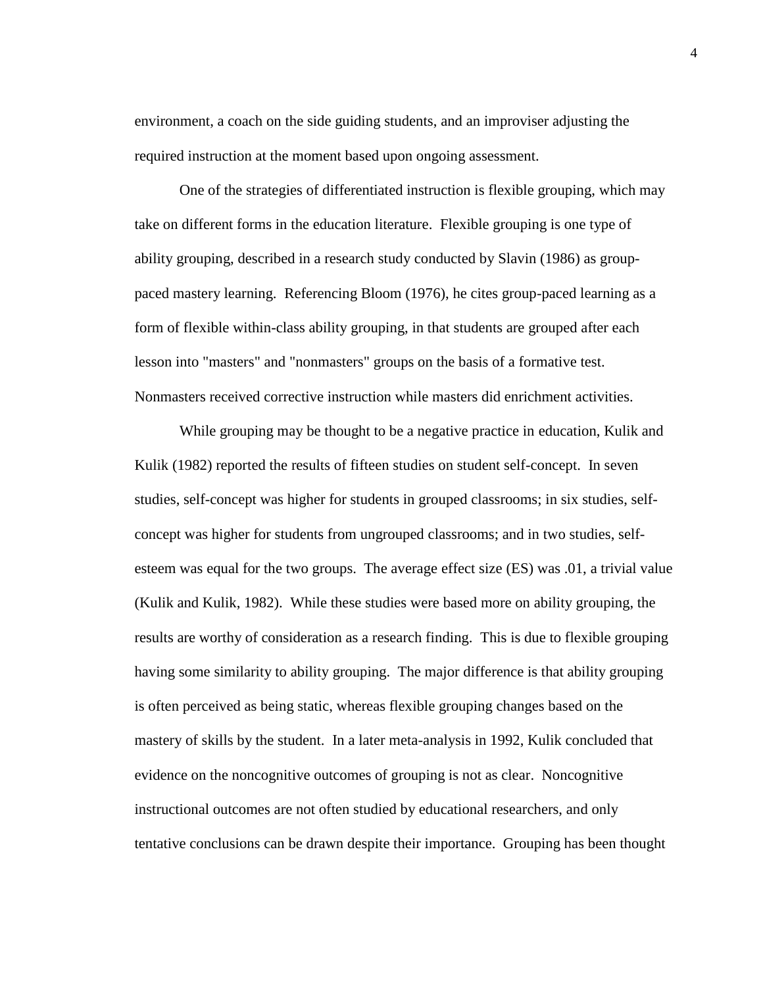environment, a coach on the side guiding students, and an improviser adjusting the required instruction at the moment based upon ongoing assessment.

One of the strategies of differentiated instruction is flexible grouping, which may take on different forms in the education literature. Flexible grouping is one type of ability grouping, described in a research study conducted by Slavin (1986) as grouppaced mastery learning. Referencing Bloom (1976), he cites group-paced learning as a form of flexible within-class ability grouping, in that students are grouped after each lesson into "masters" and "nonmasters" groups on the basis of a formative test. Nonmasters received corrective instruction while masters did enrichment activities.

While grouping may be thought to be a negative practice in education, Kulik and Kulik (1982) reported the results of fifteen studies on student self-concept. In seven studies, self-concept was higher for students in grouped classrooms; in six studies, selfconcept was higher for students from ungrouped classrooms; and in two studies, selfesteem was equal for the two groups. The average effect size (ES) was .01, a trivial value (Kulik and Kulik, 1982). While these studies were based more on ability grouping, the results are worthy of consideration as a research finding. This is due to flexible grouping having some similarity to ability grouping. The major difference is that ability grouping is often perceived as being static, whereas flexible grouping changes based on the mastery of skills by the student. In a later meta-analysis in 1992, Kulik concluded that evidence on the noncognitive outcomes of grouping is not as clear. Noncognitive instructional outcomes are not often studied by educational researchers, and only tentative conclusions can be drawn despite their importance. Grouping has been thought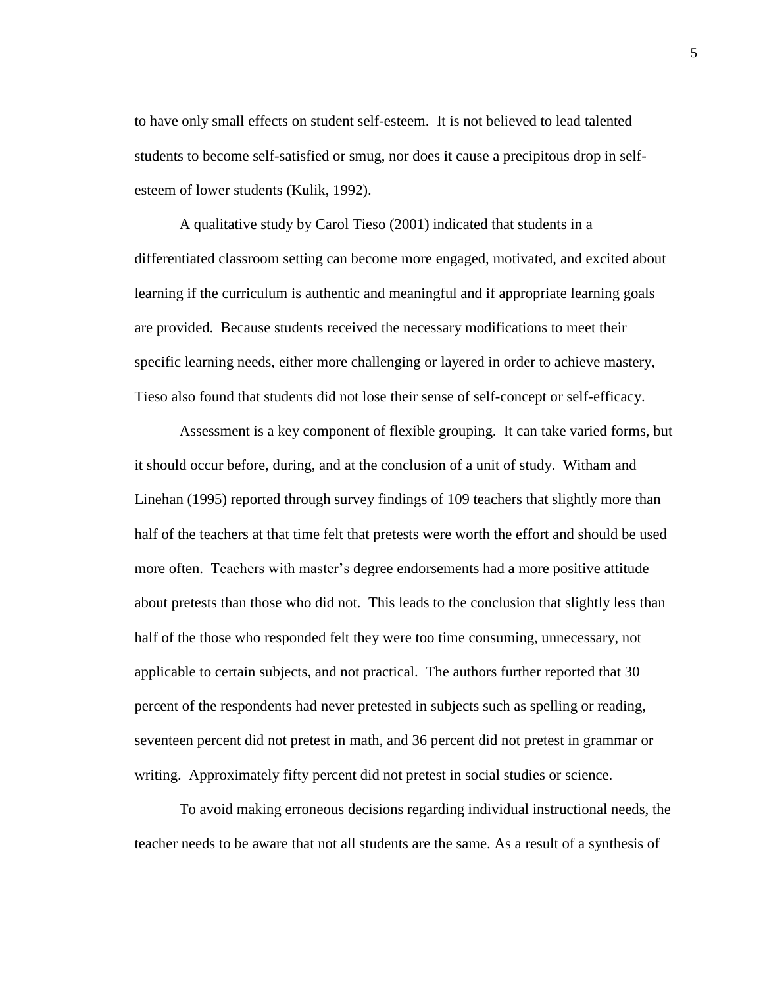to have only small effects on student self-esteem. It is not believed to lead talented students to become self-satisfied or smug, nor does it cause a precipitous drop in selfesteem of lower students (Kulik, 1992).

A qualitative study by Carol Tieso (2001) indicated that students in a differentiated classroom setting can become more engaged, motivated, and excited about learning if the curriculum is authentic and meaningful and if appropriate learning goals are provided. Because students received the necessary modifications to meet their specific learning needs, either more challenging or layered in order to achieve mastery, Tieso also found that students did not lose their sense of self-concept or self-efficacy.

Assessment is a key component of flexible grouping. It can take varied forms, but it should occur before, during, and at the conclusion of a unit of study. Witham and Linehan (1995) reported through survey findings of 109 teachers that slightly more than half of the teachers at that time felt that pretests were worth the effort and should be used more often. Teachers with master's degree endorsements had a more positive attitude about pretests than those who did not. This leads to the conclusion that slightly less than half of the those who responded felt they were too time consuming, unnecessary, not applicable to certain subjects, and not practical. The authors further reported that 30 percent of the respondents had never pretested in subjects such as spelling or reading, seventeen percent did not pretest in math, and 36 percent did not pretest in grammar or writing. Approximately fifty percent did not pretest in social studies or science.

To avoid making erroneous decisions regarding individual instructional needs, the teacher needs to be aware that not all students are the same. As a result of a synthesis of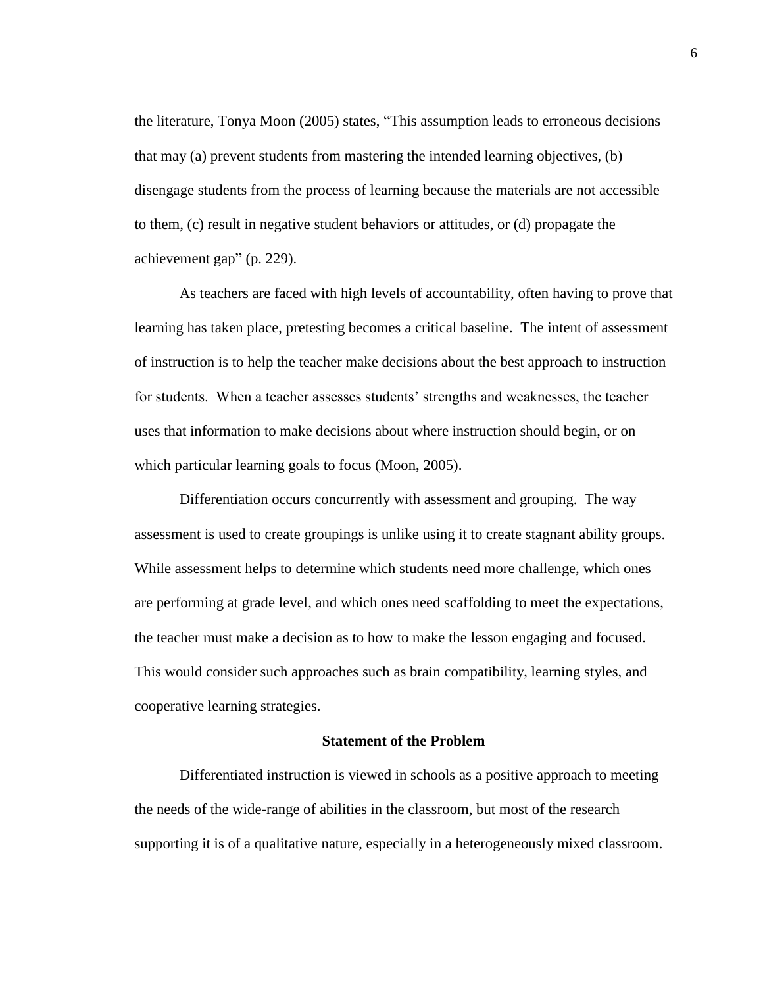the literature, Tonya Moon (2005) states, "This assumption leads to erroneous decisions that may (a) prevent students from mastering the intended learning objectives, (b) disengage students from the process of learning because the materials are not accessible to them, (c) result in negative student behaviors or attitudes, or (d) propagate the achievement gap" (p. 229).

As teachers are faced with high levels of accountability, often having to prove that learning has taken place, pretesting becomes a critical baseline. The intent of assessment of instruction is to help the teacher make decisions about the best approach to instruction for students. When a teacher assesses students' strengths and weaknesses, the teacher uses that information to make decisions about where instruction should begin, or on which particular learning goals to focus (Moon, 2005).

Differentiation occurs concurrently with assessment and grouping. The way assessment is used to create groupings is unlike using it to create stagnant ability groups. While assessment helps to determine which students need more challenge, which ones are performing at grade level, and which ones need scaffolding to meet the expectations, the teacher must make a decision as to how to make the lesson engaging and focused. This would consider such approaches such as brain compatibility, learning styles, and cooperative learning strategies.

## **Statement of the Problem**

Differentiated instruction is viewed in schools as a positive approach to meeting the needs of the wide-range of abilities in the classroom, but most of the research supporting it is of a qualitative nature, especially in a heterogeneously mixed classroom.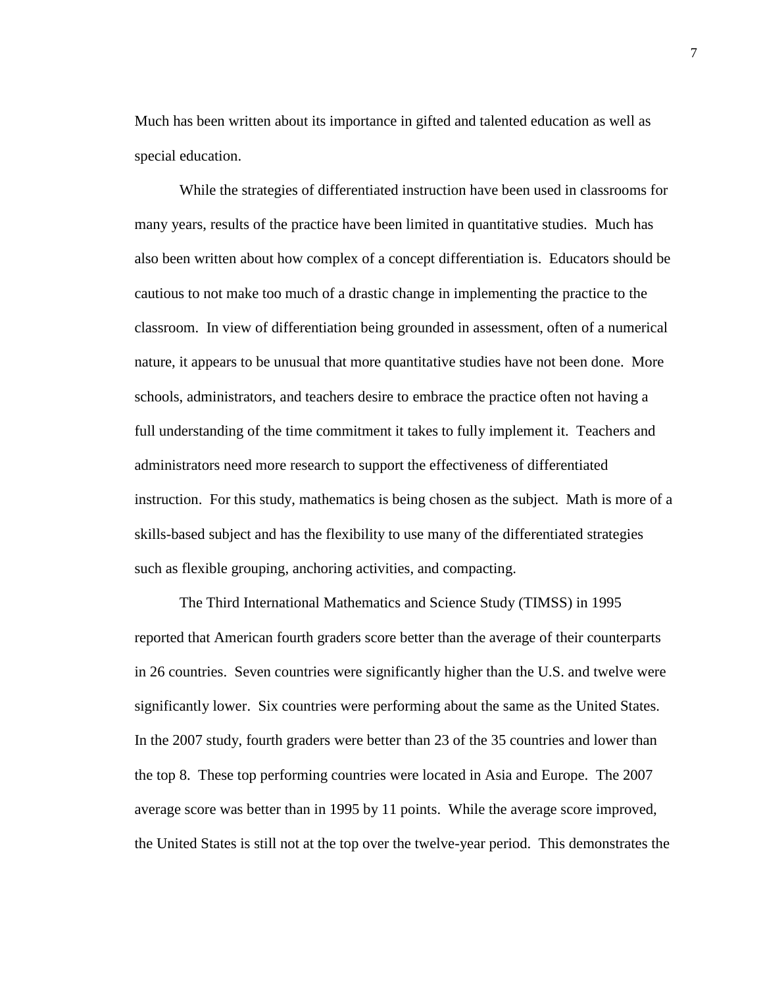Much has been written about its importance in gifted and talented education as well as special education.

While the strategies of differentiated instruction have been used in classrooms for many years, results of the practice have been limited in quantitative studies. Much has also been written about how complex of a concept differentiation is. Educators should be cautious to not make too much of a drastic change in implementing the practice to the classroom. In view of differentiation being grounded in assessment, often of a numerical nature, it appears to be unusual that more quantitative studies have not been done. More schools, administrators, and teachers desire to embrace the practice often not having a full understanding of the time commitment it takes to fully implement it. Teachers and administrators need more research to support the effectiveness of differentiated instruction. For this study, mathematics is being chosen as the subject. Math is more of a skills-based subject and has the flexibility to use many of the differentiated strategies such as flexible grouping, anchoring activities, and compacting.

The Third International Mathematics and Science Study (TIMSS) in 1995 reported that American fourth graders score better than the average of their counterparts in 26 countries. Seven countries were significantly higher than the U.S. and twelve were significantly lower. Six countries were performing about the same as the United States. In the 2007 study, fourth graders were better than 23 of the 35 countries and lower than the top 8. These top performing countries were located in Asia and Europe. The 2007 average score was better than in 1995 by 11 points. While the average score improved, the United States is still not at the top over the twelve-year period. This demonstrates the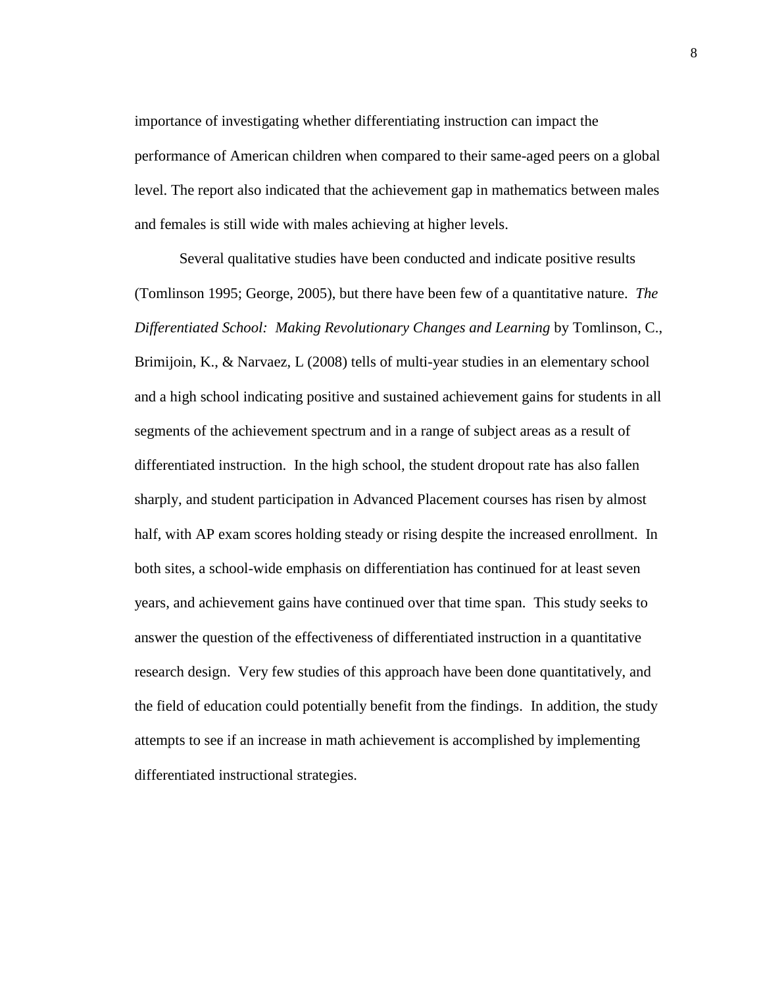importance of investigating whether differentiating instruction can impact the performance of American children when compared to their same-aged peers on a global level. The report also indicated that the achievement gap in mathematics between males and females is still wide with males achieving at higher levels.

Several qualitative studies have been conducted and indicate positive results (Tomlinson 1995; George, 2005), but there have been few of a quantitative nature. *The Differentiated School: Making Revolutionary Changes and Learning* by Tomlinson, C., Brimijoin, K., & Narvaez, L (2008) tells of multi-year studies in an elementary school and a high school indicating positive and sustained achievement gains for students in all segments of the achievement spectrum and in a range of subject areas as a result of differentiated instruction. In the high school, the student dropout rate has also fallen sharply, and student participation in Advanced Placement courses has risen by almost half, with AP exam scores holding steady or rising despite the increased enrollment. In both sites, a school-wide emphasis on differentiation has continued for at least seven years, and achievement gains have continued over that time span. This study seeks to answer the question of the effectiveness of differentiated instruction in a quantitative research design. Very few studies of this approach have been done quantitatively, and the field of education could potentially benefit from the findings. In addition, the study attempts to see if an increase in math achievement is accomplished by implementing differentiated instructional strategies.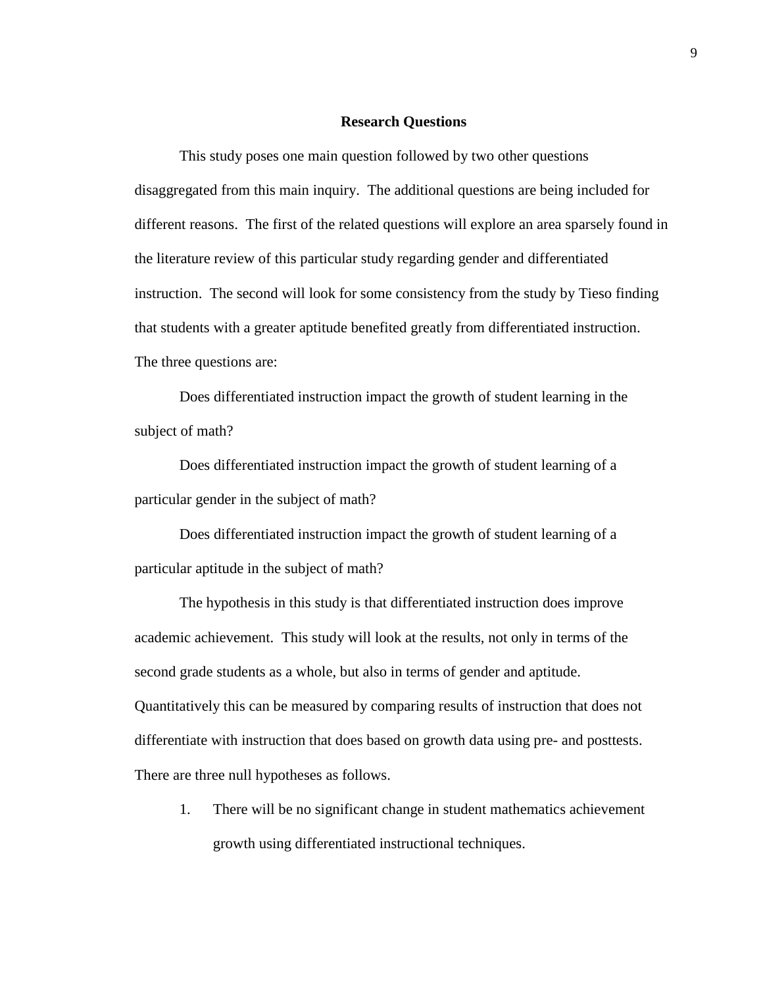#### **Research Questions**

This study poses one main question followed by two other questions disaggregated from this main inquiry. The additional questions are being included for different reasons. The first of the related questions will explore an area sparsely found in the literature review of this particular study regarding gender and differentiated instruction. The second will look for some consistency from the study by Tieso finding that students with a greater aptitude benefited greatly from differentiated instruction. The three questions are:

Does differentiated instruction impact the growth of student learning in the subject of math?

Does differentiated instruction impact the growth of student learning of a particular gender in the subject of math?

Does differentiated instruction impact the growth of student learning of a particular aptitude in the subject of math?

The hypothesis in this study is that differentiated instruction does improve academic achievement. This study will look at the results, not only in terms of the second grade students as a whole, but also in terms of gender and aptitude. Quantitatively this can be measured by comparing results of instruction that does not differentiate with instruction that does based on growth data using pre- and posttests. There are three null hypotheses as follows.

1. There will be no significant change in student mathematics achievement growth using differentiated instructional techniques.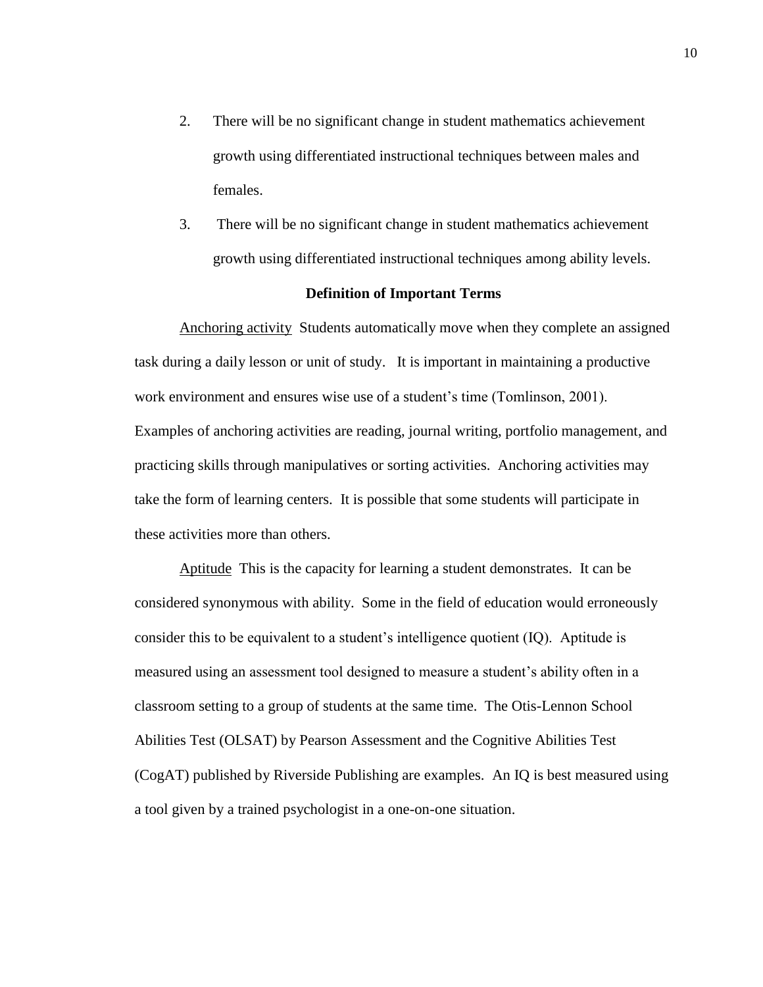- 2. There will be no significant change in student mathematics achievement growth using differentiated instructional techniques between males and females.
- 3. There will be no significant change in student mathematics achievement growth using differentiated instructional techniques among ability levels.

## **Definition of Important Terms**

Anchoring activity Students automatically move when they complete an assigned task during a daily lesson or unit of study. It is important in maintaining a productive work environment and ensures wise use of a student's time (Tomlinson, 2001). Examples of anchoring activities are reading, journal writing, portfolio management, and practicing skills through manipulatives or sorting activities. Anchoring activities may take the form of learning centers. It is possible that some students will participate in these activities more than others.

Aptitude This is the capacity for learning a student demonstrates. It can be considered synonymous with ability. Some in the field of education would erroneously consider this to be equivalent to a student's intelligence quotient (IQ). Aptitude is measured using an assessment tool designed to measure a student's ability often in a classroom setting to a group of students at the same time. The Otis-Lennon School Abilities Test (OLSAT) by Pearson Assessment and the Cognitive Abilities Test (CogAT) published by Riverside Publishing are examples. An IQ is best measured using a tool given by a trained psychologist in a one-on-one situation.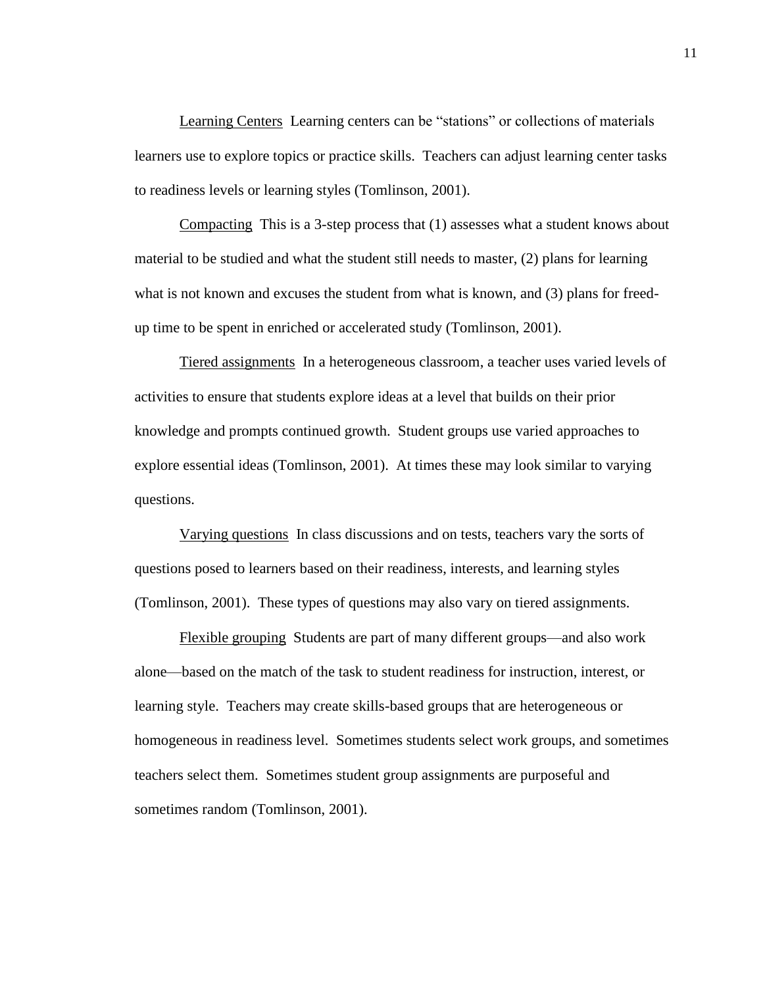Learning Centers Learning centers can be "stations" or collections of materials learners use to explore topics or practice skills. Teachers can adjust learning center tasks to readiness levels or learning styles (Tomlinson, 2001).

Compacting This is a 3-step process that (1) assesses what a student knows about material to be studied and what the student still needs to master, (2) plans for learning what is not known and excuses the student from what is known, and (3) plans for freedup time to be spent in enriched or accelerated study (Tomlinson, 2001).

Tiered assignments In a heterogeneous classroom, a teacher uses varied levels of activities to ensure that students explore ideas at a level that builds on their prior knowledge and prompts continued growth. Student groups use varied approaches to explore essential ideas (Tomlinson, 2001). At times these may look similar to varying questions.

Varying questions In class discussions and on tests, teachers vary the sorts of questions posed to learners based on their readiness, interests, and learning styles (Tomlinson, 2001). These types of questions may also vary on tiered assignments.

Flexible grouping Students are part of many different groups—and also work alone—based on the match of the task to student readiness for instruction, interest, or learning style. Teachers may create skills-based groups that are heterogeneous or homogeneous in readiness level. Sometimes students select work groups, and sometimes teachers select them. Sometimes student group assignments are purposeful and sometimes random (Tomlinson, 2001).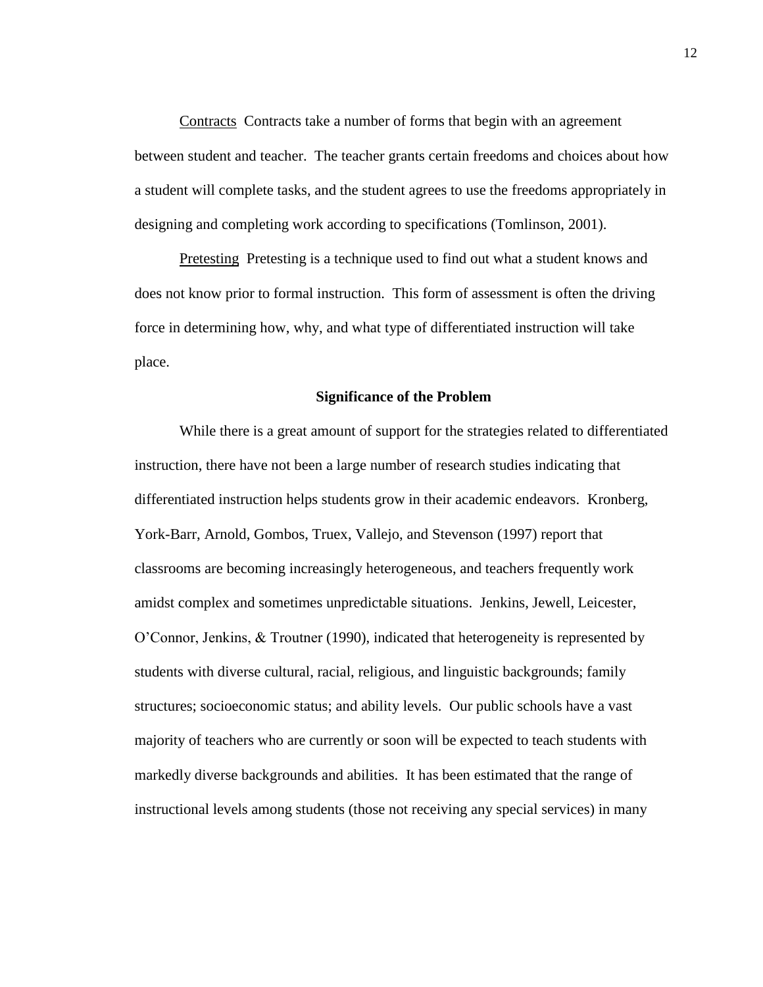Contracts Contracts take a number of forms that begin with an agreement between student and teacher. The teacher grants certain freedoms and choices about how a student will complete tasks, and the student agrees to use the freedoms appropriately in designing and completing work according to specifications (Tomlinson, 2001).

Pretesting Pretesting is a technique used to find out what a student knows and does not know prior to formal instruction. This form of assessment is often the driving force in determining how, why, and what type of differentiated instruction will take place.

## **Significance of the Problem**

While there is a great amount of support for the strategies related to differentiated instruction, there have not been a large number of research studies indicating that differentiated instruction helps students grow in their academic endeavors. Kronberg, York-Barr, Arnold, Gombos, Truex, Vallejo, and Stevenson (1997) report that classrooms are becoming increasingly heterogeneous, and teachers frequently work amidst complex and sometimes unpredictable situations. Jenkins, Jewell, Leicester, O'Connor, Jenkins, & Troutner (1990), indicated that heterogeneity is represented by students with diverse cultural, racial, religious, and linguistic backgrounds; family structures; socioeconomic status; and ability levels. Our public schools have a vast majority of teachers who are currently or soon will be expected to teach students with markedly diverse backgrounds and abilities. It has been estimated that the range of instructional levels among students (those not receiving any special services) in many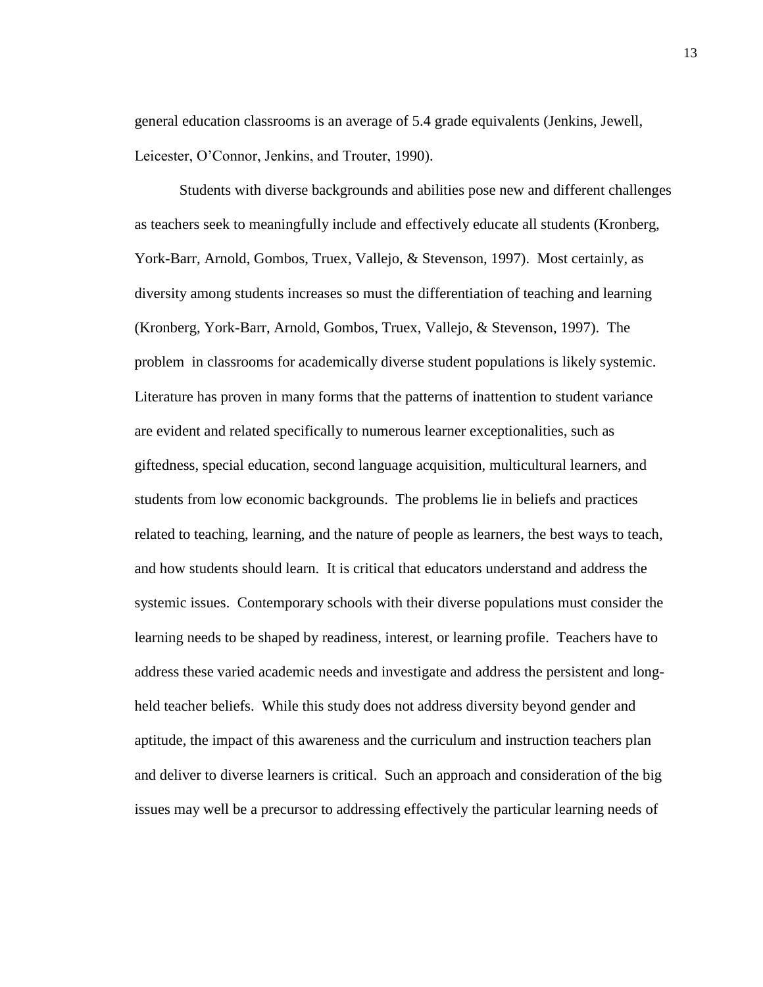general education classrooms is an average of 5.4 grade equivalents (Jenkins, Jewell, Leicester, O'Connor, Jenkins, and Trouter, 1990).

Students with diverse backgrounds and abilities pose new and different challenges as teachers seek to meaningfully include and effectively educate all students (Kronberg, York-Barr, Arnold, Gombos, Truex, Vallejo, & Stevenson, 1997). Most certainly, as diversity among students increases so must the differentiation of teaching and learning (Kronberg, York-Barr, Arnold, Gombos, Truex, Vallejo, & Stevenson, 1997). The problem in classrooms for academically diverse student populations is likely systemic. Literature has proven in many forms that the patterns of inattention to student variance are evident and related specifically to numerous learner exceptionalities, such as giftedness, special education, second language acquisition, multicultural learners, and students from low economic backgrounds. The problems lie in beliefs and practices related to teaching, learning, and the nature of people as learners, the best ways to teach, and how students should learn. It is critical that educators understand and address the systemic issues. Contemporary schools with their diverse populations must consider the learning needs to be shaped by readiness, interest, or learning profile. Teachers have to address these varied academic needs and investigate and address the persistent and longheld teacher beliefs. While this study does not address diversity beyond gender and aptitude, the impact of this awareness and the curriculum and instruction teachers plan and deliver to diverse learners is critical. Such an approach and consideration of the big issues may well be a precursor to addressing effectively the particular learning needs of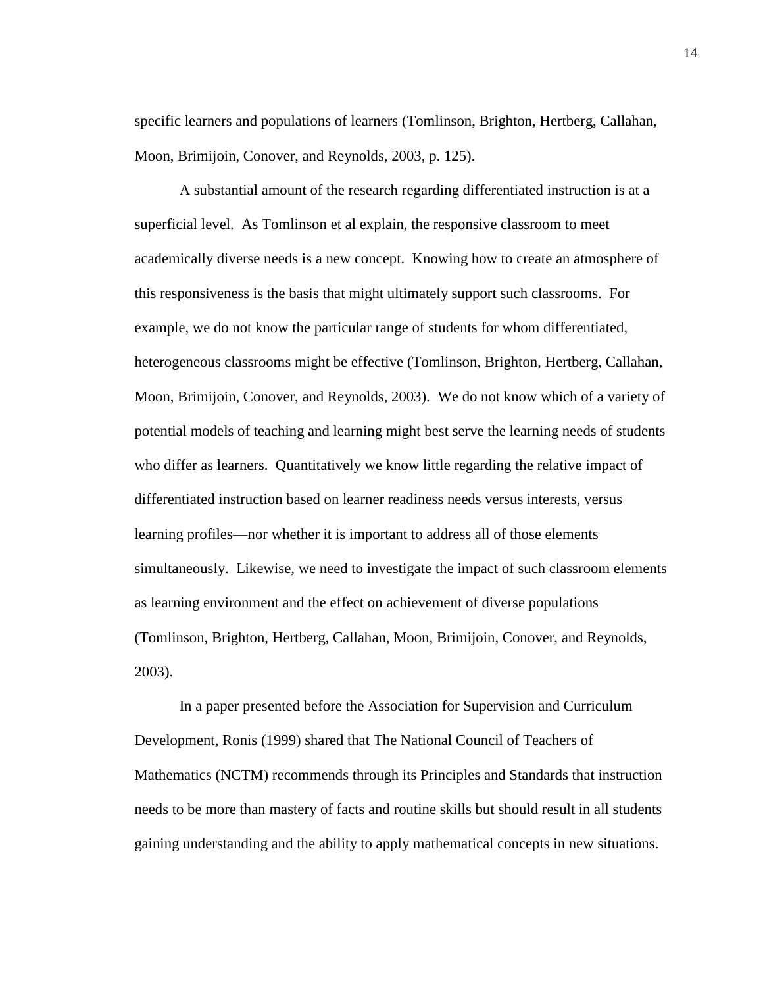specific learners and populations of learners (Tomlinson, Brighton, Hertberg, Callahan, Moon, Brimijoin, Conover, and Reynolds, 2003, p. 125).

A substantial amount of the research regarding differentiated instruction is at a superficial level. As Tomlinson et al explain, the responsive classroom to meet academically diverse needs is a new concept. Knowing how to create an atmosphere of this responsiveness is the basis that might ultimately support such classrooms. For example, we do not know the particular range of students for whom differentiated, heterogeneous classrooms might be effective (Tomlinson, Brighton, Hertberg, Callahan, Moon, Brimijoin, Conover, and Reynolds, 2003). We do not know which of a variety of potential models of teaching and learning might best serve the learning needs of students who differ as learners. Quantitatively we know little regarding the relative impact of differentiated instruction based on learner readiness needs versus interests, versus learning profiles—nor whether it is important to address all of those elements simultaneously. Likewise, we need to investigate the impact of such classroom elements as learning environment and the effect on achievement of diverse populations (Tomlinson, Brighton, Hertberg, Callahan, Moon, Brimijoin, Conover, and Reynolds, 2003).

In a paper presented before the Association for Supervision and Curriculum Development, Ronis (1999) shared that The National Council of Teachers of Mathematics (NCTM) recommends through its Principles and Standards that instruction needs to be more than mastery of facts and routine skills but should result in all students gaining understanding and the ability to apply mathematical concepts in new situations.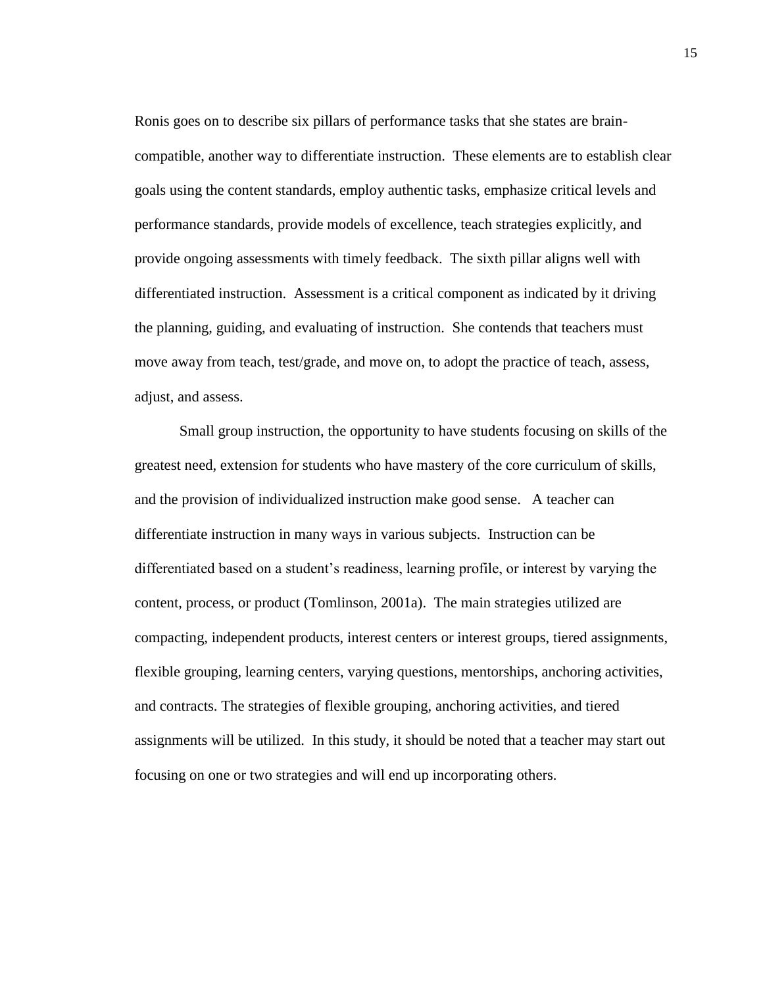Ronis goes on to describe six pillars of performance tasks that she states are braincompatible, another way to differentiate instruction. These elements are to establish clear goals using the content standards, employ authentic tasks, emphasize critical levels and performance standards, provide models of excellence, teach strategies explicitly, and provide ongoing assessments with timely feedback. The sixth pillar aligns well with differentiated instruction. Assessment is a critical component as indicated by it driving the planning, guiding, and evaluating of instruction. She contends that teachers must move away from teach, test/grade, and move on, to adopt the practice of teach, assess, adjust, and assess.

Small group instruction, the opportunity to have students focusing on skills of the greatest need, extension for students who have mastery of the core curriculum of skills, and the provision of individualized instruction make good sense. A teacher can differentiate instruction in many ways in various subjects. Instruction can be differentiated based on a student's readiness, learning profile, or interest by varying the content, process, or product (Tomlinson, 2001a). The main strategies utilized are compacting, independent products, interest centers or interest groups, tiered assignments, flexible grouping, learning centers, varying questions, mentorships, anchoring activities, and contracts. The strategies of flexible grouping, anchoring activities, and tiered assignments will be utilized. In this study, it should be noted that a teacher may start out focusing on one or two strategies and will end up incorporating others.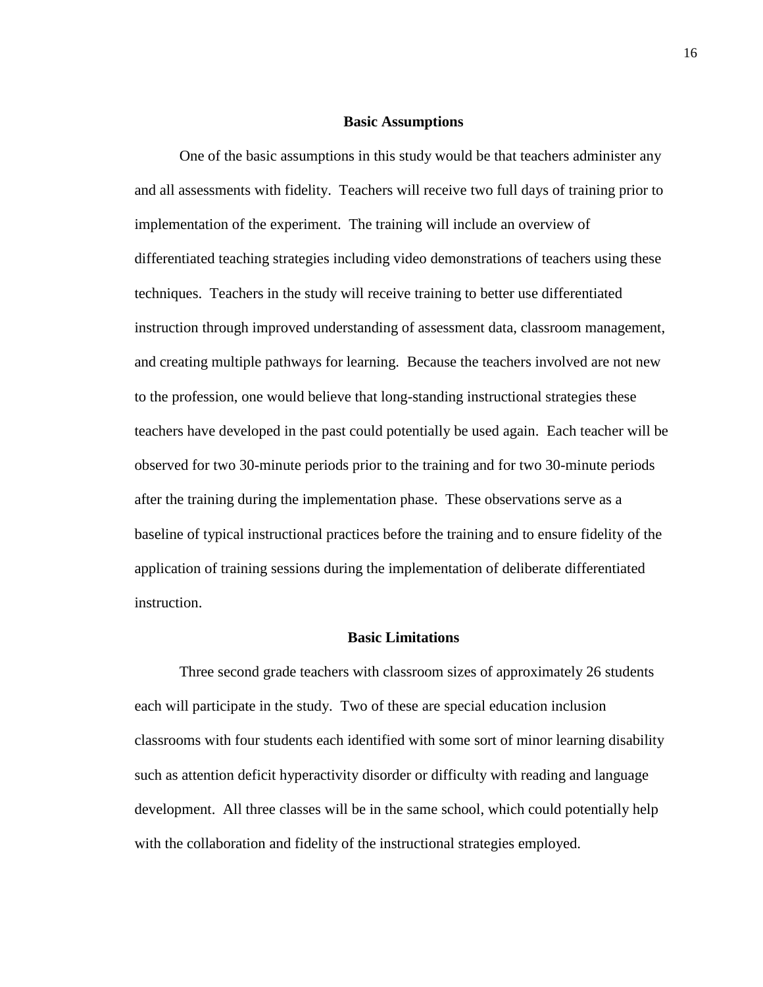#### **Basic Assumptions**

One of the basic assumptions in this study would be that teachers administer any and all assessments with fidelity. Teachers will receive two full days of training prior to implementation of the experiment. The training will include an overview of differentiated teaching strategies including video demonstrations of teachers using these techniques. Teachers in the study will receive training to better use differentiated instruction through improved understanding of assessment data, classroom management, and creating multiple pathways for learning. Because the teachers involved are not new to the profession, one would believe that long-standing instructional strategies these teachers have developed in the past could potentially be used again. Each teacher will be observed for two 30-minute periods prior to the training and for two 30-minute periods after the training during the implementation phase. These observations serve as a baseline of typical instructional practices before the training and to ensure fidelity of the application of training sessions during the implementation of deliberate differentiated instruction.

## **Basic Limitations**

Three second grade teachers with classroom sizes of approximately 26 students each will participate in the study. Two of these are special education inclusion classrooms with four students each identified with some sort of minor learning disability such as attention deficit hyperactivity disorder or difficulty with reading and language development. All three classes will be in the same school, which could potentially help with the collaboration and fidelity of the instructional strategies employed.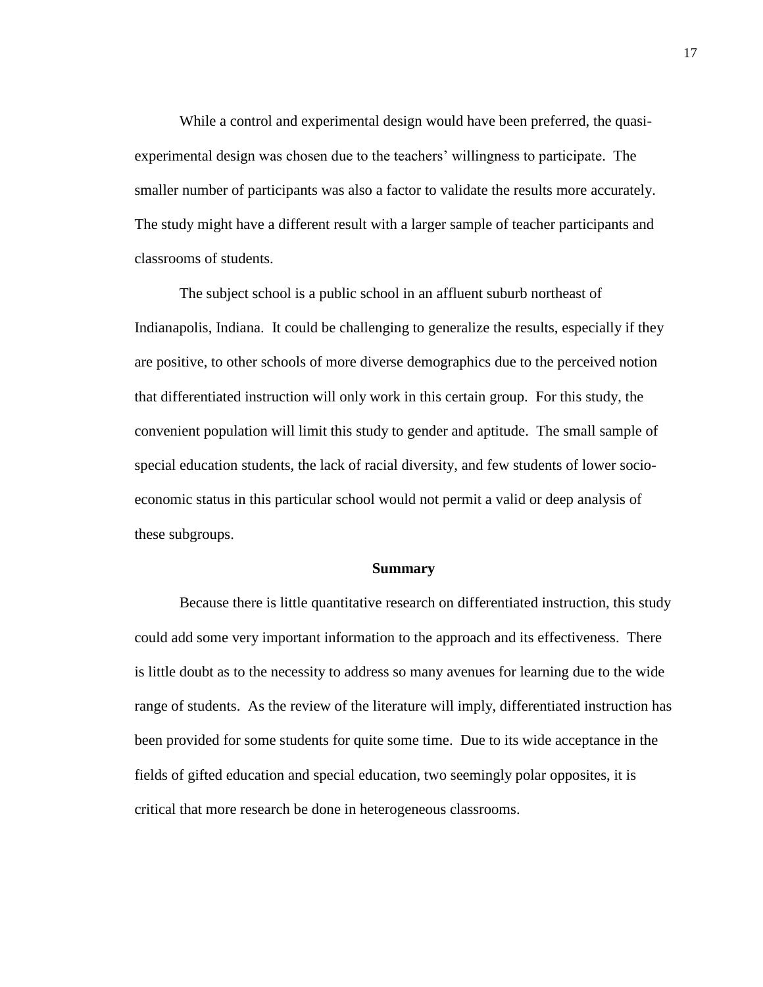While a control and experimental design would have been preferred, the quasiexperimental design was chosen due to the teachers' willingness to participate. The smaller number of participants was also a factor to validate the results more accurately. The study might have a different result with a larger sample of teacher participants and classrooms of students.

The subject school is a public school in an affluent suburb northeast of Indianapolis, Indiana. It could be challenging to generalize the results, especially if they are positive, to other schools of more diverse demographics due to the perceived notion that differentiated instruction will only work in this certain group. For this study, the convenient population will limit this study to gender and aptitude. The small sample of special education students, the lack of racial diversity, and few students of lower socioeconomic status in this particular school would not permit a valid or deep analysis of these subgroups.

#### **Summary**

Because there is little quantitative research on differentiated instruction, this study could add some very important information to the approach and its effectiveness. There is little doubt as to the necessity to address so many avenues for learning due to the wide range of students. As the review of the literature will imply, differentiated instruction has been provided for some students for quite some time. Due to its wide acceptance in the fields of gifted education and special education, two seemingly polar opposites, it is critical that more research be done in heterogeneous classrooms.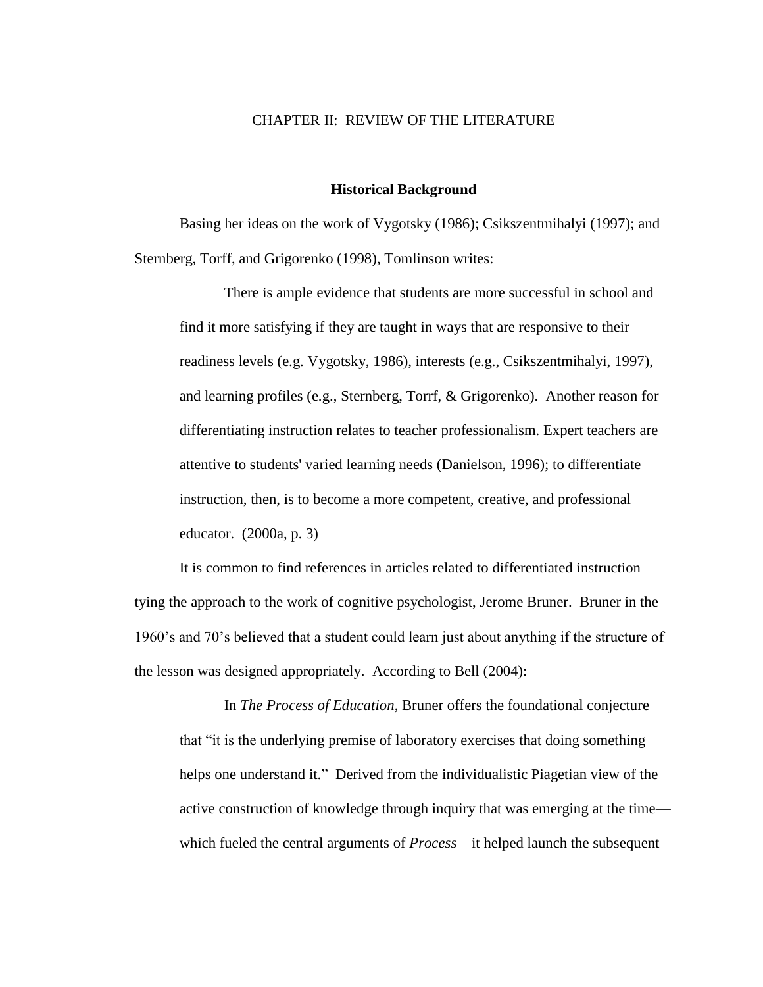## CHAPTER II: REVIEW OF THE LITERATURE

#### **Historical Background**

Basing her ideas on the work of Vygotsky (1986); Csikszentmihalyi (1997); and Sternberg, Torff, and Grigorenko (1998), Tomlinson writes:

There is ample evidence that students are more successful in school and find it more satisfying if they are taught in ways that are responsive to their readiness levels (e.g. Vygotsky, 1986), interests (e.g., Csikszentmihalyi, 1997), and learning profiles (e.g., Sternberg, Torrf, & Grigorenko). Another reason for differentiating instruction relates to teacher professionalism. Expert teachers are attentive to students' varied learning needs (Danielson, 1996); to differentiate instruction, then, is to become a more competent, creative, and professional educator. (2000a, p. 3)

It is common to find references in articles related to differentiated instruction tying the approach to the work of cognitive psychologist, Jerome Bruner. Bruner in the 1960's and 70's believed that a student could learn just about anything if the structure of the lesson was designed appropriately. According to Bell (2004):

In *The Process of Education*, Bruner offers the foundational conjecture that "it is the underlying premise of laboratory exercises that doing something helps one understand it." Derived from the individualistic Piagetian view of the active construction of knowledge through inquiry that was emerging at the time which fueled the central arguments of *Process*—it helped launch the subsequent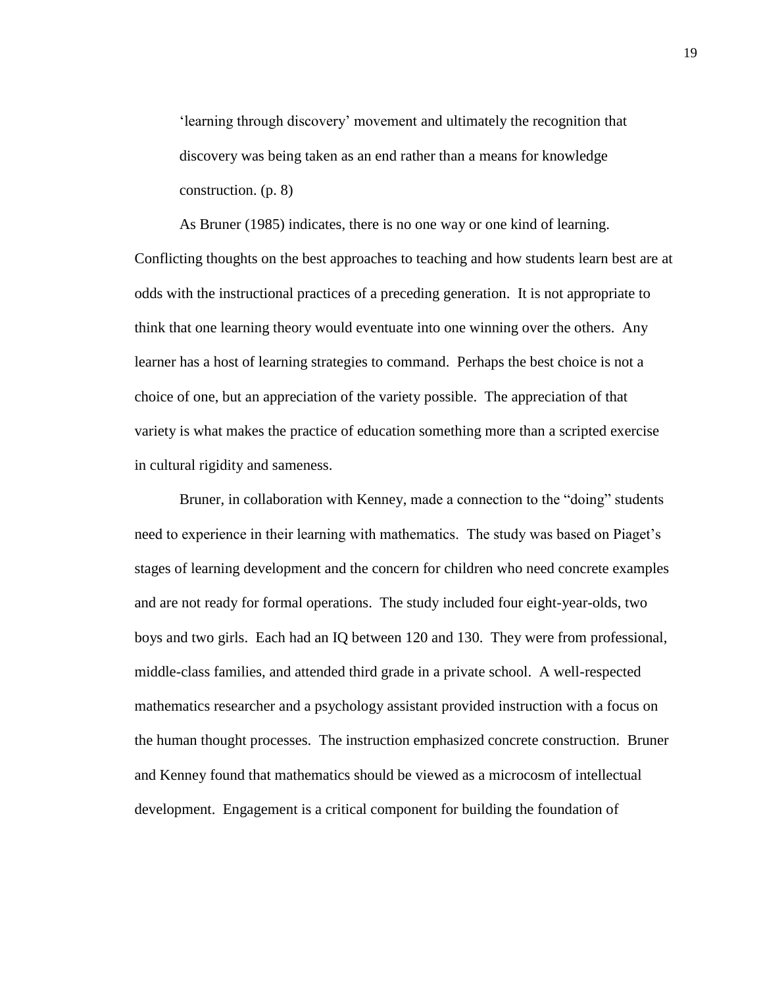‗learning through discovery' movement and ultimately the recognition that discovery was being taken as an end rather than a means for knowledge construction. (p. 8)

As Bruner (1985) indicates, there is no one way or one kind of learning. Conflicting thoughts on the best approaches to teaching and how students learn best are at odds with the instructional practices of a preceding generation. It is not appropriate to think that one learning theory would eventuate into one winning over the others. Any learner has a host of learning strategies to command. Perhaps the best choice is not a choice of one, but an appreciation of the variety possible. The appreciation of that variety is what makes the practice of education something more than a scripted exercise in cultural rigidity and sameness.

Bruner, in collaboration with Kenney, made a connection to the "doing" students need to experience in their learning with mathematics. The study was based on Piaget's stages of learning development and the concern for children who need concrete examples and are not ready for formal operations. The study included four eight-year-olds, two boys and two girls. Each had an IQ between 120 and 130. They were from professional, middle-class families, and attended third grade in a private school. A well-respected mathematics researcher and a psychology assistant provided instruction with a focus on the human thought processes. The instruction emphasized concrete construction. Bruner and Kenney found that mathematics should be viewed as a microcosm of intellectual development. Engagement is a critical component for building the foundation of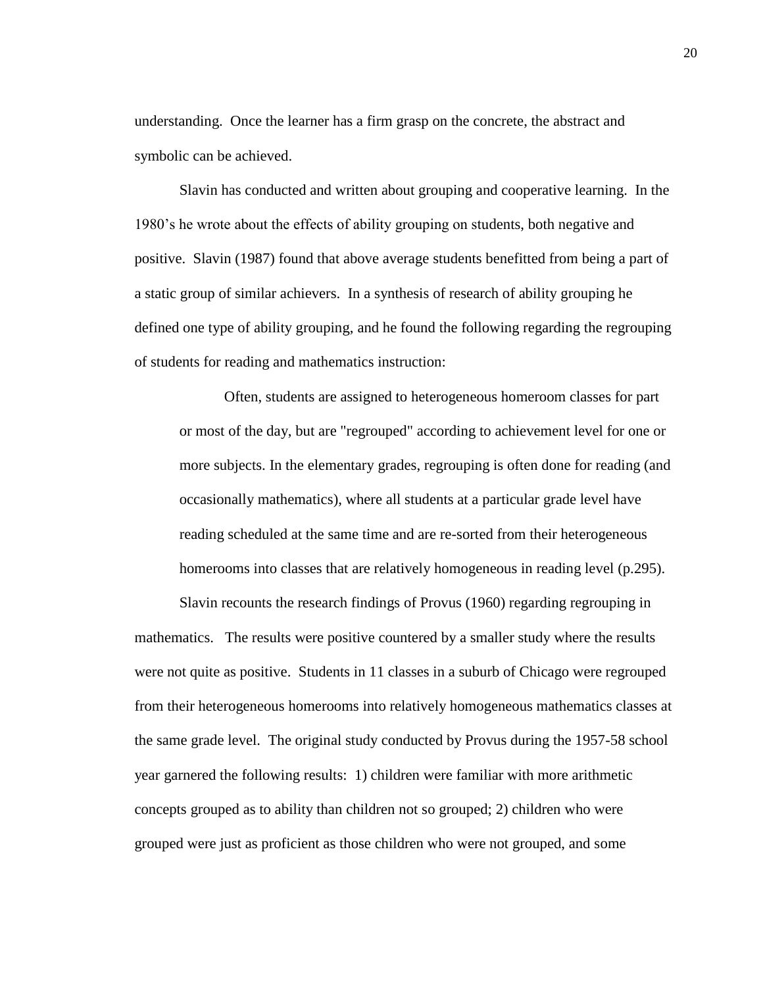understanding. Once the learner has a firm grasp on the concrete, the abstract and symbolic can be achieved.

Slavin has conducted and written about grouping and cooperative learning. In the 1980's he wrote about the effects of ability grouping on students, both negative and positive. Slavin (1987) found that above average students benefitted from being a part of a static group of similar achievers. In a synthesis of research of ability grouping he defined one type of ability grouping, and he found the following regarding the regrouping of students for reading and mathematics instruction:

Often, students are assigned to heterogeneous homeroom classes for part or most of the day, but are "regrouped" according to achievement level for one or more subjects. In the elementary grades, regrouping is often done for reading (and occasionally mathematics), where all students at a particular grade level have reading scheduled at the same time and are re-sorted from their heterogeneous homerooms into classes that are relatively homogeneous in reading level (p.295).

Slavin recounts the research findings of Provus (1960) regarding regrouping in mathematics. The results were positive countered by a smaller study where the results were not quite as positive. Students in 11 classes in a suburb of Chicago were regrouped from their heterogeneous homerooms into relatively homogeneous mathematics classes at the same grade level. The original study conducted by Provus during the 1957-58 school year garnered the following results: 1) children were familiar with more arithmetic concepts grouped as to ability than children not so grouped; 2) children who were grouped were just as proficient as those children who were not grouped, and some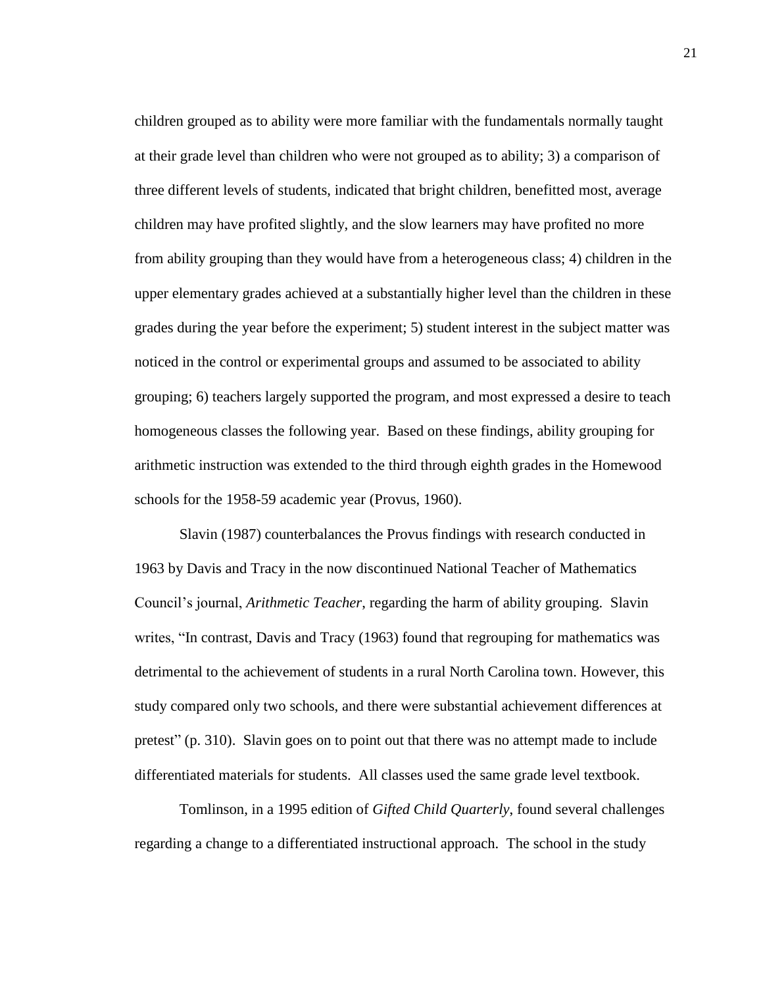children grouped as to ability were more familiar with the fundamentals normally taught at their grade level than children who were not grouped as to ability; 3) a comparison of three different levels of students, indicated that bright children, benefitted most, average children may have profited slightly, and the slow learners may have profited no more from ability grouping than they would have from a heterogeneous class; 4) children in the upper elementary grades achieved at a substantially higher level than the children in these grades during the year before the experiment; 5) student interest in the subject matter was noticed in the control or experimental groups and assumed to be associated to ability grouping; 6) teachers largely supported the program, and most expressed a desire to teach homogeneous classes the following year. Based on these findings, ability grouping for arithmetic instruction was extended to the third through eighth grades in the Homewood schools for the 1958-59 academic year (Provus, 1960).

Slavin (1987) counterbalances the Provus findings with research conducted in 1963 by Davis and Tracy in the now discontinued National Teacher of Mathematics Council's journal, *Arithmetic Teacher*, regarding the harm of ability grouping. Slavin writes, "In contrast, Davis and Tracy (1963) found that regrouping for mathematics was detrimental to the achievement of students in a rural North Carolina town. However, this study compared only two schools, and there were substantial achievement differences at pretest" (p. 310). Slavin goes on to point out that there was no attempt made to include differentiated materials for students. All classes used the same grade level textbook.

Tomlinson, in a 1995 edition of *Gifted Child Quarterly*, found several challenges regarding a change to a differentiated instructional approach. The school in the study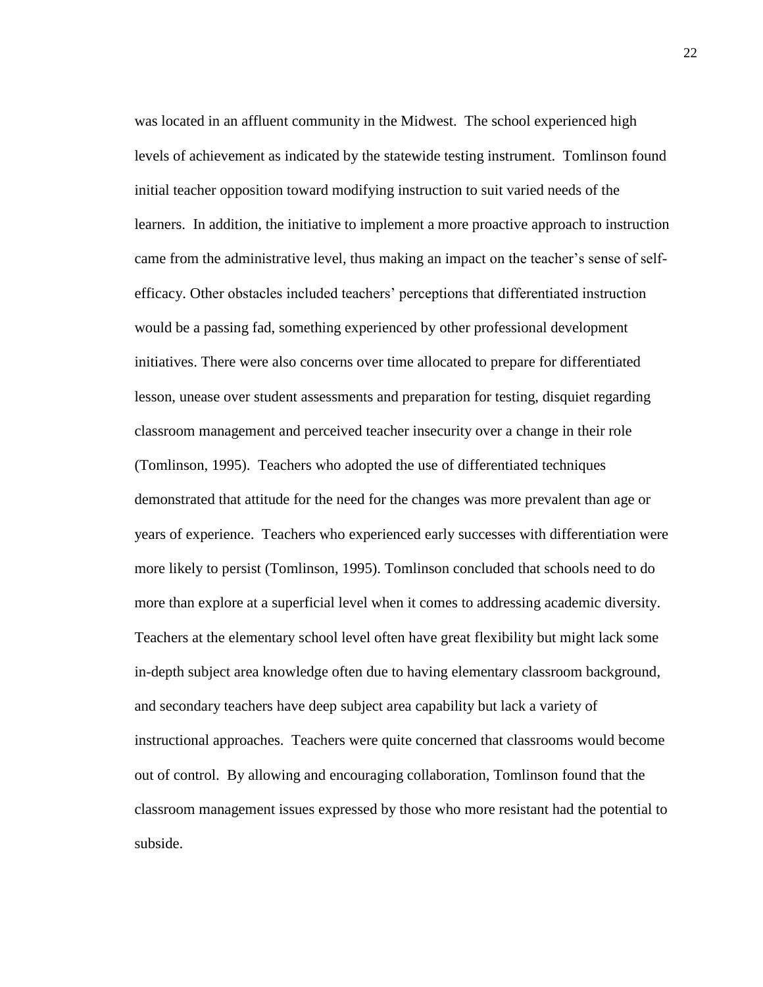was located in an affluent community in the Midwest. The school experienced high levels of achievement as indicated by the statewide testing instrument. Tomlinson found initial teacher opposition toward modifying instruction to suit varied needs of the learners. In addition, the initiative to implement a more proactive approach to instruction came from the administrative level, thus making an impact on the teacher's sense of selfefficacy. Other obstacles included teachers' perceptions that differentiated instruction would be a passing fad, something experienced by other professional development initiatives. There were also concerns over time allocated to prepare for differentiated lesson, unease over student assessments and preparation for testing, disquiet regarding classroom management and perceived teacher insecurity over a change in their role (Tomlinson, 1995). Teachers who adopted the use of differentiated techniques demonstrated that attitude for the need for the changes was more prevalent than age or years of experience. Teachers who experienced early successes with differentiation were more likely to persist (Tomlinson, 1995). Tomlinson concluded that schools need to do more than explore at a superficial level when it comes to addressing academic diversity. Teachers at the elementary school level often have great flexibility but might lack some in-depth subject area knowledge often due to having elementary classroom background, and secondary teachers have deep subject area capability but lack a variety of instructional approaches. Teachers were quite concerned that classrooms would become out of control. By allowing and encouraging collaboration, Tomlinson found that the classroom management issues expressed by those who more resistant had the potential to subside.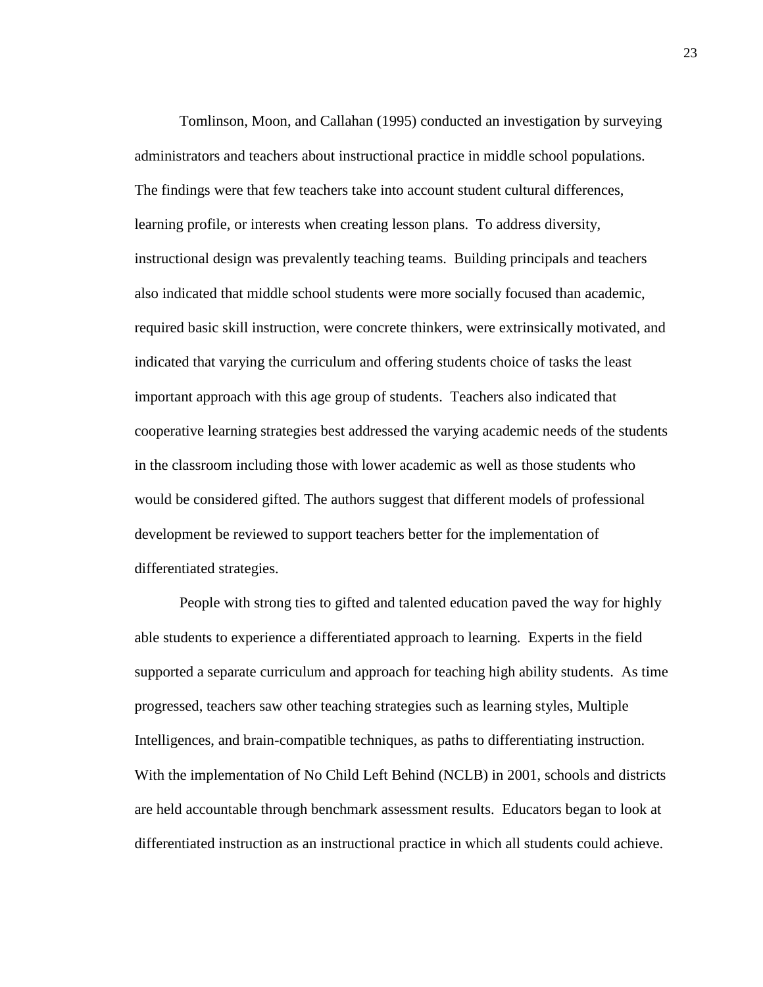Tomlinson, Moon, and Callahan (1995) conducted an investigation by surveying administrators and teachers about instructional practice in middle school populations. The findings were that few teachers take into account student cultural differences, learning profile, or interests when creating lesson plans. To address diversity, instructional design was prevalently teaching teams. Building principals and teachers also indicated that middle school students were more socially focused than academic, required basic skill instruction, were concrete thinkers, were extrinsically motivated, and indicated that varying the curriculum and offering students choice of tasks the least important approach with this age group of students. Teachers also indicated that cooperative learning strategies best addressed the varying academic needs of the students in the classroom including those with lower academic as well as those students who would be considered gifted. The authors suggest that different models of professional development be reviewed to support teachers better for the implementation of differentiated strategies.

People with strong ties to gifted and talented education paved the way for highly able students to experience a differentiated approach to learning. Experts in the field supported a separate curriculum and approach for teaching high ability students. As time progressed, teachers saw other teaching strategies such as learning styles, Multiple Intelligences, and brain-compatible techniques, as paths to differentiating instruction. With the implementation of No Child Left Behind (NCLB) in 2001, schools and districts are held accountable through benchmark assessment results. Educators began to look at differentiated instruction as an instructional practice in which all students could achieve.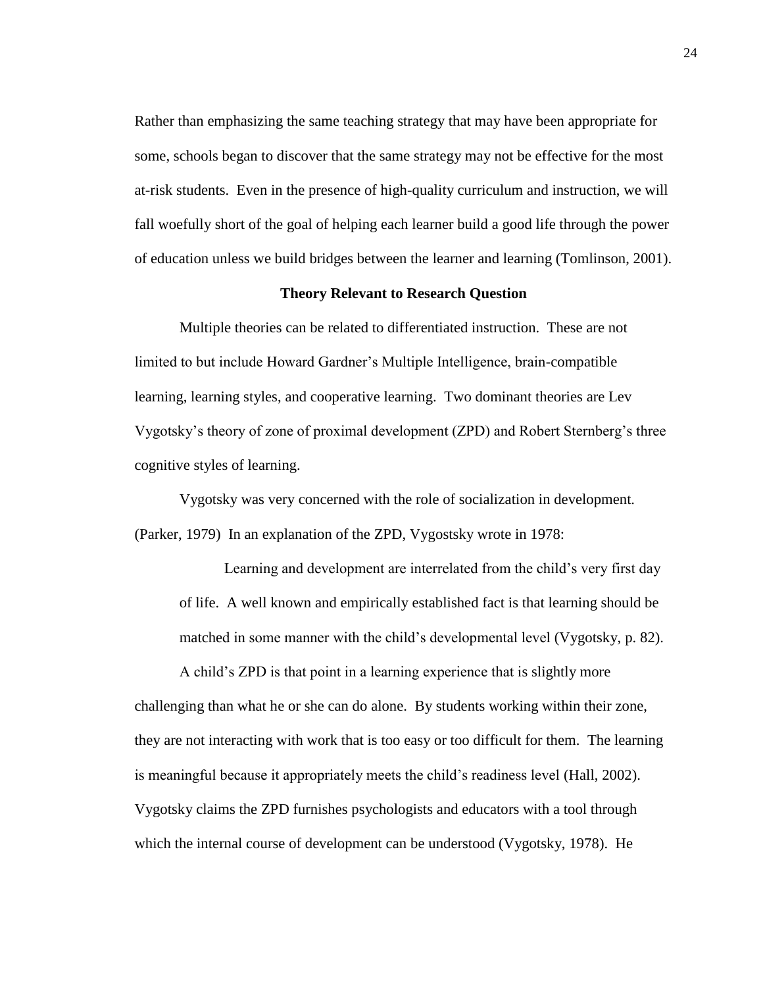Rather than emphasizing the same teaching strategy that may have been appropriate for some, schools began to discover that the same strategy may not be effective for the most at-risk students. Even in the presence of high-quality curriculum and instruction, we will fall woefully short of the goal of helping each learner build a good life through the power of education unless we build bridges between the learner and learning (Tomlinson, 2001).

## **Theory Relevant to Research Question**

Multiple theories can be related to differentiated instruction. These are not limited to but include Howard Gardner's Multiple Intelligence, brain-compatible learning, learning styles, and cooperative learning. Two dominant theories are Lev Vygotsky's theory of zone of proximal development (ZPD) and Robert Sternberg's three cognitive styles of learning.

Vygotsky was very concerned with the role of socialization in development. (Parker, 1979) In an explanation of the ZPD, Vygostsky wrote in 1978:

Learning and development are interrelated from the child's very first day of life. A well known and empirically established fact is that learning should be matched in some manner with the child's developmental level (Vygotsky, p. 82).

A child's ZPD is that point in a learning experience that is slightly more challenging than what he or she can do alone. By students working within their zone, they are not interacting with work that is too easy or too difficult for them. The learning is meaningful because it appropriately meets the child's readiness level (Hall, 2002). Vygotsky claims the ZPD furnishes psychologists and educators with a tool through which the internal course of development can be understood (Vygotsky, 1978). He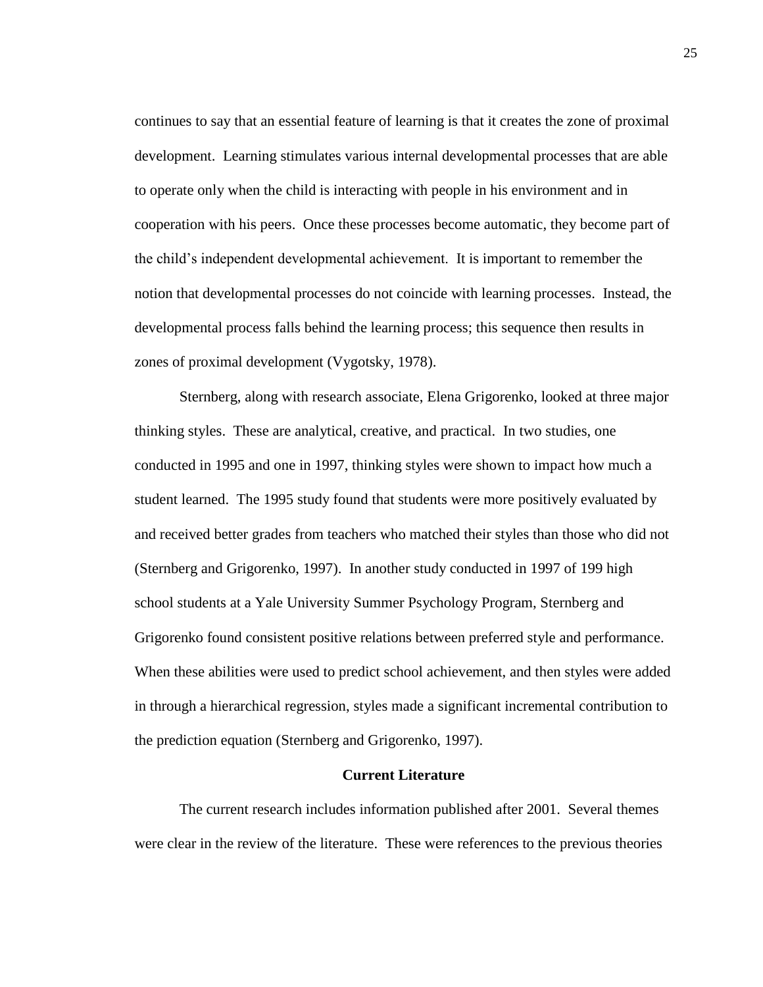continues to say that an essential feature of learning is that it creates the zone of proximal development. Learning stimulates various internal developmental processes that are able to operate only when the child is interacting with people in his environment and in cooperation with his peers. Once these processes become automatic, they become part of the child's independent developmental achievement. It is important to remember the notion that developmental processes do not coincide with learning processes. Instead, the developmental process falls behind the learning process; this sequence then results in zones of proximal development (Vygotsky, 1978).

Sternberg, along with research associate, Elena Grigorenko, looked at three major thinking styles. These are analytical, creative, and practical. In two studies, one conducted in 1995 and one in 1997, thinking styles were shown to impact how much a student learned. The 1995 study found that students were more positively evaluated by and received better grades from teachers who matched their styles than those who did not (Sternberg and Grigorenko, 1997). In another study conducted in 1997 of 199 high school students at a Yale University Summer Psychology Program, Sternberg and Grigorenko found consistent positive relations between preferred style and performance. When these abilities were used to predict school achievement, and then styles were added in through a hierarchical regression, styles made a significant incremental contribution to the prediction equation (Sternberg and Grigorenko, 1997).

## **Current Literature**

The current research includes information published after 2001. Several themes were clear in the review of the literature. These were references to the previous theories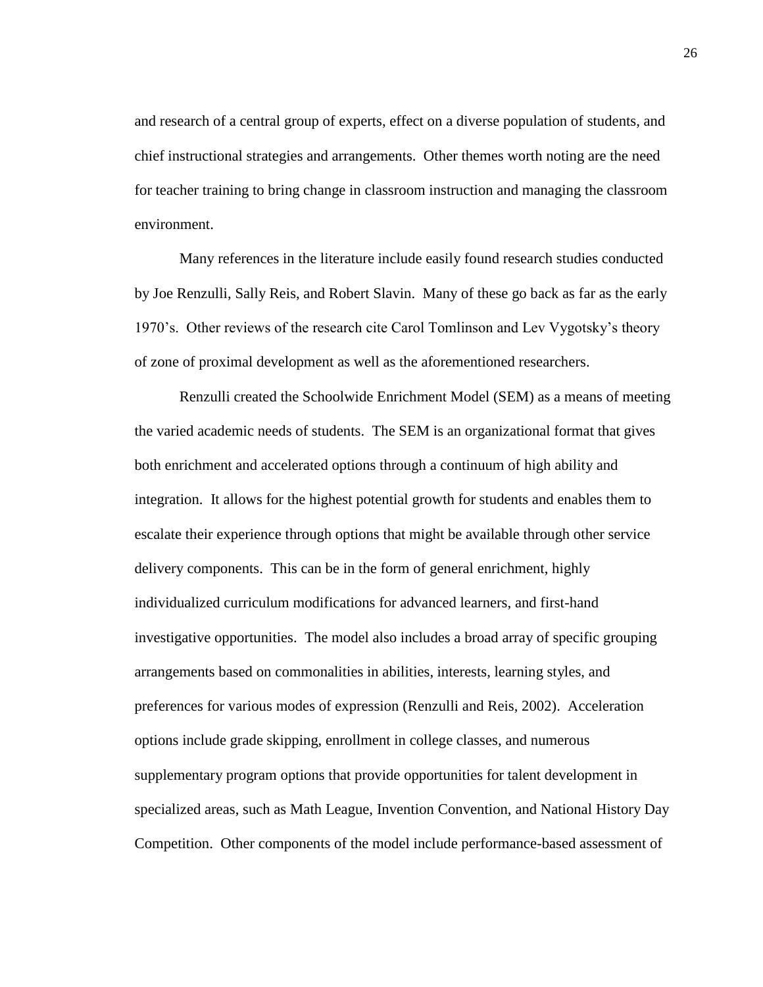and research of a central group of experts, effect on a diverse population of students, and chief instructional strategies and arrangements. Other themes worth noting are the need for teacher training to bring change in classroom instruction and managing the classroom environment.

Many references in the literature include easily found research studies conducted by Joe Renzulli, Sally Reis, and Robert Slavin. Many of these go back as far as the early 1970's. Other reviews of the research cite Carol Tomlinson and Lev Vygotsky's theory of zone of proximal development as well as the aforementioned researchers.

Renzulli created the Schoolwide Enrichment Model (SEM) as a means of meeting the varied academic needs of students. The SEM is an organizational format that gives both enrichment and accelerated options through a continuum of high ability and integration. It allows for the highest potential growth for students and enables them to escalate their experience through options that might be available through other service delivery components. This can be in the form of general enrichment, highly individualized curriculum modifications for advanced learners, and first-hand investigative opportunities. The model also includes a broad array of specific grouping arrangements based on commonalities in abilities, interests, learning styles, and preferences for various modes of expression (Renzulli and Reis, 2002). Acceleration options include grade skipping, enrollment in college classes, and numerous supplementary program options that provide opportunities for talent development in specialized areas, such as Math League, Invention Convention, and National History Day Competition. Other components of the model include performance-based assessment of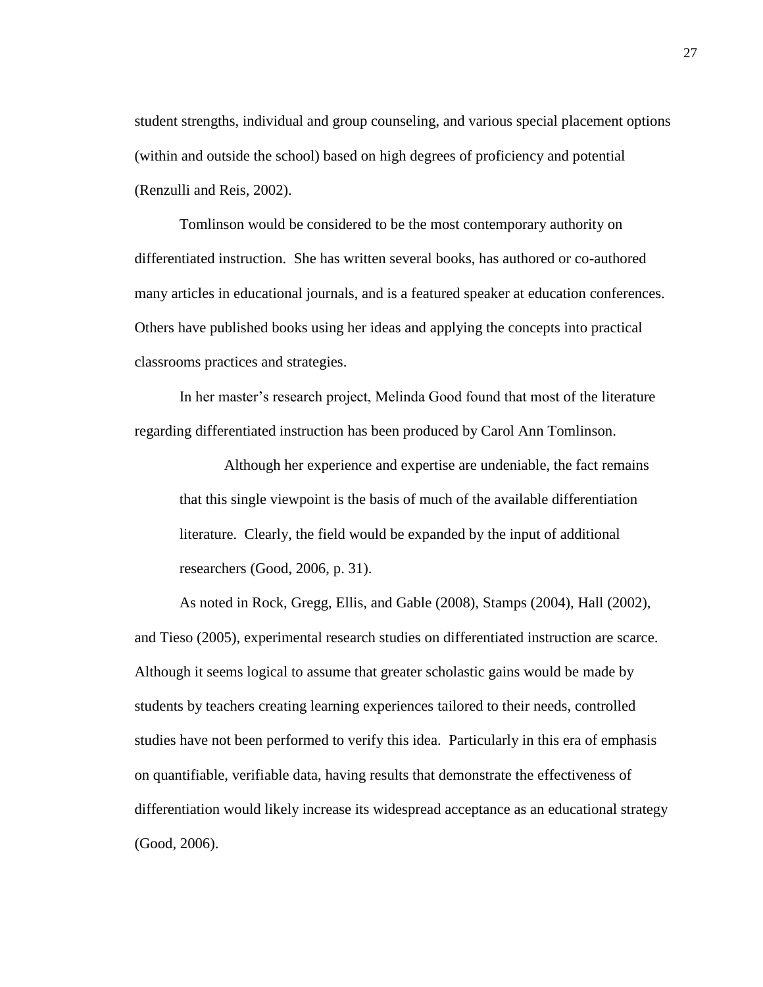student strengths, individual and group counseling, and various special placement options (within and outside the school) based on high degrees of proficiency and potential (Renzulli and Reis, 2002).

Tomlinson would be considered to be the most contemporary authority on differentiated instruction. She has written several books, has authored or co-authored many articles in educational journals, and is a featured speaker at education conferences. Others have published books using her ideas and applying the concepts into practical classrooms practices and strategies.

In her master's research project, Melinda Good found that most of the literature regarding differentiated instruction has been produced by Carol Ann Tomlinson.

Although her experience and expertise are undeniable, the fact remains that this single viewpoint is the basis of much of the available differentiation literature. Clearly, the field would be expanded by the input of additional researchers (Good, 2006, p. 31).

As noted in Rock, Gregg, Ellis, and Gable (2008), Stamps (2004), Hall (2002), and Tieso (2005), experimental research studies on differentiated instruction are scarce. Although it seems logical to assume that greater scholastic gains would be made by students by teachers creating learning experiences tailored to their needs, controlled studies have not been performed to verify this idea. Particularly in this era of emphasis on quantifiable, verifiable data, having results that demonstrate the effectiveness of differentiation would likely increase its widespread acceptance as an educational strategy (Good, 2006).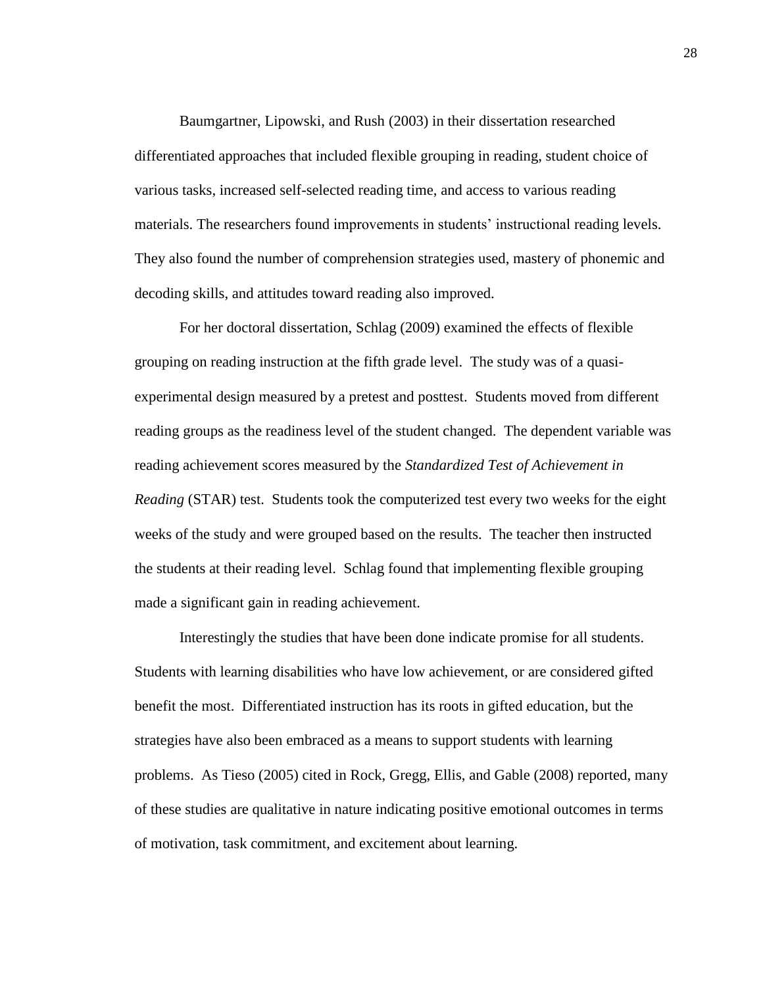Baumgartner, Lipowski, and Rush (2003) in their dissertation researched differentiated approaches that included flexible grouping in reading, student choice of various tasks, increased self-selected reading time, and access to various reading materials. The researchers found improvements in students' instructional reading levels. They also found the number of comprehension strategies used, mastery of phonemic and decoding skills, and attitudes toward reading also improved.

For her doctoral dissertation, Schlag (2009) examined the effects of flexible grouping on reading instruction at the fifth grade level. The study was of a quasiexperimental design measured by a pretest and posttest. Students moved from different reading groups as the readiness level of the student changed. The dependent variable was reading achievement scores measured by the *Standardized Test of Achievement in Reading* (STAR) test. Students took the computerized test every two weeks for the eight weeks of the study and were grouped based on the results. The teacher then instructed the students at their reading level. Schlag found that implementing flexible grouping made a significant gain in reading achievement.

Interestingly the studies that have been done indicate promise for all students. Students with learning disabilities who have low achievement, or are considered gifted benefit the most. Differentiated instruction has its roots in gifted education, but the strategies have also been embraced as a means to support students with learning problems. As Tieso (2005) cited in Rock, Gregg, Ellis, and Gable (2008) reported, many of these studies are qualitative in nature indicating positive emotional outcomes in terms of motivation, task commitment, and excitement about learning.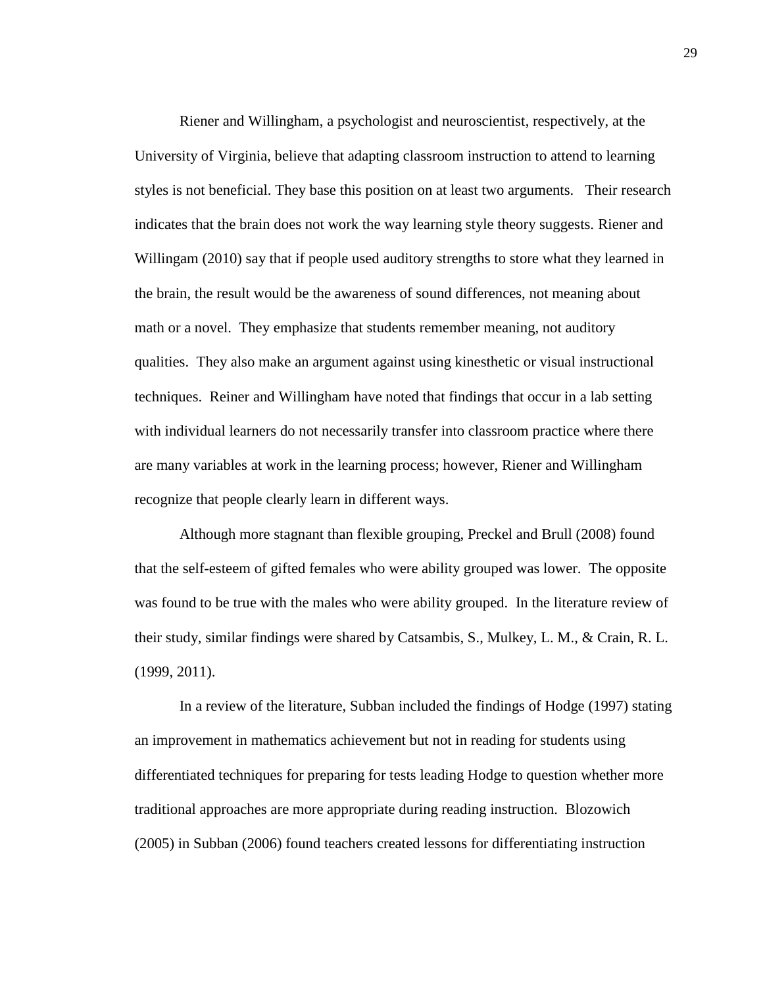Riener and Willingham, a psychologist and neuroscientist, respectively, at the University of Virginia, believe that adapting classroom instruction to attend to learning styles is not beneficial. They base this position on at least two arguments. Their research indicates that the brain does not work the way learning style theory suggests. Riener and Willingam (2010) say that if people used auditory strengths to store what they learned in the brain, the result would be the awareness of sound differences, not meaning about math or a novel. They emphasize that students remember meaning, not auditory qualities. They also make an argument against using kinesthetic or visual instructional techniques. Reiner and Willingham have noted that findings that occur in a lab setting with individual learners do not necessarily transfer into classroom practice where there are many variables at work in the learning process; however, Riener and Willingham recognize that people clearly learn in different ways.

Although more stagnant than flexible grouping, Preckel and Brull (2008) found that the self-esteem of gifted females who were ability grouped was lower. The opposite was found to be true with the males who were ability grouped. In the literature review of their study, similar findings were shared by Catsambis, S., Mulkey, L. M., & Crain, R. L. (1999, 2011).

In a review of the literature, Subban included the findings of Hodge (1997) stating an improvement in mathematics achievement but not in reading for students using differentiated techniques for preparing for tests leading Hodge to question whether more traditional approaches are more appropriate during reading instruction. Blozowich (2005) in Subban (2006) found teachers created lessons for differentiating instruction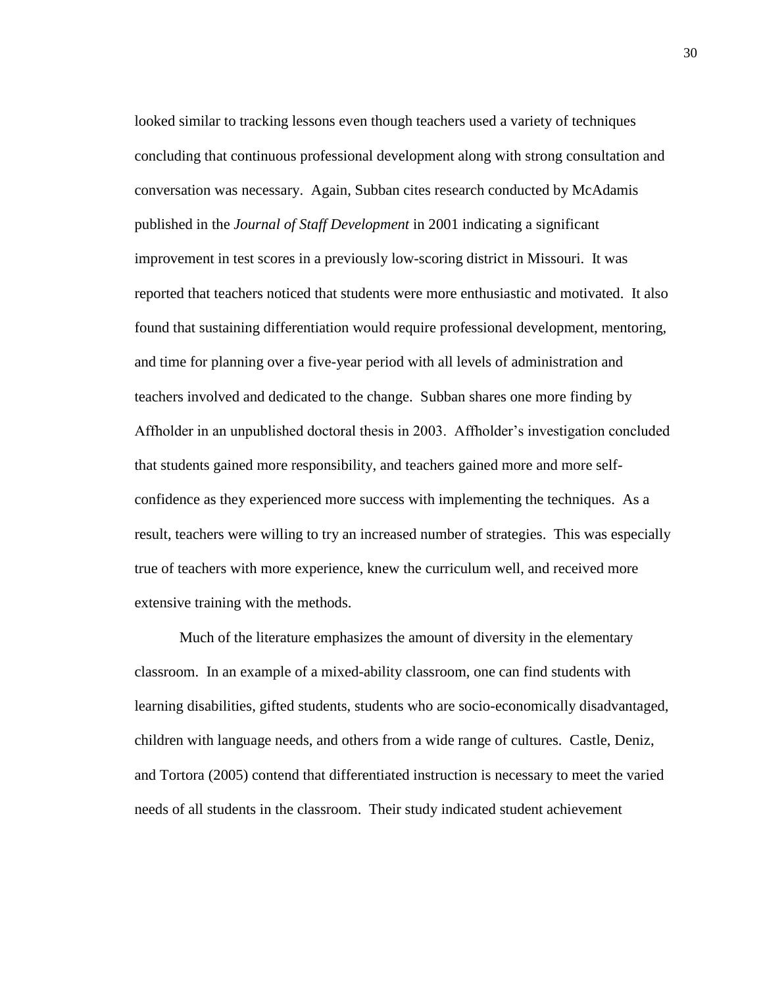looked similar to tracking lessons even though teachers used a variety of techniques concluding that continuous professional development along with strong consultation and conversation was necessary. Again, Subban cites research conducted by McAdamis published in the *Journal of Staff Development* in 2001 indicating a significant improvement in test scores in a previously low-scoring district in Missouri. It was reported that teachers noticed that students were more enthusiastic and motivated. It also found that sustaining differentiation would require professional development, mentoring, and time for planning over a five-year period with all levels of administration and teachers involved and dedicated to the change. Subban shares one more finding by Affholder in an unpublished doctoral thesis in 2003. Affholder's investigation concluded that students gained more responsibility, and teachers gained more and more selfconfidence as they experienced more success with implementing the techniques. As a result, teachers were willing to try an increased number of strategies. This was especially true of teachers with more experience, knew the curriculum well, and received more extensive training with the methods.

Much of the literature emphasizes the amount of diversity in the elementary classroom. In an example of a mixed-ability classroom, one can find students with learning disabilities, gifted students, students who are socio-economically disadvantaged, children with language needs, and others from a wide range of cultures. Castle, Deniz, and Tortora (2005) contend that differentiated instruction is necessary to meet the varied needs of all students in the classroom. Their study indicated student achievement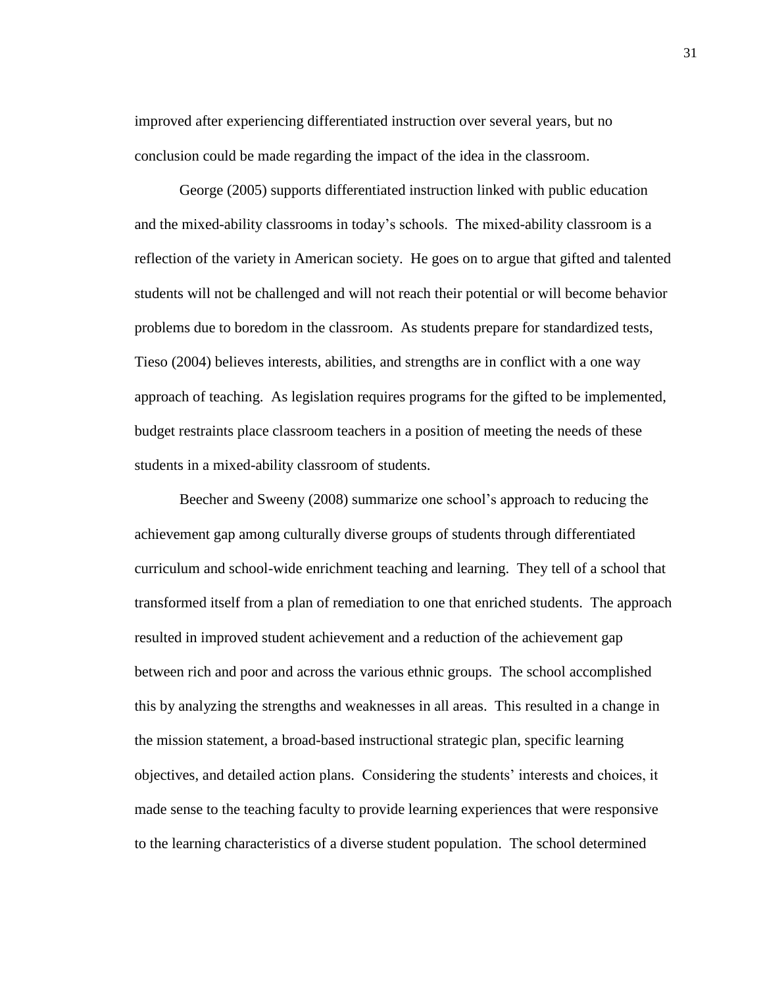improved after experiencing differentiated instruction over several years, but no conclusion could be made regarding the impact of the idea in the classroom.

George (2005) supports differentiated instruction linked with public education and the mixed-ability classrooms in today's schools. The mixed-ability classroom is a reflection of the variety in American society. He goes on to argue that gifted and talented students will not be challenged and will not reach their potential or will become behavior problems due to boredom in the classroom. As students prepare for standardized tests, Tieso (2004) believes interests, abilities, and strengths are in conflict with a one way approach of teaching. As legislation requires programs for the gifted to be implemented, budget restraints place classroom teachers in a position of meeting the needs of these students in a mixed-ability classroom of students.

Beecher and Sweeny (2008) summarize one school's approach to reducing the achievement gap among culturally diverse groups of students through differentiated curriculum and school-wide enrichment teaching and learning. They tell of a school that transformed itself from a plan of remediation to one that enriched students. The approach resulted in improved student achievement and a reduction of the achievement gap between rich and poor and across the various ethnic groups. The school accomplished this by analyzing the strengths and weaknesses in all areas. This resulted in a change in the mission statement, a broad-based instructional strategic plan, specific learning objectives, and detailed action plans. Considering the students' interests and choices, it made sense to the teaching faculty to provide learning experiences that were responsive to the learning characteristics of a diverse student population. The school determined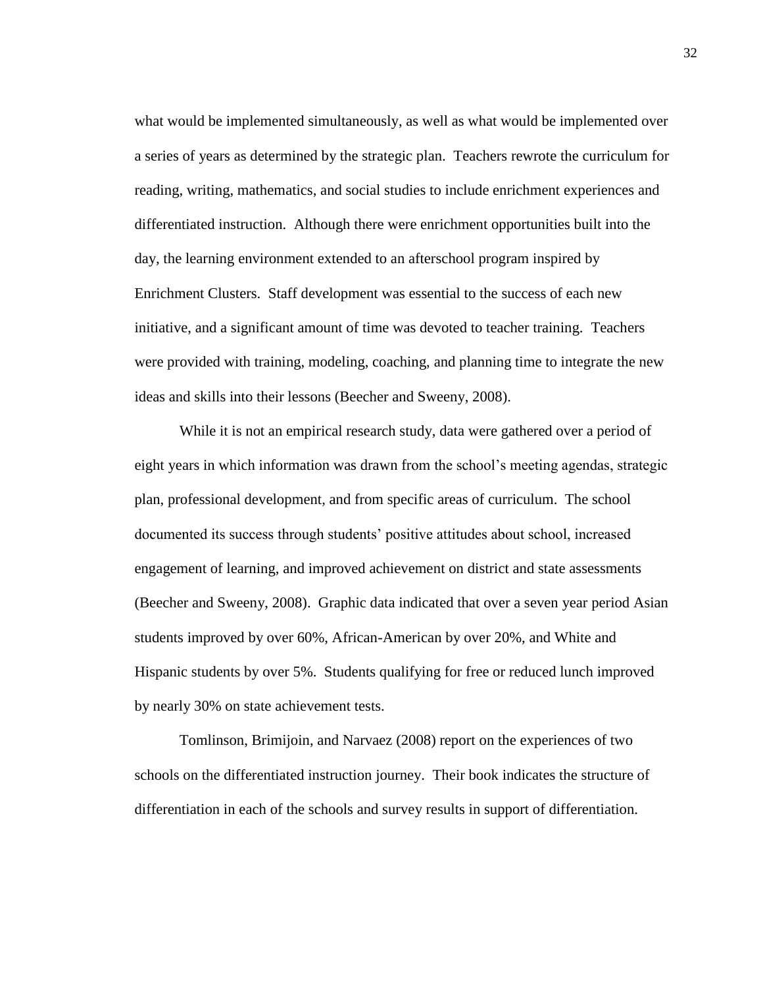what would be implemented simultaneously, as well as what would be implemented over a series of years as determined by the strategic plan. Teachers rewrote the curriculum for reading, writing, mathematics, and social studies to include enrichment experiences and differentiated instruction. Although there were enrichment opportunities built into the day, the learning environment extended to an afterschool program inspired by Enrichment Clusters. Staff development was essential to the success of each new initiative, and a significant amount of time was devoted to teacher training. Teachers were provided with training, modeling, coaching, and planning time to integrate the new ideas and skills into their lessons (Beecher and Sweeny, 2008).

While it is not an empirical research study, data were gathered over a period of eight years in which information was drawn from the school's meeting agendas, strategic plan, professional development, and from specific areas of curriculum. The school documented its success through students' positive attitudes about school, increased engagement of learning, and improved achievement on district and state assessments (Beecher and Sweeny, 2008). Graphic data indicated that over a seven year period Asian students improved by over 60%, African-American by over 20%, and White and Hispanic students by over 5%. Students qualifying for free or reduced lunch improved by nearly 30% on state achievement tests.

Tomlinson, Brimijoin, and Narvaez (2008) report on the experiences of two schools on the differentiated instruction journey. Their book indicates the structure of differentiation in each of the schools and survey results in support of differentiation.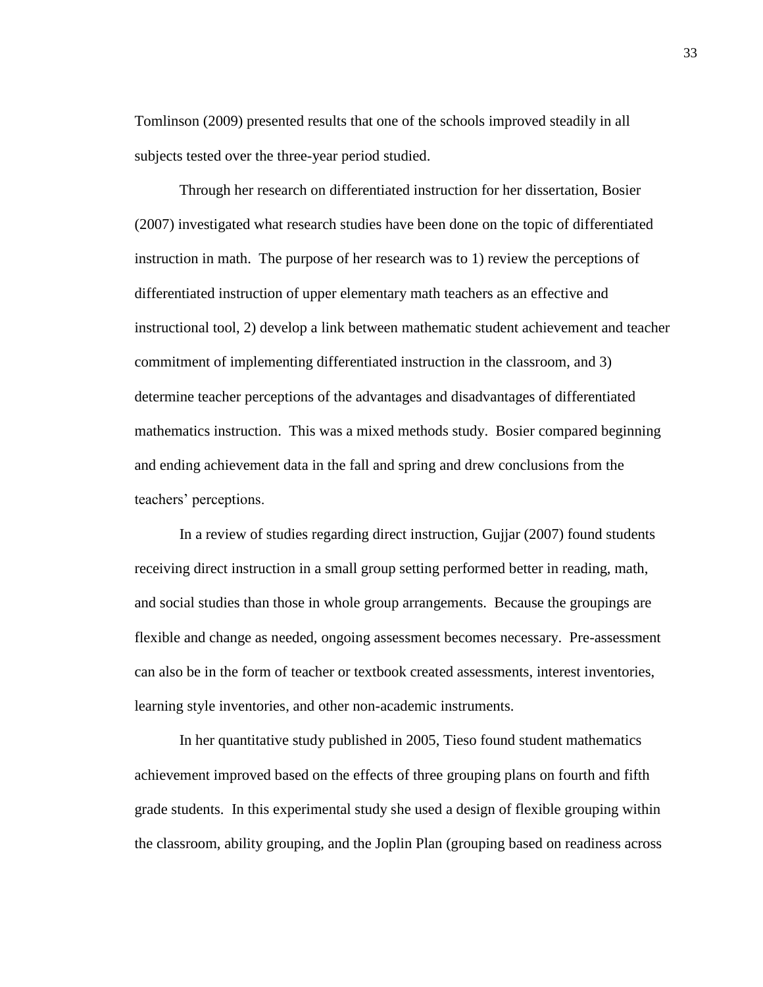Tomlinson (2009) presented results that one of the schools improved steadily in all subjects tested over the three-year period studied.

Through her research on differentiated instruction for her dissertation, Bosier (2007) investigated what research studies have been done on the topic of differentiated instruction in math. The purpose of her research was to 1) review the perceptions of differentiated instruction of upper elementary math teachers as an effective and instructional tool, 2) develop a link between mathematic student achievement and teacher commitment of implementing differentiated instruction in the classroom, and 3) determine teacher perceptions of the advantages and disadvantages of differentiated mathematics instruction. This was a mixed methods study. Bosier compared beginning and ending achievement data in the fall and spring and drew conclusions from the teachers' perceptions.

In a review of studies regarding direct instruction, Gujjar (2007) found students receiving direct instruction in a small group setting performed better in reading, math, and social studies than those in whole group arrangements. Because the groupings are flexible and change as needed, ongoing assessment becomes necessary. Pre-assessment can also be in the form of teacher or textbook created assessments, interest inventories, learning style inventories, and other non-academic instruments.

In her quantitative study published in 2005, Tieso found student mathematics achievement improved based on the effects of three grouping plans on fourth and fifth grade students. In this experimental study she used a design of flexible grouping within the classroom, ability grouping, and the Joplin Plan (grouping based on readiness across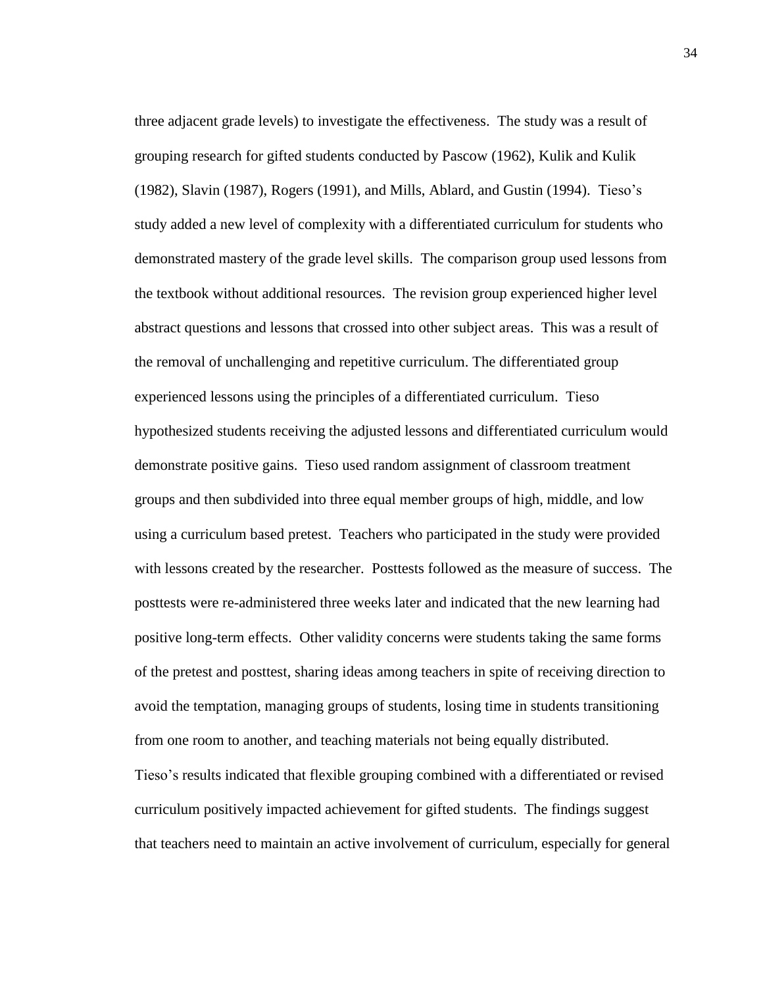three adjacent grade levels) to investigate the effectiveness. The study was a result of grouping research for gifted students conducted by Pascow (1962), Kulik and Kulik (1982), Slavin (1987), Rogers (1991), and Mills, Ablard, and Gustin (1994). Tieso's study added a new level of complexity with a differentiated curriculum for students who demonstrated mastery of the grade level skills. The comparison group used lessons from the textbook without additional resources. The revision group experienced higher level abstract questions and lessons that crossed into other subject areas. This was a result of the removal of unchallenging and repetitive curriculum. The differentiated group experienced lessons using the principles of a differentiated curriculum. Tieso hypothesized students receiving the adjusted lessons and differentiated curriculum would demonstrate positive gains. Tieso used random assignment of classroom treatment groups and then subdivided into three equal member groups of high, middle, and low using a curriculum based pretest. Teachers who participated in the study were provided with lessons created by the researcher. Posttests followed as the measure of success. The posttests were re-administered three weeks later and indicated that the new learning had positive long-term effects. Other validity concerns were students taking the same forms of the pretest and posttest, sharing ideas among teachers in spite of receiving direction to avoid the temptation, managing groups of students, losing time in students transitioning from one room to another, and teaching materials not being equally distributed. Tieso's results indicated that flexible grouping combined with a differentiated or revised curriculum positively impacted achievement for gifted students. The findings suggest that teachers need to maintain an active involvement of curriculum, especially for general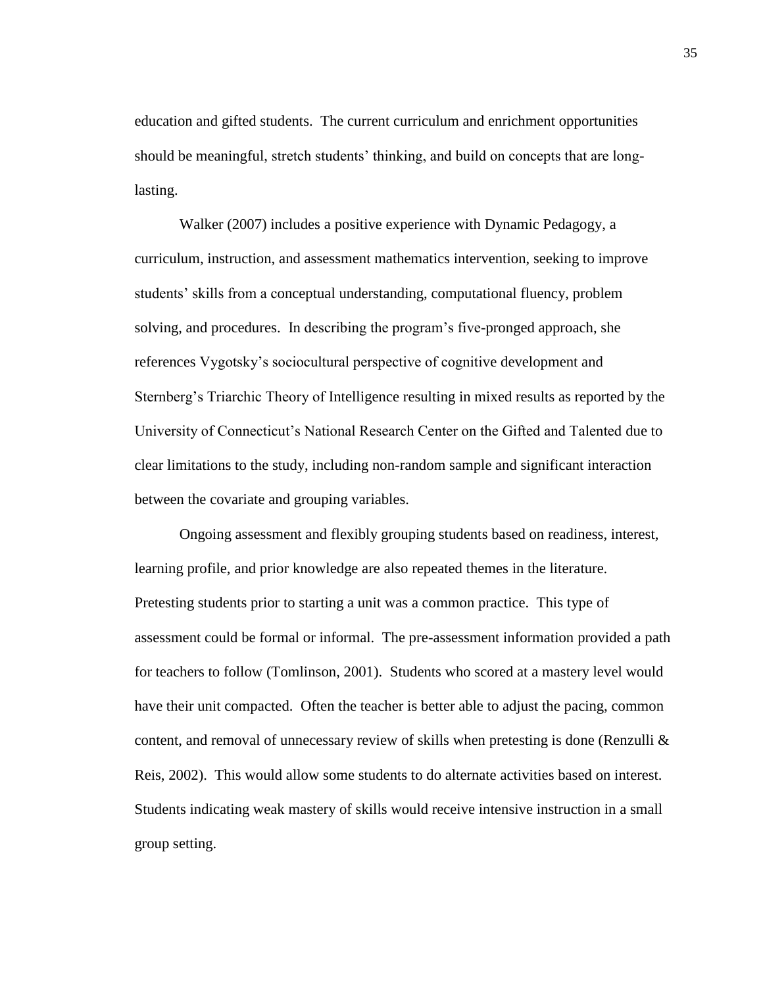education and gifted students. The current curriculum and enrichment opportunities should be meaningful, stretch students' thinking, and build on concepts that are longlasting.

Walker (2007) includes a positive experience with Dynamic Pedagogy, a curriculum, instruction, and assessment mathematics intervention, seeking to improve students' skills from a conceptual understanding, computational fluency, problem solving, and procedures. In describing the program's five-pronged approach, she references Vygotsky's sociocultural perspective of cognitive development and Sternberg's Triarchic Theory of Intelligence resulting in mixed results as reported by the University of Connecticut's National Research Center on the Gifted and Talented due to clear limitations to the study, including non-random sample and significant interaction between the covariate and grouping variables.

Ongoing assessment and flexibly grouping students based on readiness, interest, learning profile, and prior knowledge are also repeated themes in the literature. Pretesting students prior to starting a unit was a common practice. This type of assessment could be formal or informal. The pre-assessment information provided a path for teachers to follow (Tomlinson, 2001). Students who scored at a mastery level would have their unit compacted. Often the teacher is better able to adjust the pacing, common content, and removal of unnecessary review of skills when pretesting is done (Renzulli  $\&$ Reis, 2002). This would allow some students to do alternate activities based on interest. Students indicating weak mastery of skills would receive intensive instruction in a small group setting.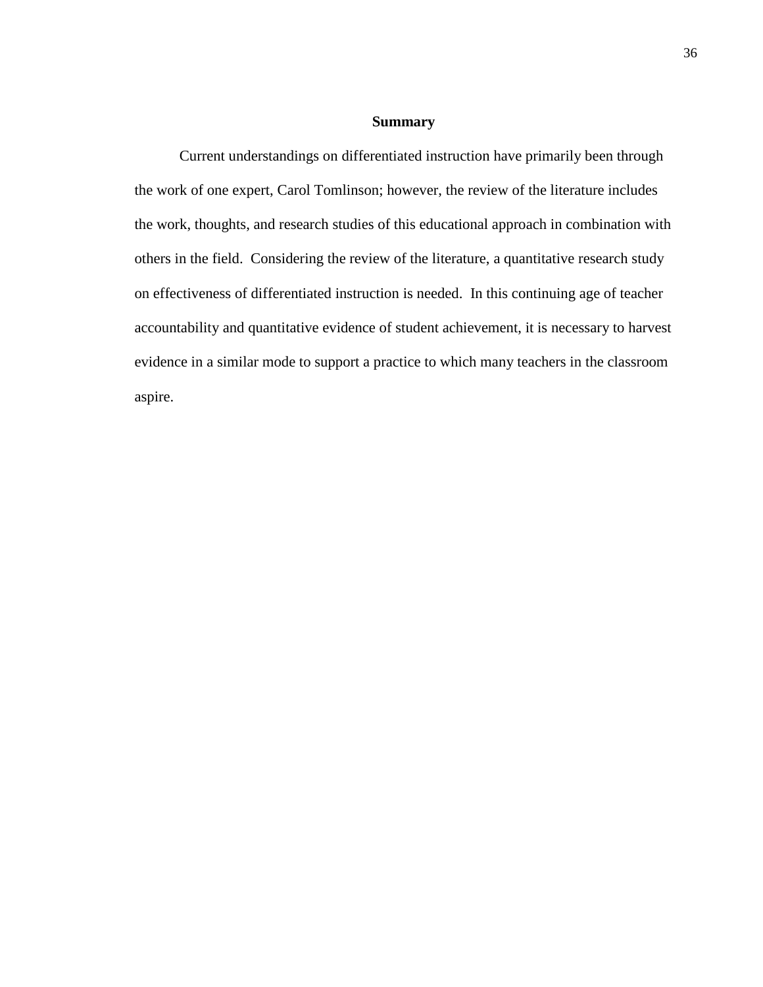#### **Summary**

Current understandings on differentiated instruction have primarily been through the work of one expert, Carol Tomlinson; however, the review of the literature includes the work, thoughts, and research studies of this educational approach in combination with others in the field. Considering the review of the literature, a quantitative research study on effectiveness of differentiated instruction is needed. In this continuing age of teacher accountability and quantitative evidence of student achievement, it is necessary to harvest evidence in a similar mode to support a practice to which many teachers in the classroom aspire.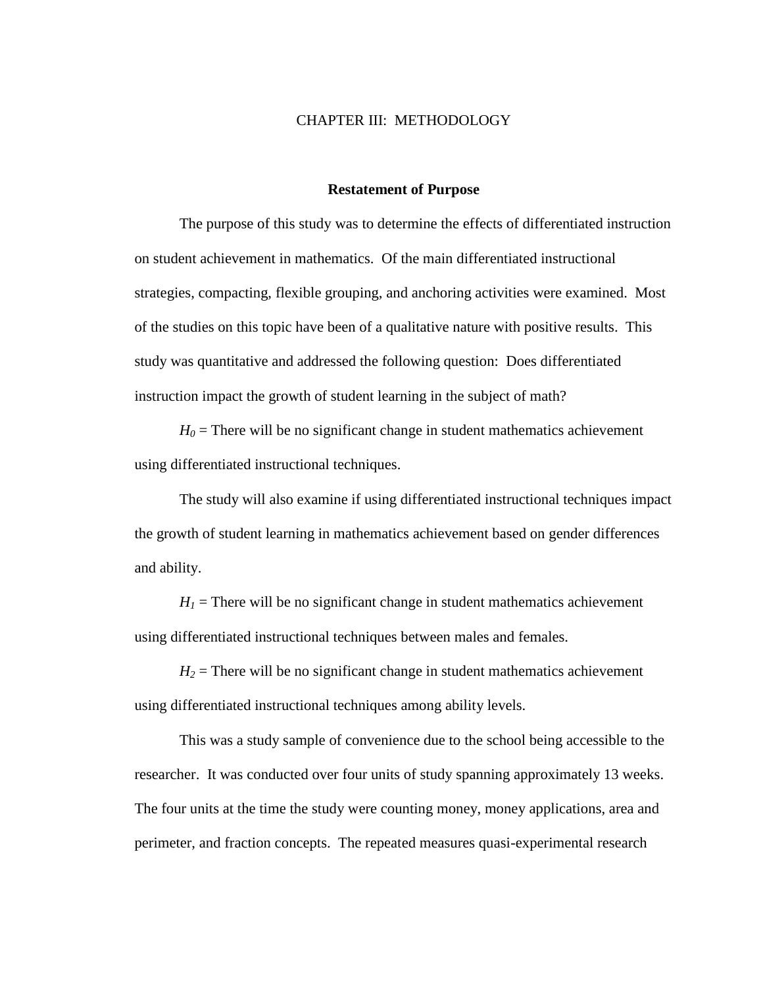#### CHAPTER III: METHODOLOGY

#### **Restatement of Purpose**

The purpose of this study was to determine the effects of differentiated instruction on student achievement in mathematics. Of the main differentiated instructional strategies, compacting, flexible grouping, and anchoring activities were examined. Most of the studies on this topic have been of a qualitative nature with positive results. This study was quantitative and addressed the following question: Does differentiated instruction impact the growth of student learning in the subject of math?

 $H_0$  = There will be no significant change in student mathematics achievement using differentiated instructional techniques.

The study will also examine if using differentiated instructional techniques impact the growth of student learning in mathematics achievement based on gender differences and ability.

 $H<sub>1</sub>$  = There will be no significant change in student mathematics achievement using differentiated instructional techniques between males and females.

 $H_2$  = There will be no significant change in student mathematics achievement using differentiated instructional techniques among ability levels.

This was a study sample of convenience due to the school being accessible to the researcher. It was conducted over four units of study spanning approximately 13 weeks. The four units at the time the study were counting money, money applications, area and perimeter, and fraction concepts. The repeated measures quasi-experimental research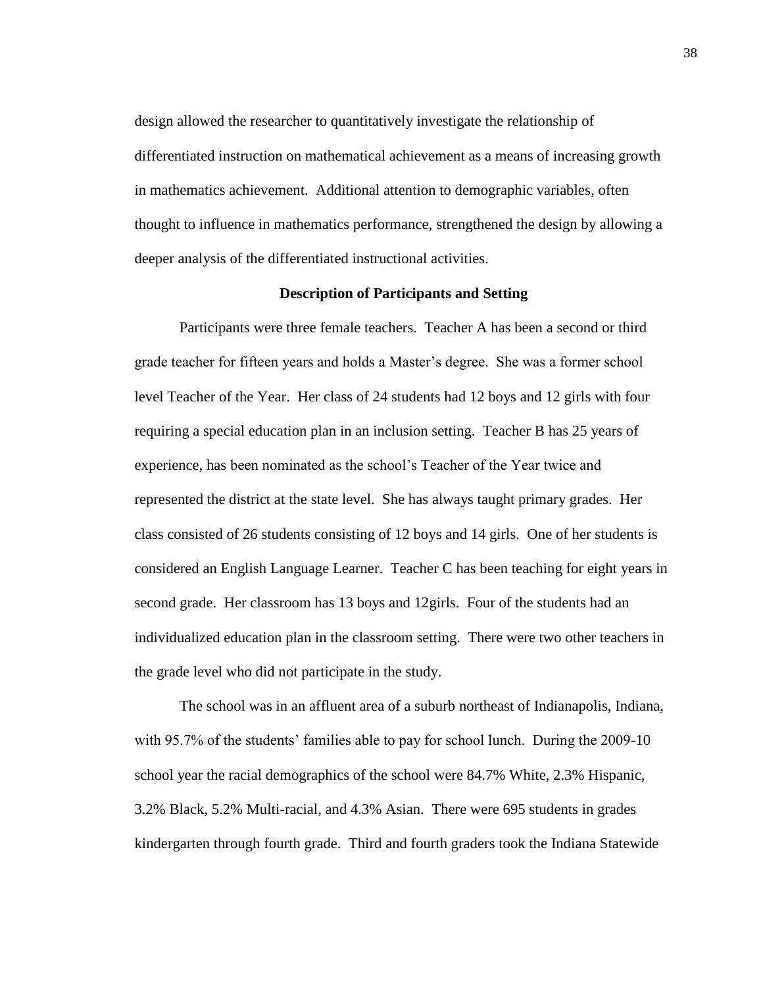design allowed the researcher to quantitatively investigate the relationship of differentiated instruction on mathematical achievement as a means of increasing growth in mathematics achievement. Additional attention to demographic variables, often thought to influence in mathematics performance, strengthened the design by allowing a deeper analysis of the differentiated instructional activities.

#### **Description of Participants and Setting**

Participants were three female teachers. Teacher A has been a second or third grade teacher for fifteen years and holds a Master's degree. She was a former school level Teacher of the Year. Her class of 24 students had 12 boys and 12 girls with four requiring a special education plan in an inclusion setting. Teacher B has 25 years of experience, has been nominated as the school's Teacher of the Year twice and represented the district at the state level. She has always taught primary grades. Her class consisted of 26 students consisting of 12 boys and 14 girls. One of her students is considered an English Language Learner. Teacher C has been teaching for eight years in second grade. Her classroom has 13 boys and 12girls. Four of the students had an individualized education plan in the classroom setting. There were two other teachers in the grade level who did not participate in the study.

The school was in an affluent area of a suburb northeast of Indianapolis, Indiana, with 95.7% of the students' families able to pay for school lunch. During the 2009-10 school year the racial demographics of the school were 84.7% White, 2.3% Hispanic, 3.2% Black, 5.2% Multi-racial, and 4.3% Asian. There were 695 students in grades kindergarten through fourth grade. Third and fourth graders took the Indiana Statewide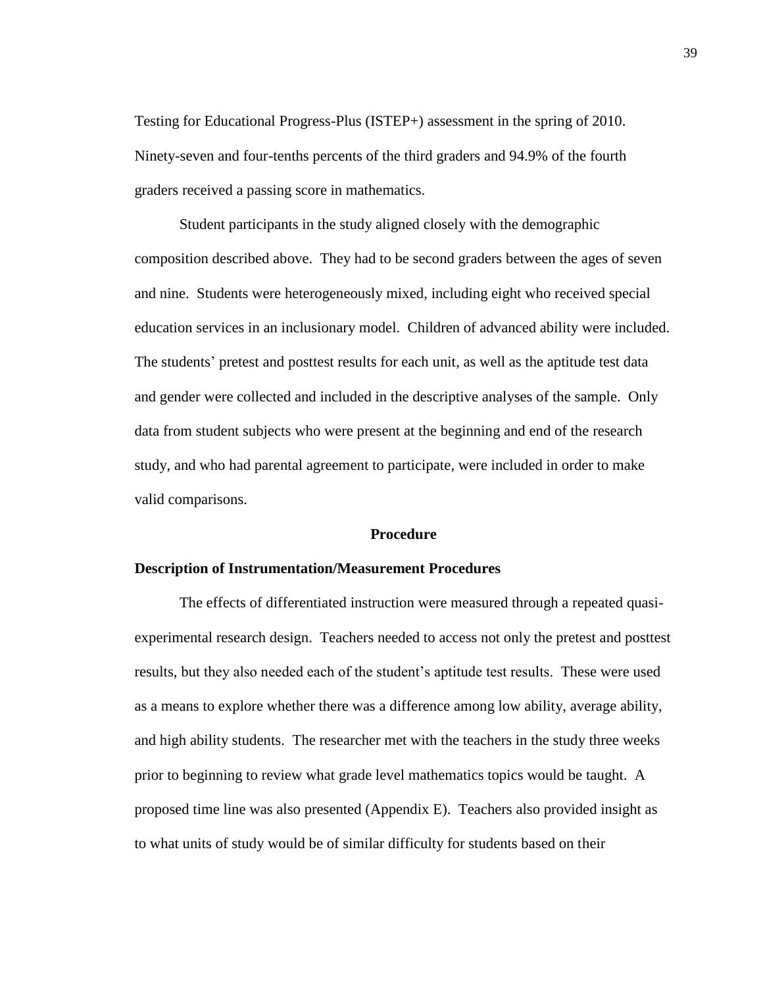Testing for Educational Progress-Plus (ISTEP+) assessment in the spring of 2010. Ninety-seven and four-tenths percents of the third graders and 94.9% of the fourth graders received a passing score in mathematics.

Student participants in the study aligned closely with the demographic composition described above. They had to be second graders between the ages of seven and nine. Students were heterogeneously mixed, including eight who received special education services in an inclusionary model. Children of advanced ability were included. The students' pretest and posttest results for each unit, as well as the aptitude test data and gender were collected and included in the descriptive analyses of the sample. Only data from student subjects who were present at the beginning and end of the research study, and who had parental agreement to participate, were included in order to make valid comparisons.

#### **Procedure**

#### **Description of Instrumentation/Measurement Procedures**

The effects of differentiated instruction were measured through a repeated quasiexperimental research design. Teachers needed to access not only the pretest and posttest results, but they also needed each of the student's aptitude test results. These were used as a means to explore whether there was a difference among low ability, average ability, and high ability students. The researcher met with the teachers in the study three weeks prior to beginning to review what grade level mathematics topics would be taught. A proposed time line was also presented (Appendix E). Teachers also provided insight as to what units of study would be of similar difficulty for students based on their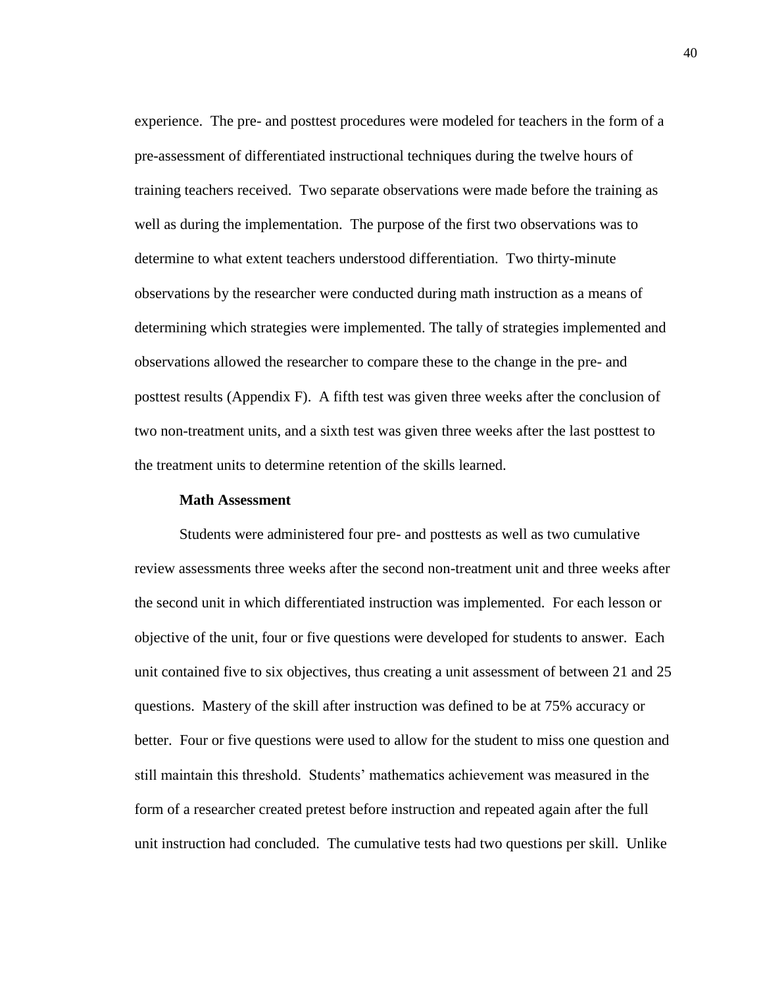experience. The pre- and posttest procedures were modeled for teachers in the form of a pre-assessment of differentiated instructional techniques during the twelve hours of training teachers received. Two separate observations were made before the training as well as during the implementation. The purpose of the first two observations was to determine to what extent teachers understood differentiation. Two thirty-minute observations by the researcher were conducted during math instruction as a means of determining which strategies were implemented. The tally of strategies implemented and observations allowed the researcher to compare these to the change in the pre- and posttest results (Appendix F). A fifth test was given three weeks after the conclusion of two non-treatment units, and a sixth test was given three weeks after the last posttest to the treatment units to determine retention of the skills learned.

#### **Math Assessment**

Students were administered four pre- and posttests as well as two cumulative review assessments three weeks after the second non-treatment unit and three weeks after the second unit in which differentiated instruction was implemented. For each lesson or objective of the unit, four or five questions were developed for students to answer. Each unit contained five to six objectives, thus creating a unit assessment of between 21 and 25 questions. Mastery of the skill after instruction was defined to be at 75% accuracy or better. Four or five questions were used to allow for the student to miss one question and still maintain this threshold. Students' mathematics achievement was measured in the form of a researcher created pretest before instruction and repeated again after the full unit instruction had concluded. The cumulative tests had two questions per skill. Unlike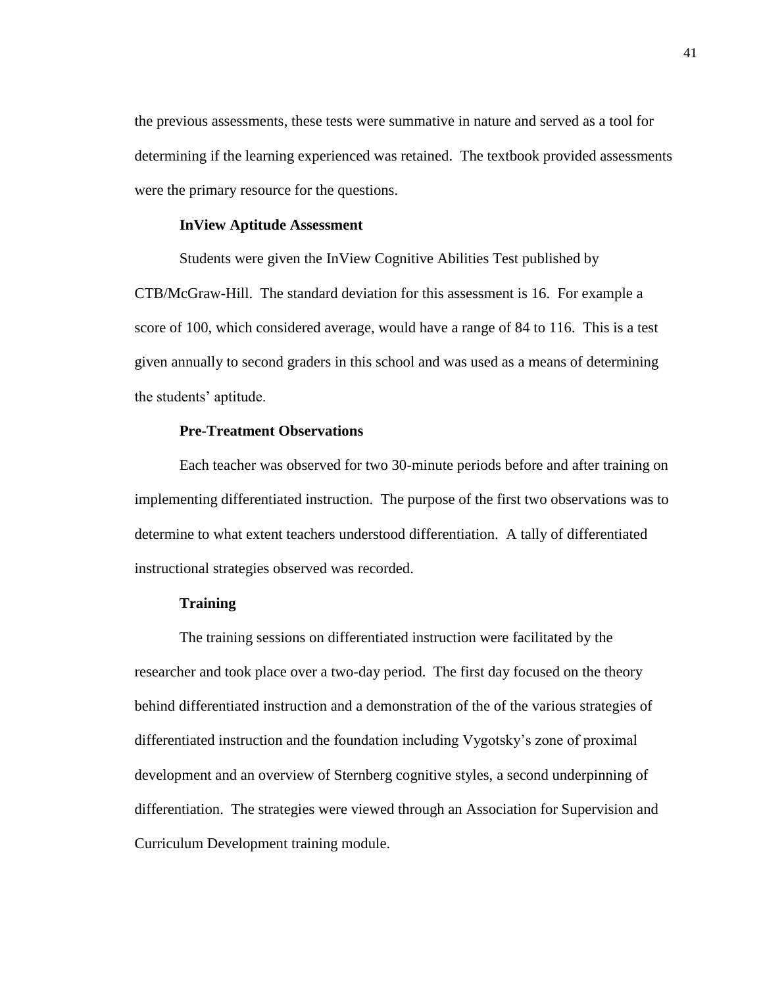the previous assessments, these tests were summative in nature and served as a tool for determining if the learning experienced was retained. The textbook provided assessments were the primary resource for the questions.

## **InView Aptitude Assessment**

Students were given the InView Cognitive Abilities Test published by CTB/McGraw-Hill. The standard deviation for this assessment is 16. For example a score of 100, which considered average, would have a range of 84 to 116. This is a test given annually to second graders in this school and was used as a means of determining the students' aptitude.

# **Pre-Treatment Observations**

Each teacher was observed for two 30-minute periods before and after training on implementing differentiated instruction. The purpose of the first two observations was to determine to what extent teachers understood differentiation. A tally of differentiated instructional strategies observed was recorded.

#### **Training**

The training sessions on differentiated instruction were facilitated by the researcher and took place over a two-day period. The first day focused on the theory behind differentiated instruction and a demonstration of the of the various strategies of differentiated instruction and the foundation including Vygotsky's zone of proximal development and an overview of Sternberg cognitive styles, a second underpinning of differentiation. The strategies were viewed through an Association for Supervision and Curriculum Development training module.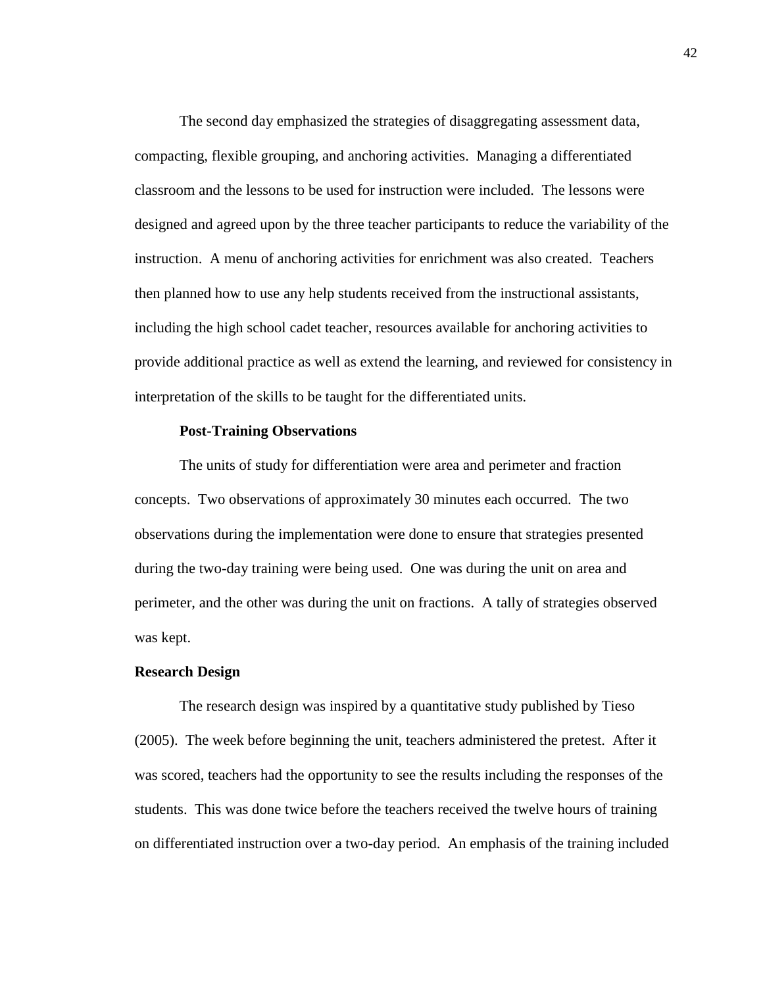The second day emphasized the strategies of disaggregating assessment data, compacting, flexible grouping, and anchoring activities. Managing a differentiated classroom and the lessons to be used for instruction were included. The lessons were designed and agreed upon by the three teacher participants to reduce the variability of the instruction. A menu of anchoring activities for enrichment was also created. Teachers then planned how to use any help students received from the instructional assistants, including the high school cadet teacher, resources available for anchoring activities to provide additional practice as well as extend the learning, and reviewed for consistency in interpretation of the skills to be taught for the differentiated units*.* 

#### **Post-Training Observations**

The units of study for differentiation were area and perimeter and fraction concepts. Two observations of approximately 30 minutes each occurred. The two observations during the implementation were done to ensure that strategies presented during the two-day training were being used. One was during the unit on area and perimeter, and the other was during the unit on fractions. A tally of strategies observed was kept.

#### **Research Design**

The research design was inspired by a quantitative study published by Tieso (2005). The week before beginning the unit, teachers administered the pretest. After it was scored, teachers had the opportunity to see the results including the responses of the students. This was done twice before the teachers received the twelve hours of training on differentiated instruction over a two-day period. An emphasis of the training included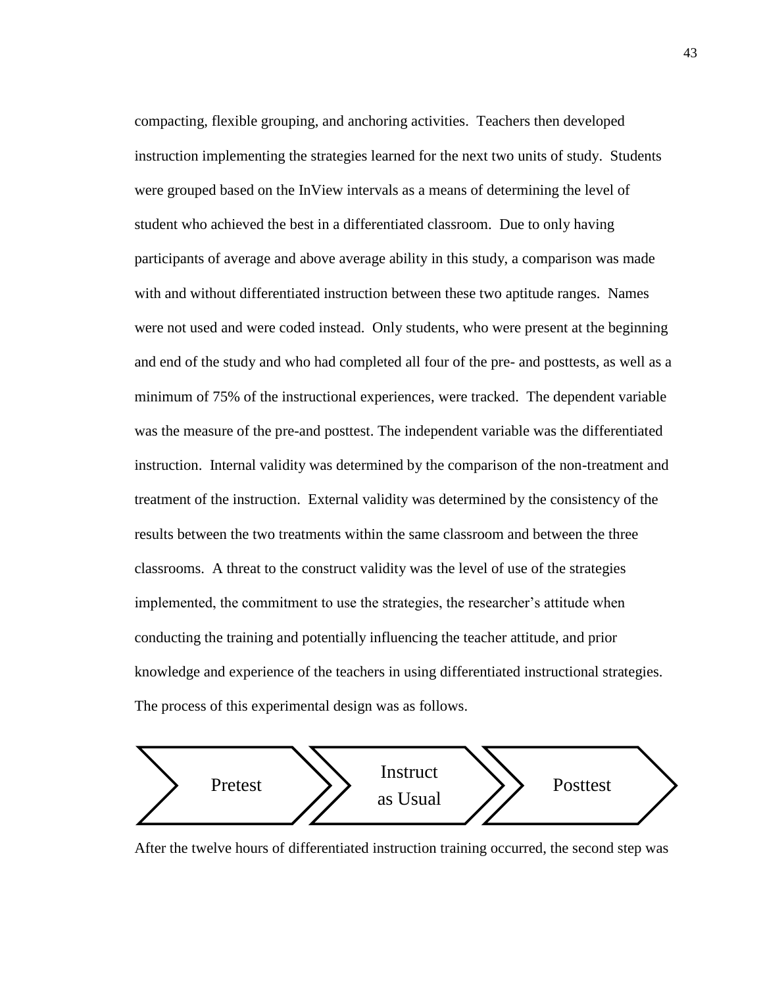compacting, flexible grouping, and anchoring activities. Teachers then developed instruction implementing the strategies learned for the next two units of study. Students were grouped based on the InView intervals as a means of determining the level of student who achieved the best in a differentiated classroom. Due to only having participants of average and above average ability in this study, a comparison was made with and without differentiated instruction between these two aptitude ranges. Names were not used and were coded instead. Only students, who were present at the beginning and end of the study and who had completed all four of the pre- and posttests, as well as a minimum of 75% of the instructional experiences, were tracked. The dependent variable was the measure of the pre-and posttest. The independent variable was the differentiated instruction. Internal validity was determined by the comparison of the non-treatment and treatment of the instruction. External validity was determined by the consistency of the results between the two treatments within the same classroom and between the three classrooms. A threat to the construct validity was the level of use of the strategies implemented, the commitment to use the strategies, the researcher's attitude when conducting the training and potentially influencing the teacher attitude, and prior knowledge and experience of the teachers in using differentiated instructional strategies. The process of this experimental design was as follows.



After the twelve hours of differentiated instruction training occurred, the second step was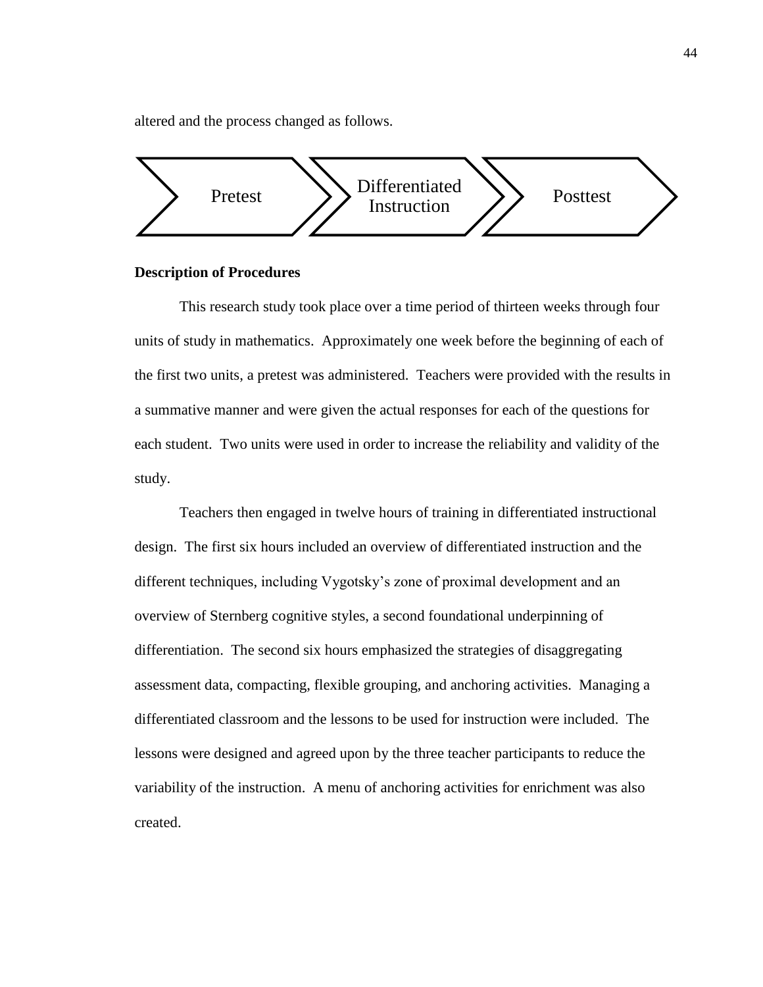altered and the process changed as follows.



#### **Description of Procedures**

This research study took place over a time period of thirteen weeks through four units of study in mathematics. Approximately one week before the beginning of each of the first two units, a pretest was administered. Teachers were provided with the results in a summative manner and were given the actual responses for each of the questions for each student. Two units were used in order to increase the reliability and validity of the study.

Teachers then engaged in twelve hours of training in differentiated instructional design. The first six hours included an overview of differentiated instruction and the different techniques, including Vygotsky's zone of proximal development and an overview of Sternberg cognitive styles, a second foundational underpinning of differentiation. The second six hours emphasized the strategies of disaggregating assessment data, compacting, flexible grouping, and anchoring activities. Managing a differentiated classroom and the lessons to be used for instruction were included. The lessons were designed and agreed upon by the three teacher participants to reduce the variability of the instruction. A menu of anchoring activities for enrichment was also created.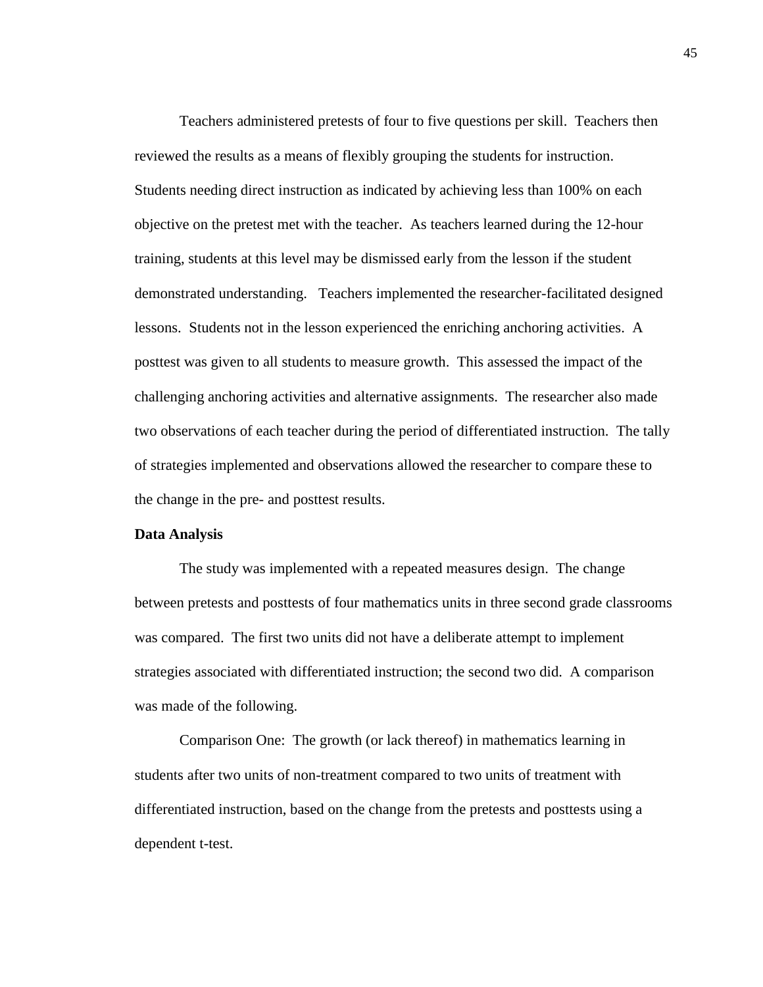Teachers administered pretests of four to five questions per skill. Teachers then reviewed the results as a means of flexibly grouping the students for instruction. Students needing direct instruction as indicated by achieving less than 100% on each objective on the pretest met with the teacher. As teachers learned during the 12-hour training, students at this level may be dismissed early from the lesson if the student demonstrated understanding. Teachers implemented the researcher-facilitated designed lessons. Students not in the lesson experienced the enriching anchoring activities. A posttest was given to all students to measure growth. This assessed the impact of the challenging anchoring activities and alternative assignments. The researcher also made two observations of each teacher during the period of differentiated instruction. The tally of strategies implemented and observations allowed the researcher to compare these to the change in the pre- and posttest results.

## **Data Analysis**

The study was implemented with a repeated measures design. The change between pretests and posttests of four mathematics units in three second grade classrooms was compared. The first two units did not have a deliberate attempt to implement strategies associated with differentiated instruction; the second two did. A comparison was made of the following.

Comparison One: The growth (or lack thereof) in mathematics learning in students after two units of non-treatment compared to two units of treatment with differentiated instruction, based on the change from the pretests and posttests using a dependent t-test.

45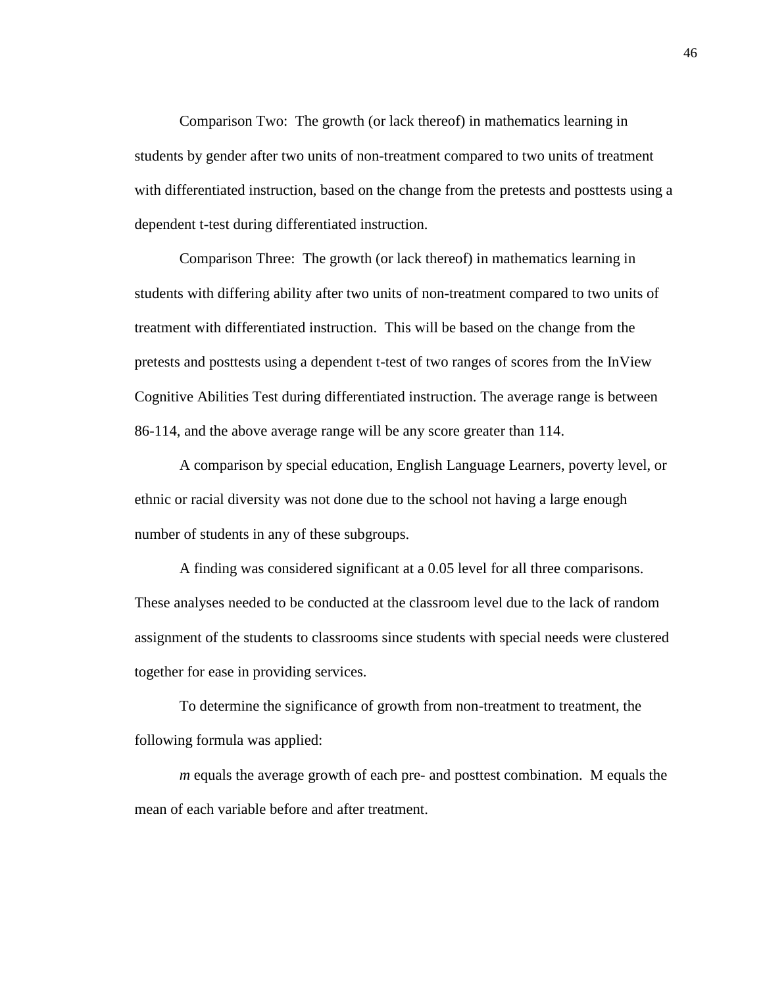Comparison Two: The growth (or lack thereof) in mathematics learning in students by gender after two units of non-treatment compared to two units of treatment with differentiated instruction, based on the change from the pretests and posttests using a dependent t-test during differentiated instruction.

Comparison Three: The growth (or lack thereof) in mathematics learning in students with differing ability after two units of non-treatment compared to two units of treatment with differentiated instruction. This will be based on the change from the pretests and posttests using a dependent t-test of two ranges of scores from the InView Cognitive Abilities Test during differentiated instruction. The average range is between 86-114, and the above average range will be any score greater than 114.

A comparison by special education, English Language Learners, poverty level, or ethnic or racial diversity was not done due to the school not having a large enough number of students in any of these subgroups.

A finding was considered significant at a 0.05 level for all three comparisons. These analyses needed to be conducted at the classroom level due to the lack of random assignment of the students to classrooms since students with special needs were clustered together for ease in providing services.

To determine the significance of growth from non-treatment to treatment, the following formula was applied:

*m* equals the average growth of each pre- and posttest combination. M equals the mean of each variable before and after treatment.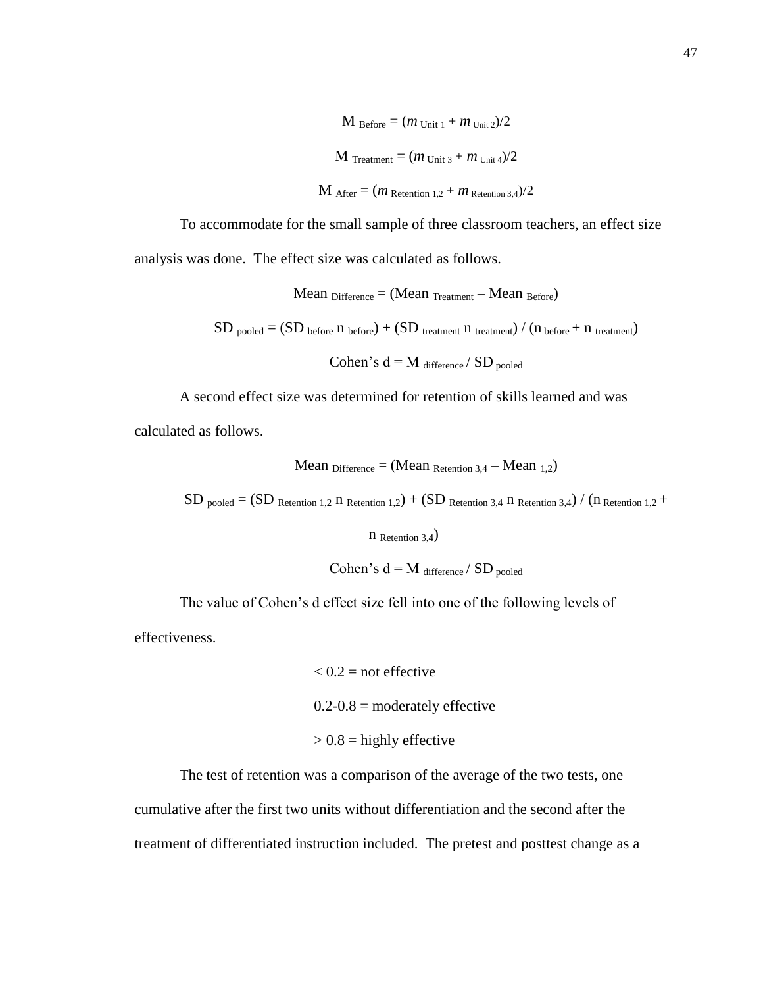M Before = 
$$
(m_{\text{Unit 1}} + m_{\text{Unit 2}})/2
$$
  
\nM Treatment =  $(m_{\text{Unit 3}} + m_{\text{Unit 4}})/2$   
\nM After =  $(m_{\text{Retention 1,2}} + m_{\text{Retention 3,4}})/2$ 

To accommodate for the small sample of three classroom teachers, an effect size analysis was done. The effect size was calculated as follows.

> Mean  $_{\text{Difference}} = (Mean_{\text{ Treatment}} - Mean_{\text{Before}})$  $SD$  pooled =  $(SD$  before  $n$  before) +  $(SD$  treatment  $n$  treatment) /  $(n$  before +  $n$  treatment) Cohen's  $d = M_{difference} / SD_{pooled}$

A second effect size was determined for retention of skills learned and was

calculated as follows.

Mean 
$$
\text{Difference} = (\text{Mean} \cdot \text{Retention 3,4} - \text{Mean } \cdot \text{1,2})
$$

 $SD$  pooled  $=(SD$  Retention 1,2 n Retention 1,2) +  $(SD$  Retention 3,4 n Retention 3,4) / (n Retention 1,2 +

n Retention 3,4)

Cohen's  $d = M$  difference / SD pooled

The value of Cohen's d effect size fell into one of the following levels of

effectiveness.

 $< 0.2$  = not effective  $0.2 - 0.8$  = moderately effective  $> 0.8$  = highly effective

The test of retention was a comparison of the average of the two tests, one cumulative after the first two units without differentiation and the second after the treatment of differentiated instruction included. The pretest and posttest change as a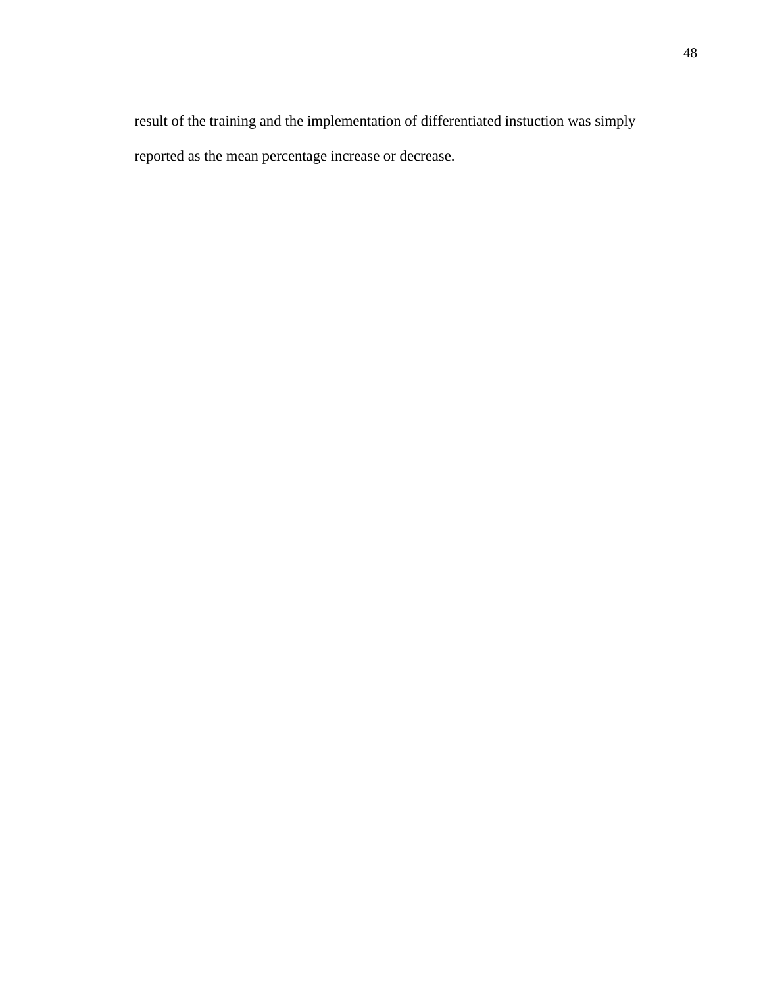result of the training and the implementation of differentiated instuction was simply reported as the mean percentage increase or decrease.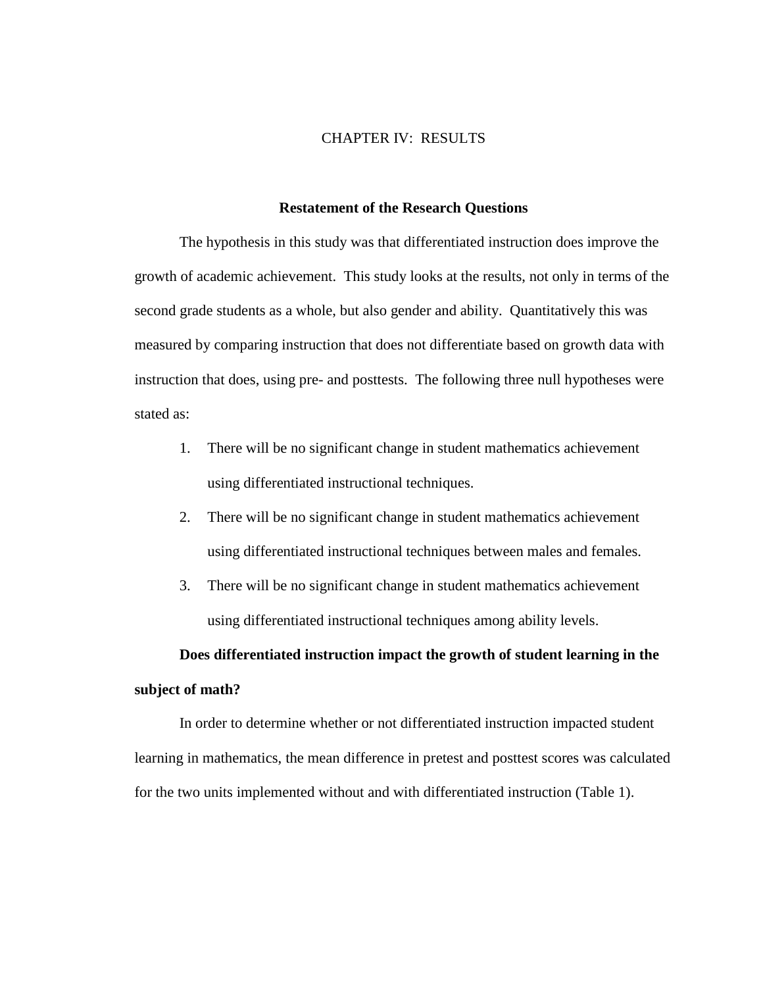## CHAPTER IV: RESULTS

#### **Restatement of the Research Questions**

The hypothesis in this study was that differentiated instruction does improve the growth of academic achievement. This study looks at the results, not only in terms of the second grade students as a whole, but also gender and ability. Quantitatively this was measured by comparing instruction that does not differentiate based on growth data with instruction that does, using pre- and posttests. The following three null hypotheses were stated as:

- 1. There will be no significant change in student mathematics achievement using differentiated instructional techniques.
- 2. There will be no significant change in student mathematics achievement using differentiated instructional techniques between males and females.
- 3. There will be no significant change in student mathematics achievement using differentiated instructional techniques among ability levels.

# **Does differentiated instruction impact the growth of student learning in the subject of math?**

In order to determine whether or not differentiated instruction impacted student learning in mathematics, the mean difference in pretest and posttest scores was calculated for the two units implemented without and with differentiated instruction (Table 1).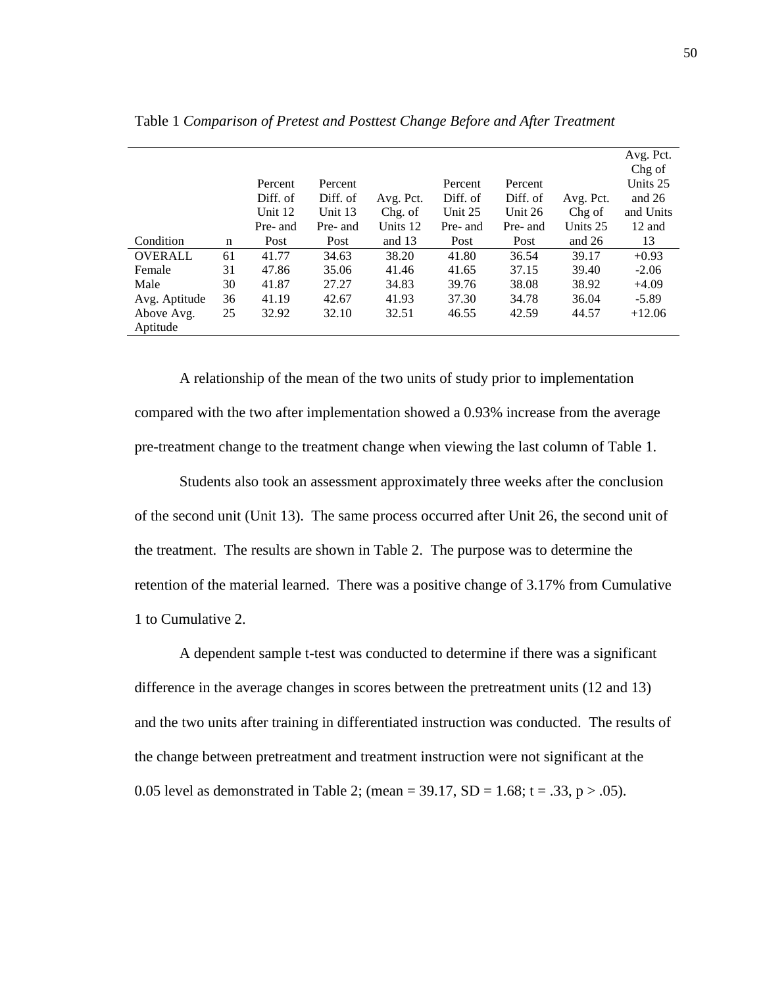|                |    |          |          |           |          |          |           | Avg. Pct. |
|----------------|----|----------|----------|-----------|----------|----------|-----------|-----------|
|                |    |          |          |           |          |          |           | Chg of    |
|                |    | Percent  | Percent  |           | Percent  | Percent  |           | Units 25  |
|                |    | Diff. of | Diff. of | Avg. Pct. | Diff. of | Diff. of | Avg. Pct. | and $26$  |
|                |    | Unit 12  | Unit 13  | Chg. of   | Unit 25  | Unit 26  | Chg of    | and Units |
|                |    | Pre- and | Pre- and | Units 12  | Pre- and | Pre- and | Units 25  | 12 and    |
| Condition      | n  | Post     | Post     | and $13$  | Post     | Post     | and $26$  | 13        |
| <b>OVERALL</b> | 61 | 41.77    | 34.63    | 38.20     | 41.80    | 36.54    | 39.17     | $+0.93$   |
| Female         | 31 | 47.86    | 35.06    | 41.46     | 41.65    | 37.15    | 39.40     | $-2.06$   |
| Male           | 30 | 41.87    | 27.27    | 34.83     | 39.76    | 38.08    | 38.92     | $+4.09$   |
| Avg. Aptitude  | 36 | 41.19    | 42.67    | 41.93     | 37.30    | 34.78    | 36.04     | $-5.89$   |
| Above Avg.     | 25 | 32.92    | 32.10    | 32.51     | 46.55    | 42.59    | 44.57     | $+12.06$  |
| Aptitude       |    |          |          |           |          |          |           |           |

Table 1 *Comparison of Pretest and Posttest Change Before and After Treatment*

A relationship of the mean of the two units of study prior to implementation compared with the two after implementation showed a 0.93% increase from the average pre-treatment change to the treatment change when viewing the last column of Table 1.

Students also took an assessment approximately three weeks after the conclusion of the second unit (Unit 13). The same process occurred after Unit 26, the second unit of the treatment. The results are shown in Table 2. The purpose was to determine the retention of the material learned. There was a positive change of 3.17% from Cumulative 1 to Cumulative 2.

A dependent sample t-test was conducted to determine if there was a significant difference in the average changes in scores between the pretreatment units (12 and 13) and the two units after training in differentiated instruction was conducted. The results of the change between pretreatment and treatment instruction were not significant at the 0.05 level as demonstrated in Table 2; (mean =  $39.17$ , SD =  $1.68$ ; t =  $.33$ , p >  $.05$ ).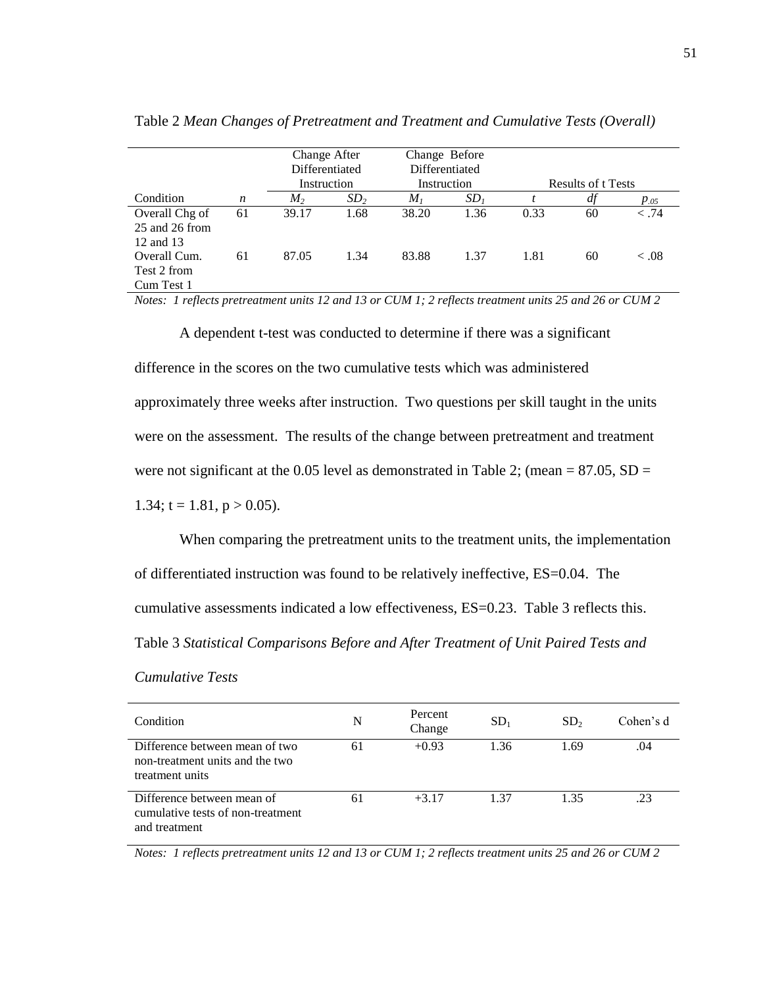|                                               |    | Change After<br>Differentiated |                            | Change Before<br>Differentiated |                           |      |    |           |
|-----------------------------------------------|----|--------------------------------|----------------------------|---------------------------------|---------------------------|------|----|-----------|
|                                               |    |                                | Instruction<br>Instruction |                                 | <b>Results of t Tests</b> |      |    |           |
| Condition                                     | n  | M <sub>2</sub>                 | SD <sub>2</sub>            | M <sub>I</sub>                  | SD <sub>1</sub>           |      | df | $p_{.05}$ |
| Overall Chg of<br>25 and 26 from<br>12 and 13 | 61 | 39.17                          | 1.68                       | 38.20                           | 1.36                      | 0.33 | 60 | $-.74$    |
| Overall Cum.<br>Test 2 from<br>Cum Test 1     | 61 | 87.05                          | 1.34                       | 83.88                           | 1.37                      | 1.81 | 60 | < 0.08    |

Table 2 *Mean Changes of Pretreatment and Treatment and Cumulative Tests (Overall)*

*Notes: 1 reflects pretreatment units 12 and 13 or CUM 1; 2 reflects treatment units 25 and 26 or CUM 2*

A dependent t-test was conducted to determine if there was a significant difference in the scores on the two cumulative tests which was administered approximately three weeks after instruction. Two questions per skill taught in the units were on the assessment. The results of the change between pretreatment and treatment were not significant at the 0.05 level as demonstrated in Table 2; (mean =  $87.05$ , SD = 1.34;  $t = 1.81$ ,  $p > 0.05$ ).

When comparing the pretreatment units to the treatment units, the implementation of differentiated instruction was found to be relatively ineffective, ES=0.04. The cumulative assessments indicated a low effectiveness, ES=0.23. Table 3 reflects this. Table 3 *Statistical Comparisons Before and After Treatment of Unit Paired Tests and* 

| <b>Cumulative Tests</b> |  |
|-------------------------|--|
|                         |  |

| Condition                                                                            | N  | Percent<br>Change | SD <sub>1</sub> | SD <sub>2</sub> | Cohen's d |
|--------------------------------------------------------------------------------------|----|-------------------|-----------------|-----------------|-----------|
| Difference between mean of two<br>non-treatment units and the two<br>treatment units | 61 | $+0.93$           | 1.36            | 1.69            | .04       |
| Difference between mean of<br>cumulative tests of non-treatment<br>and treatment     | 61 | $+3.17$           | 1.37            | 1.35            | .23       |

*Notes: 1 reflects pretreatment units 12 and 13 or CUM 1; 2 reflects treatment units 25 and 26 or CUM 2*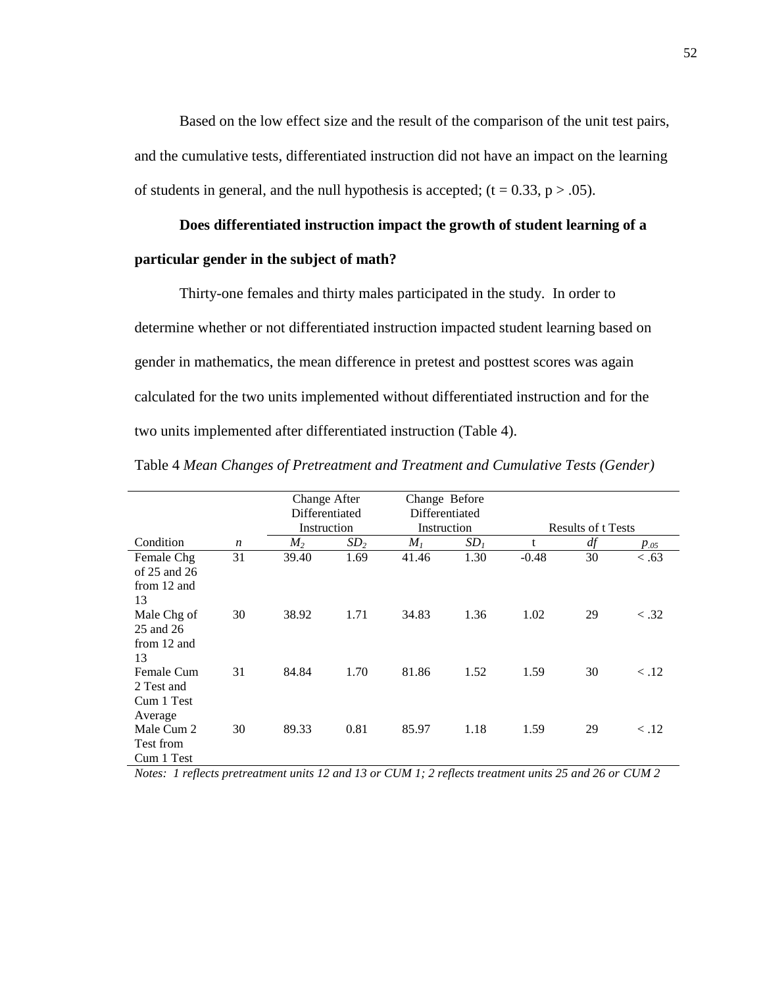Based on the low effect size and the result of the comparison of the unit test pairs, and the cumulative tests, differentiated instruction did not have an impact on the learning of students in general, and the null hypothesis is accepted;  $(t = 0.33, p > .05)$ .

## **Does differentiated instruction impact the growth of student learning of a**

### **particular gender in the subject of math?**

Thirty-one females and thirty males participated in the study. In order to determine whether or not differentiated instruction impacted student learning based on gender in mathematics, the mean difference in pretest and posttest scores was again calculated for the two units implemented without differentiated instruction and for the two units implemented after differentiated instruction (Table 4).

|                  |                  | Change After   |                 | Change Before  |                 |                           |    |                       |
|------------------|------------------|----------------|-----------------|----------------|-----------------|---------------------------|----|-----------------------|
|                  |                  | Differentiated |                 | Differentiated |                 |                           |    |                       |
|                  |                  | Instruction    |                 | Instruction    |                 | <b>Results of t Tests</b> |    |                       |
| Condition        | $\boldsymbol{n}$ | M <sub>2</sub> | SD <sub>2</sub> | M <sub>I</sub> | SD <sub>1</sub> | t                         | df | $p_{.05}$             |
| Female Chg       | 31               | 39.40          | 1.69            | 41.46          | 1.30            | $-0.48$                   | 30 | < .63                 |
| of $25$ and $26$ |                  |                |                 |                |                 |                           |    |                       |
| from 12 and      |                  |                |                 |                |                 |                           |    |                       |
| 13               |                  |                |                 |                |                 |                           |    |                       |
| Male Chg of      | 30               | 38.92          | 1.71            | 34.83          | 1.36            | 1.02                      | 29 | $\langle .32 \rangle$ |
| 25 and 26        |                  |                |                 |                |                 |                           |    |                       |
| from 12 and      |                  |                |                 |                |                 |                           |    |                       |
| 13               |                  |                |                 |                |                 |                           |    |                       |
| Female Cum       | 31               | 84.84          | 1.70            | 81.86          | 1.52            | 1.59                      | 30 | $\langle .12$         |
| 2 Test and       |                  |                |                 |                |                 |                           |    |                       |
| Cum 1 Test       |                  |                |                 |                |                 |                           |    |                       |
| Average          |                  |                |                 |                |                 |                           |    |                       |
| Male Cum 2       | 30               | 89.33          | 0.81            | 85.97          | 1.18            | 1.59                      | 29 | $\langle .12$         |
| Test from        |                  |                |                 |                |                 |                           |    |                       |
| Cum 1 Test       |                  |                |                 |                |                 |                           |    |                       |

Table 4 *Mean Changes of Pretreatment and Treatment and Cumulative Tests (Gender)*

*Notes: 1 reflects pretreatment units 12 and 13 or CUM 1; 2 reflects treatment units 25 and 26 or CUM 2*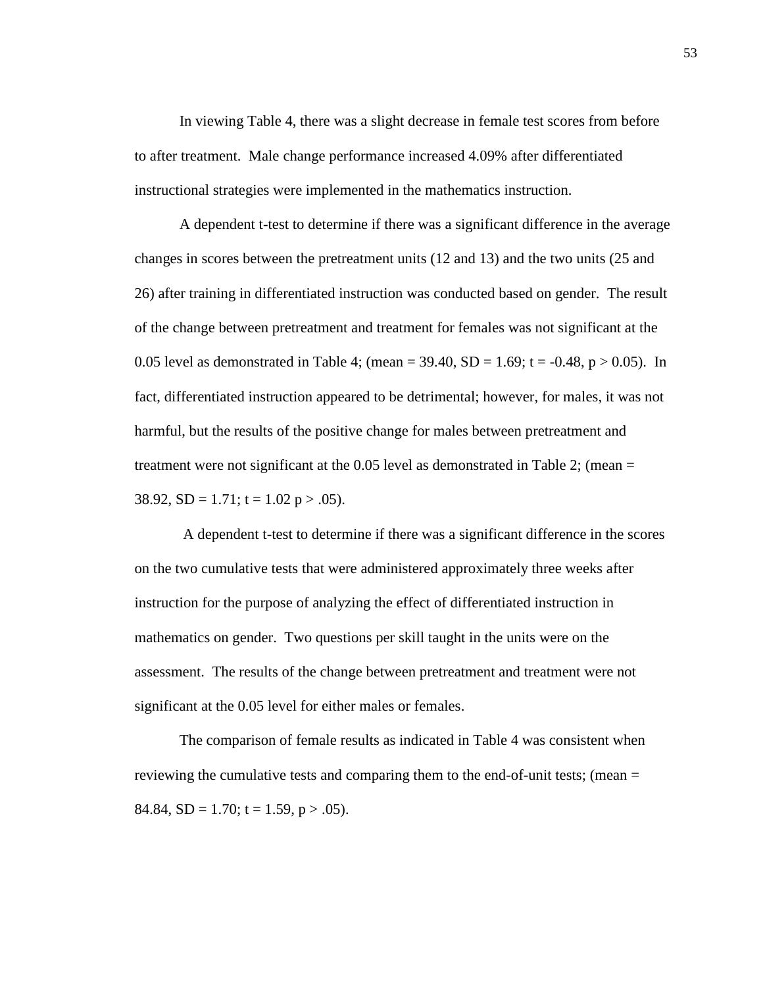In viewing Table 4, there was a slight decrease in female test scores from before to after treatment. Male change performance increased 4.09% after differentiated instructional strategies were implemented in the mathematics instruction.

A dependent t-test to determine if there was a significant difference in the average changes in scores between the pretreatment units (12 and 13) and the two units (25 and 26) after training in differentiated instruction was conducted based on gender. The result of the change between pretreatment and treatment for females was not significant at the 0.05 level as demonstrated in Table 4; (mean =  $39.40$ , SD =  $1.69$ ; t =  $-0.48$ , p  $> 0.05$ ). In fact, differentiated instruction appeared to be detrimental; however, for males, it was not harmful, but the results of the positive change for males between pretreatment and treatment were not significant at the 0.05 level as demonstrated in Table 2; (mean = 38.92,  $SD = 1.71$ ;  $t = 1.02$  p > .05).

A dependent t-test to determine if there was a significant difference in the scores on the two cumulative tests that were administered approximately three weeks after instruction for the purpose of analyzing the effect of differentiated instruction in mathematics on gender. Two questions per skill taught in the units were on the assessment. The results of the change between pretreatment and treatment were not significant at the 0.05 level for either males or females.

The comparison of female results as indicated in Table 4 was consistent when reviewing the cumulative tests and comparing them to the end-of-unit tests; (mean = 84.84,  $SD = 1.70$ ;  $t = 1.59$ ,  $p > .05$ ).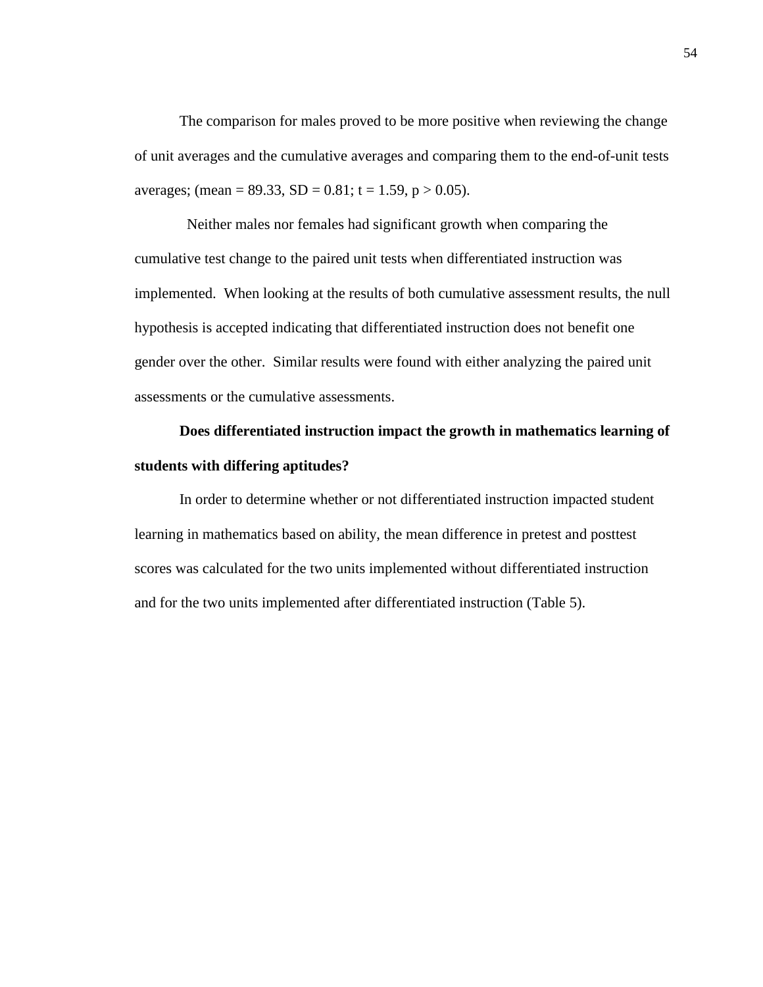The comparison for males proved to be more positive when reviewing the change of unit averages and the cumulative averages and comparing them to the end-of-unit tests averages; (mean = 89.33, SD = 0.81; t = 1.59, p > 0.05).

 Neither males nor females had significant growth when comparing the cumulative test change to the paired unit tests when differentiated instruction was implemented. When looking at the results of both cumulative assessment results, the null hypothesis is accepted indicating that differentiated instruction does not benefit one gender over the other. Similar results were found with either analyzing the paired unit assessments or the cumulative assessments.

# **Does differentiated instruction impact the growth in mathematics learning of students with differing aptitudes?**

In order to determine whether or not differentiated instruction impacted student learning in mathematics based on ability, the mean difference in pretest and posttest scores was calculated for the two units implemented without differentiated instruction and for the two units implemented after differentiated instruction (Table 5).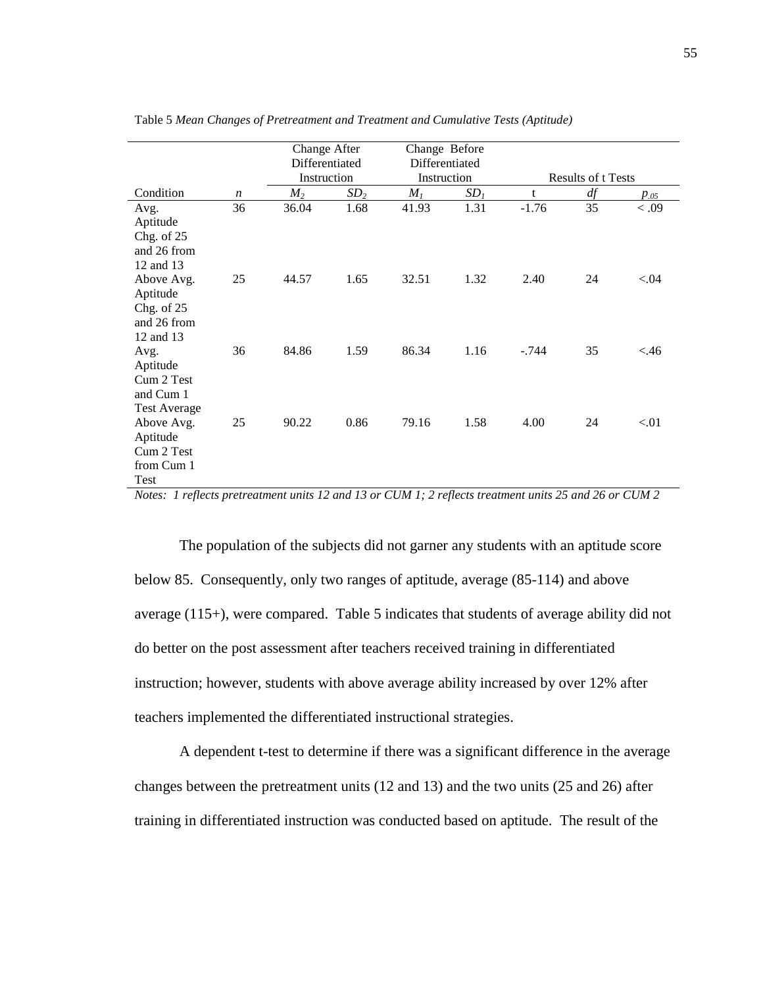|                                                                    |                  | Change After<br>Differentiated<br>Instruction |                 | Change Before<br>Differentiated<br>Instruction |                 |         | <b>Results of t Tests</b> |                   |
|--------------------------------------------------------------------|------------------|-----------------------------------------------|-----------------|------------------------------------------------|-----------------|---------|---------------------------|-------------------|
| Condition                                                          | $\boldsymbol{n}$ | M <sub>2</sub>                                | SD <sub>2</sub> | $M_I$                                          | SD <sub>1</sub> | t       | df                        |                   |
| Avg.<br>Aptitude<br>Chg. of 25<br>and 26 from<br>12 and 13         | 36               | 36.04                                         | 1.68            | 41.93                                          | 1.31            | $-1.76$ | 35                        | $p_{.05}$<br>0.09 |
| Above Avg.<br>Aptitude<br>Chg. of $25$<br>and 26 from<br>12 and 13 | 25               | 44.57                                         | 1.65            | 32.51                                          | 1.32            | 2.40    | 24                        | ${<}.04$          |
| Avg.<br>Aptitude<br>Cum 2 Test<br>and Cum 1<br><b>Test Average</b> | 36               | 84.86                                         | 1.59            | 86.34                                          | 1.16            | $-.744$ | 35                        | < .46             |
| Above Avg.<br>Aptitude<br>Cum 2 Test<br>from Cum 1<br>Test         | 25               | 90.22                                         | 0.86            | 79.16                                          | 1.58            | 4.00    | 24                        | < 01              |

Table 5 *Mean Changes of Pretreatment and Treatment and Cumulative Tests (Aptitude)*

*Notes: 1 reflects pretreatment units 12 and 13 or CUM 1; 2 reflects treatment units 25 and 26 or CUM 2*

The population of the subjects did not garner any students with an aptitude score below 85. Consequently, only two ranges of aptitude, average (85-114) and above average (115+), were compared. Table 5 indicates that students of average ability did not do better on the post assessment after teachers received training in differentiated instruction; however, students with above average ability increased by over 12% after teachers implemented the differentiated instructional strategies.

A dependent t-test to determine if there was a significant difference in the average changes between the pretreatment units (12 and 13) and the two units (25 and 26) after training in differentiated instruction was conducted based on aptitude. The result of the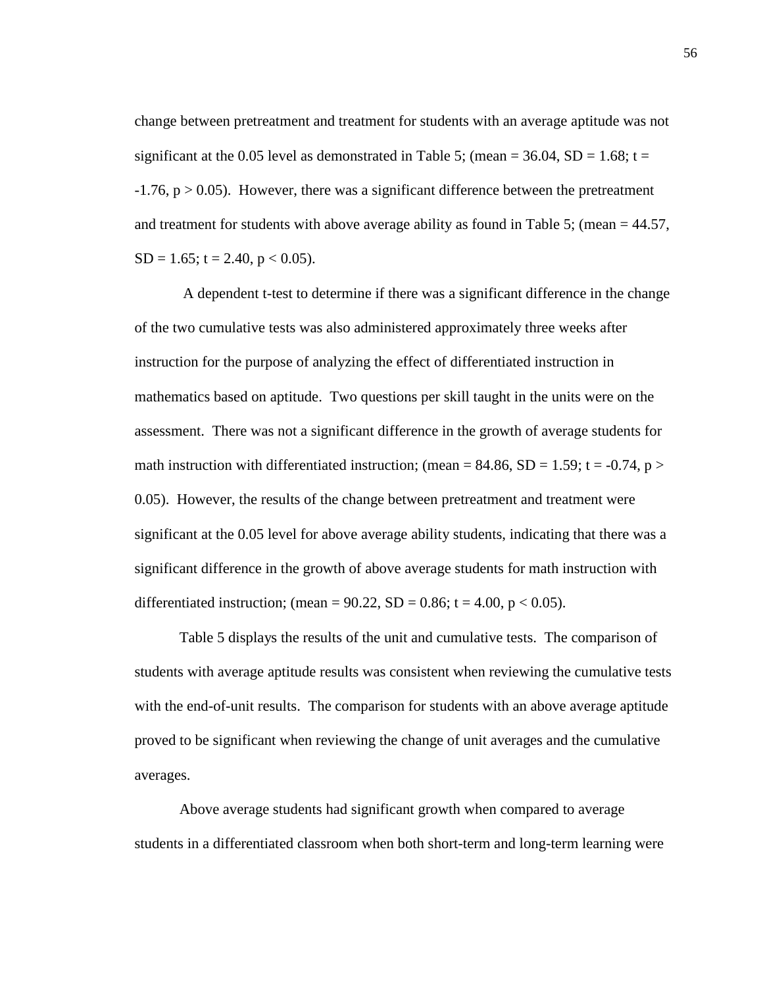change between pretreatment and treatment for students with an average aptitude was not significant at the 0.05 level as demonstrated in Table 5; (mean =  $36.04$ , SD =  $1.68$ ; t =  $-1.76$ ,  $p > 0.05$ ). However, there was a significant difference between the pretreatment and treatment for students with above average ability as found in Table 5; (mean  $= 44.57$ ,  $SD = 1.65$ ; t = 2.40, p < 0.05).

A dependent t-test to determine if there was a significant difference in the change of the two cumulative tests was also administered approximately three weeks after instruction for the purpose of analyzing the effect of differentiated instruction in mathematics based on aptitude. Two questions per skill taught in the units were on the assessment. There was not a significant difference in the growth of average students for math instruction with differentiated instruction; (mean =  $84.86$ , SD =  $1.59$ ; t =  $-0.74$ , p > 0.05). However, the results of the change between pretreatment and treatment were significant at the 0.05 level for above average ability students, indicating that there was a significant difference in the growth of above average students for math instruction with differentiated instruction; (mean =  $90.22$ , SD = 0.86; t = 4.00, p < 0.05).

Table 5 displays the results of the unit and cumulative tests. The comparison of students with average aptitude results was consistent when reviewing the cumulative tests with the end-of-unit results. The comparison for students with an above average aptitude proved to be significant when reviewing the change of unit averages and the cumulative averages.

Above average students had significant growth when compared to average students in a differentiated classroom when both short-term and long-term learning were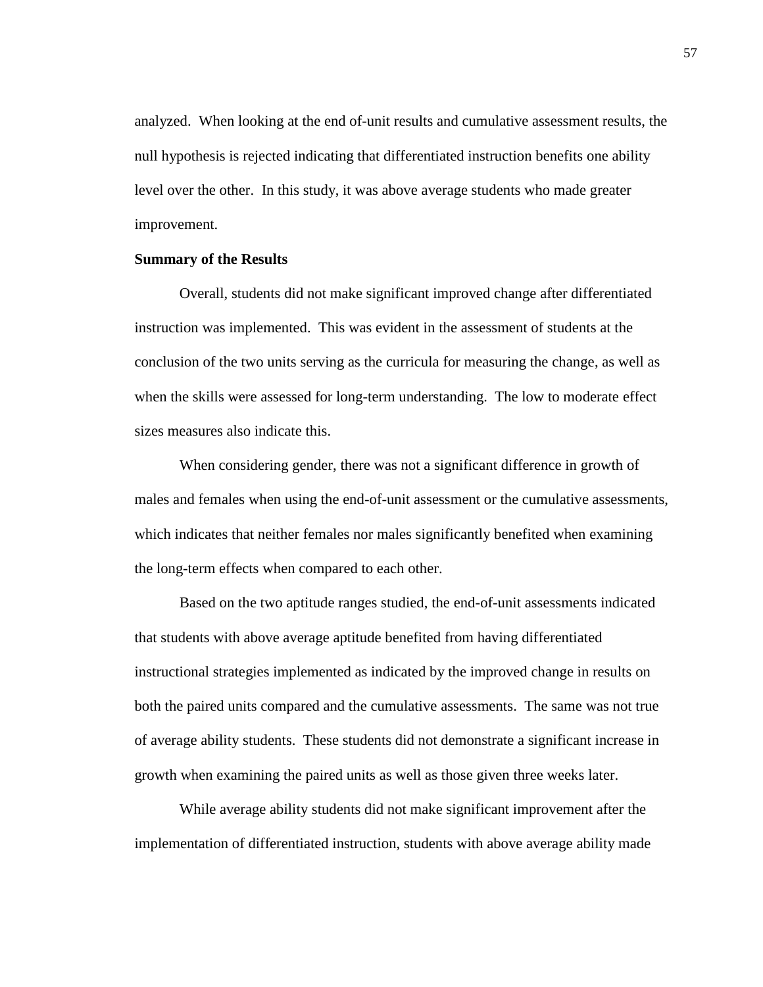analyzed. When looking at the end of-unit results and cumulative assessment results, the null hypothesis is rejected indicating that differentiated instruction benefits one ability level over the other. In this study, it was above average students who made greater improvement.

## **Summary of the Results**

Overall, students did not make significant improved change after differentiated instruction was implemented. This was evident in the assessment of students at the conclusion of the two units serving as the curricula for measuring the change, as well as when the skills were assessed for long-term understanding. The low to moderate effect sizes measures also indicate this.

When considering gender, there was not a significant difference in growth of males and females when using the end-of-unit assessment or the cumulative assessments, which indicates that neither females nor males significantly benefited when examining the long-term effects when compared to each other.

Based on the two aptitude ranges studied, the end-of-unit assessments indicated that students with above average aptitude benefited from having differentiated instructional strategies implemented as indicated by the improved change in results on both the paired units compared and the cumulative assessments. The same was not true of average ability students. These students did not demonstrate a significant increase in growth when examining the paired units as well as those given three weeks later.

While average ability students did not make significant improvement after the implementation of differentiated instruction, students with above average ability made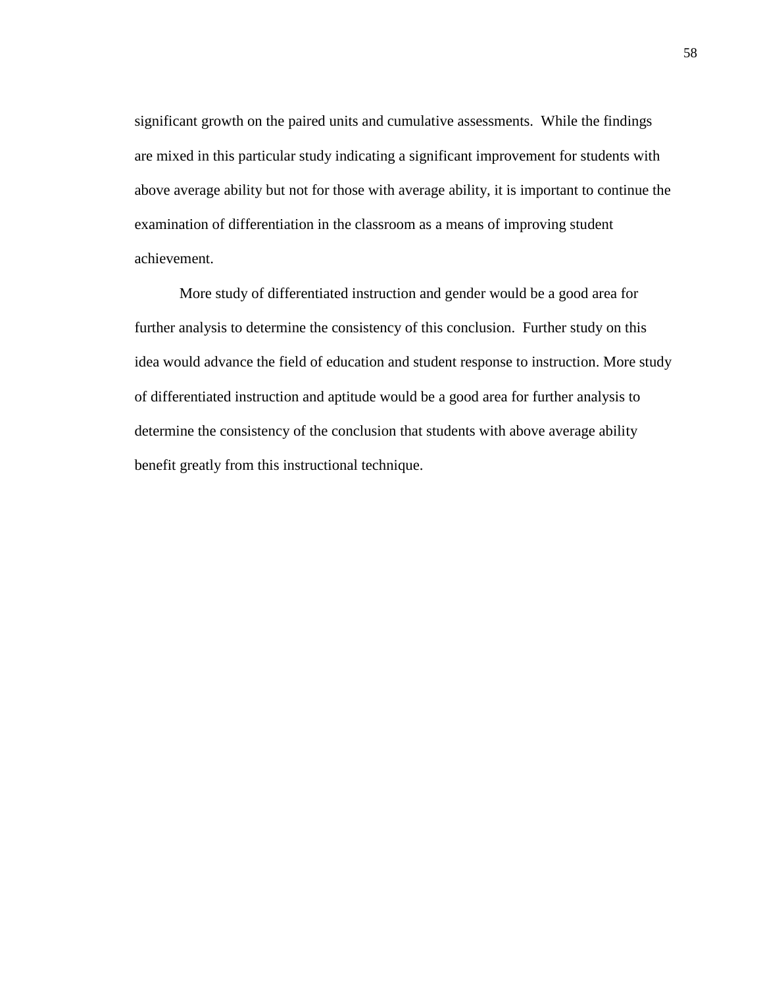significant growth on the paired units and cumulative assessments. While the findings are mixed in this particular study indicating a significant improvement for students with above average ability but not for those with average ability, it is important to continue the examination of differentiation in the classroom as a means of improving student achievement.

More study of differentiated instruction and gender would be a good area for further analysis to determine the consistency of this conclusion. Further study on this idea would advance the field of education and student response to instruction. More study of differentiated instruction and aptitude would be a good area for further analysis to determine the consistency of the conclusion that students with above average ability benefit greatly from this instructional technique.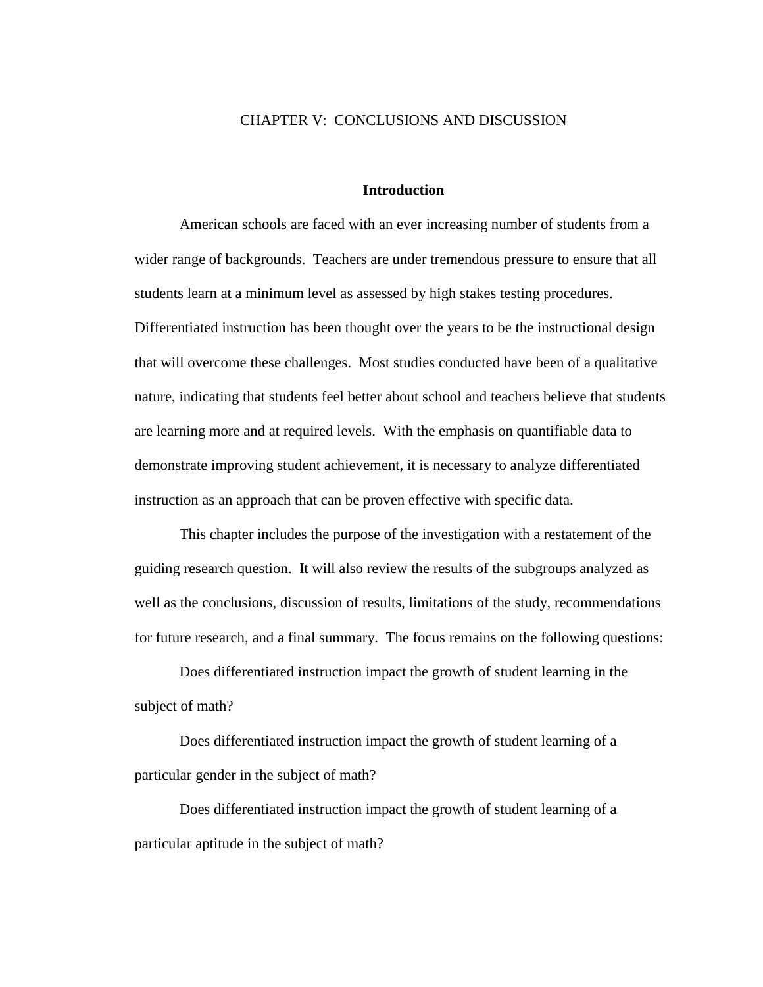## CHAPTER V: CONCLUSIONS AND DISCUSSION

#### **Introduction**

American schools are faced with an ever increasing number of students from a wider range of backgrounds. Teachers are under tremendous pressure to ensure that all students learn at a minimum level as assessed by high stakes testing procedures. Differentiated instruction has been thought over the years to be the instructional design that will overcome these challenges. Most studies conducted have been of a qualitative nature, indicating that students feel better about school and teachers believe that students are learning more and at required levels. With the emphasis on quantifiable data to demonstrate improving student achievement, it is necessary to analyze differentiated instruction as an approach that can be proven effective with specific data.

This chapter includes the purpose of the investigation with a restatement of the guiding research question. It will also review the results of the subgroups analyzed as well as the conclusions, discussion of results, limitations of the study, recommendations for future research, and a final summary. The focus remains on the following questions:

Does differentiated instruction impact the growth of student learning in the subject of math?

Does differentiated instruction impact the growth of student learning of a particular gender in the subject of math?

Does differentiated instruction impact the growth of student learning of a particular aptitude in the subject of math?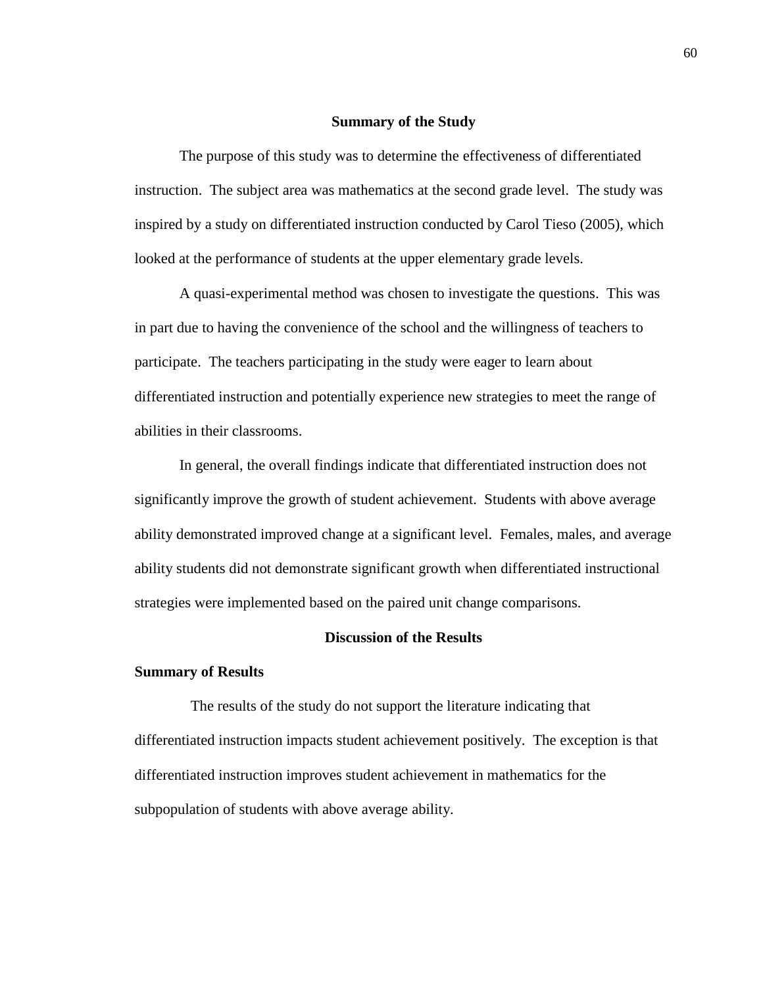#### **Summary of the Study**

The purpose of this study was to determine the effectiveness of differentiated instruction. The subject area was mathematics at the second grade level. The study was inspired by a study on differentiated instruction conducted by Carol Tieso (2005), which looked at the performance of students at the upper elementary grade levels.

A quasi-experimental method was chosen to investigate the questions. This was in part due to having the convenience of the school and the willingness of teachers to participate. The teachers participating in the study were eager to learn about differentiated instruction and potentially experience new strategies to meet the range of abilities in their classrooms.

In general, the overall findings indicate that differentiated instruction does not significantly improve the growth of student achievement. Students with above average ability demonstrated improved change at a significant level. Females, males, and average ability students did not demonstrate significant growth when differentiated instructional strategies were implemented based on the paired unit change comparisons.

## **Discussion of the Results**

#### **Summary of Results**

 The results of the study do not support the literature indicating that differentiated instruction impacts student achievement positively. The exception is that differentiated instruction improves student achievement in mathematics for the subpopulation of students with above average ability.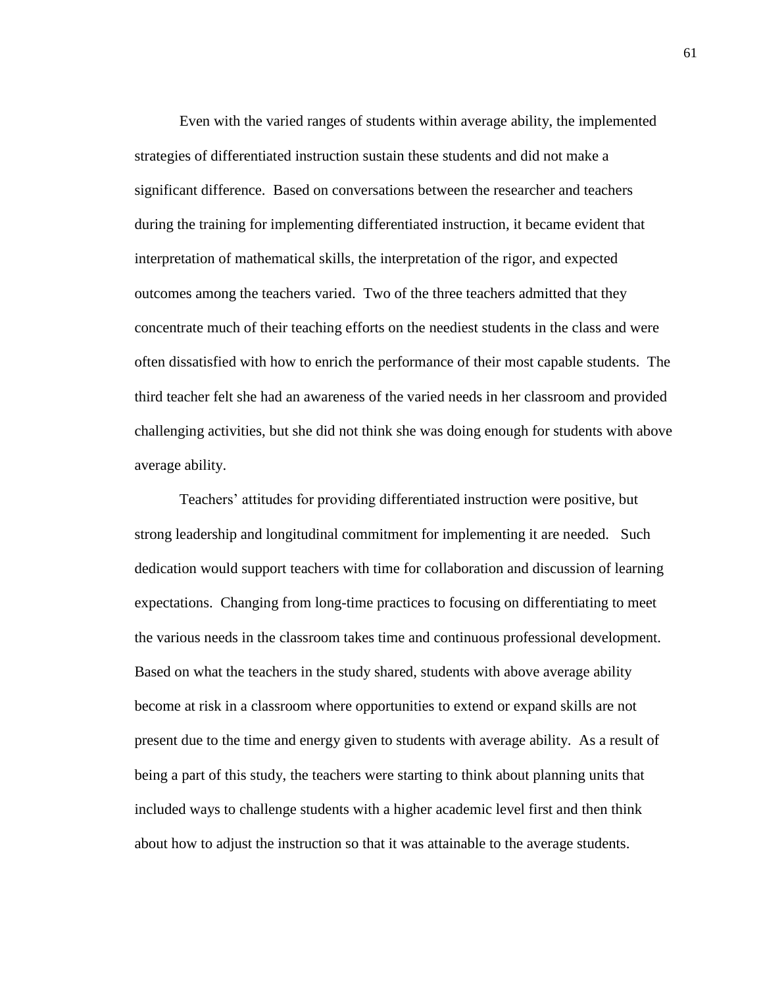Even with the varied ranges of students within average ability, the implemented strategies of differentiated instruction sustain these students and did not make a significant difference. Based on conversations between the researcher and teachers during the training for implementing differentiated instruction, it became evident that interpretation of mathematical skills, the interpretation of the rigor, and expected outcomes among the teachers varied. Two of the three teachers admitted that they concentrate much of their teaching efforts on the neediest students in the class and were often dissatisfied with how to enrich the performance of their most capable students. The third teacher felt she had an awareness of the varied needs in her classroom and provided challenging activities, but she did not think she was doing enough for students with above average ability.

Teachers' attitudes for providing differentiated instruction were positive, but strong leadership and longitudinal commitment for implementing it are needed. Such dedication would support teachers with time for collaboration and discussion of learning expectations. Changing from long-time practices to focusing on differentiating to meet the various needs in the classroom takes time and continuous professional development. Based on what the teachers in the study shared, students with above average ability become at risk in a classroom where opportunities to extend or expand skills are not present due to the time and energy given to students with average ability. As a result of being a part of this study, the teachers were starting to think about planning units that included ways to challenge students with a higher academic level first and then think about how to adjust the instruction so that it was attainable to the average students.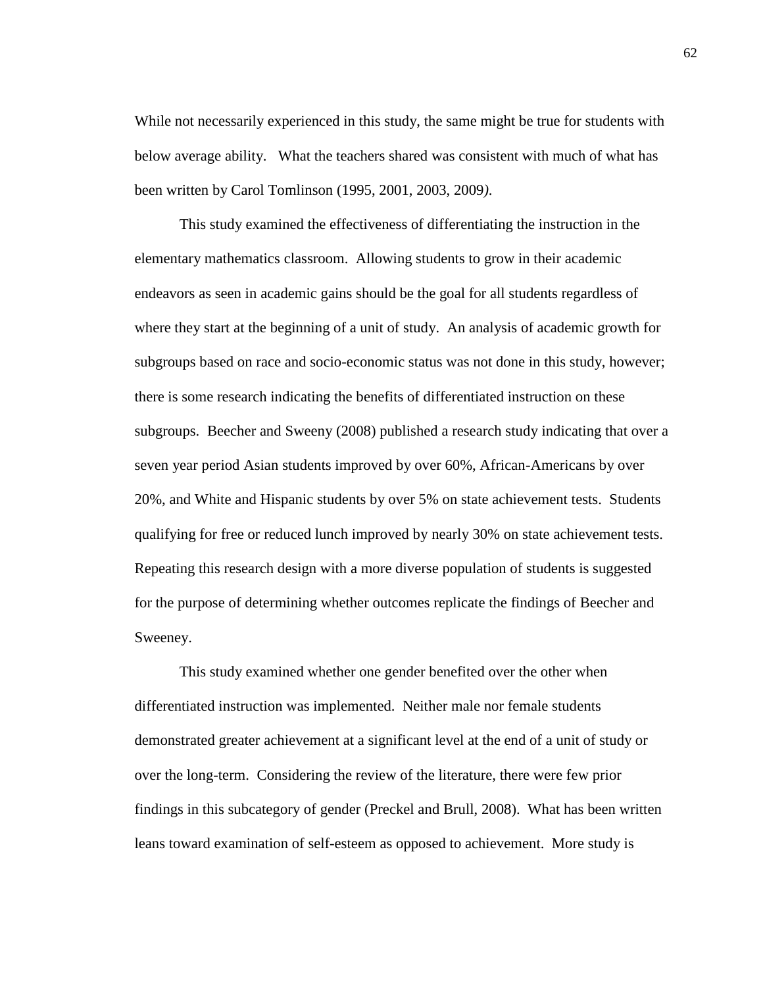While not necessarily experienced in this study, the same might be true for students with below average ability. What the teachers shared was consistent with much of what has been written by Carol Tomlinson (1995, 2001, 2003, 2009*)*.

This study examined the effectiveness of differentiating the instruction in the elementary mathematics classroom. Allowing students to grow in their academic endeavors as seen in academic gains should be the goal for all students regardless of where they start at the beginning of a unit of study. An analysis of academic growth for subgroups based on race and socio-economic status was not done in this study, however; there is some research indicating the benefits of differentiated instruction on these subgroups. Beecher and Sweeny (2008) published a research study indicating that over a seven year period Asian students improved by over 60%, African-Americans by over 20%, and White and Hispanic students by over 5% on state achievement tests. Students qualifying for free or reduced lunch improved by nearly 30% on state achievement tests. Repeating this research design with a more diverse population of students is suggested for the purpose of determining whether outcomes replicate the findings of Beecher and Sweeney.

This study examined whether one gender benefited over the other when differentiated instruction was implemented. Neither male nor female students demonstrated greater achievement at a significant level at the end of a unit of study or over the long-term. Considering the review of the literature, there were few prior findings in this subcategory of gender (Preckel and Brull, 2008). What has been written leans toward examination of self-esteem as opposed to achievement. More study is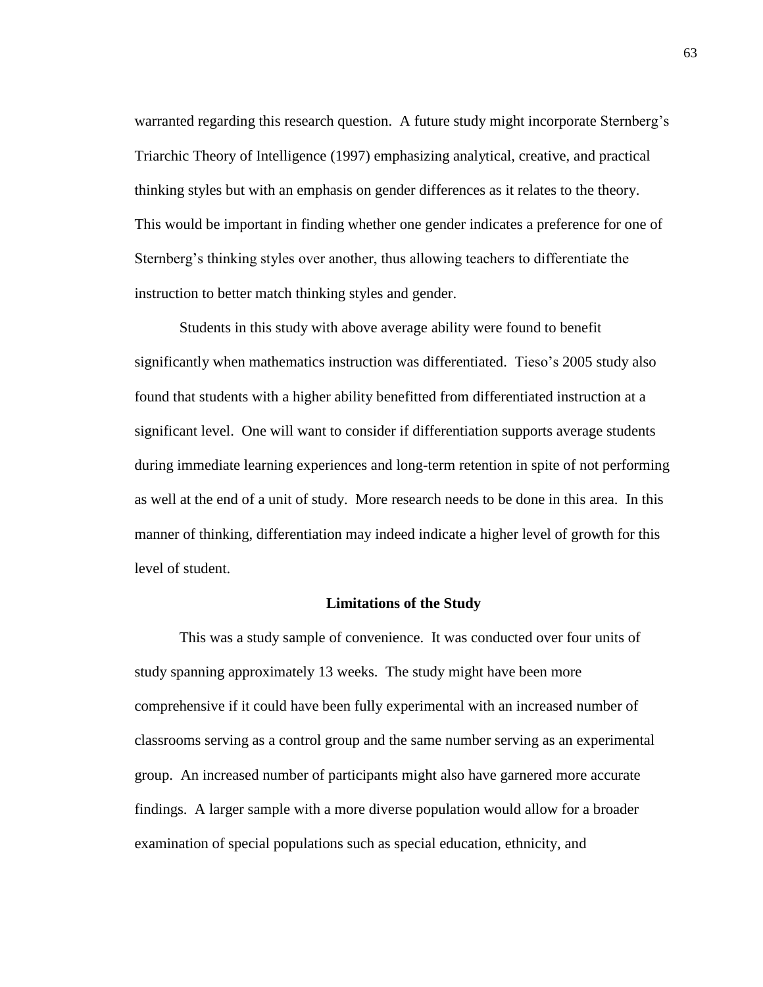warranted regarding this research question. A future study might incorporate Sternberg's Triarchic Theory of Intelligence (1997) emphasizing analytical, creative, and practical thinking styles but with an emphasis on gender differences as it relates to the theory. This would be important in finding whether one gender indicates a preference for one of Sternberg's thinking styles over another, thus allowing teachers to differentiate the instruction to better match thinking styles and gender.

Students in this study with above average ability were found to benefit significantly when mathematics instruction was differentiated. Tieso's 2005 study also found that students with a higher ability benefitted from differentiated instruction at a significant level. One will want to consider if differentiation supports average students during immediate learning experiences and long-term retention in spite of not performing as well at the end of a unit of study. More research needs to be done in this area. In this manner of thinking, differentiation may indeed indicate a higher level of growth for this level of student.

## **Limitations of the Study**

This was a study sample of convenience. It was conducted over four units of study spanning approximately 13 weeks. The study might have been more comprehensive if it could have been fully experimental with an increased number of classrooms serving as a control group and the same number serving as an experimental group. An increased number of participants might also have garnered more accurate findings. A larger sample with a more diverse population would allow for a broader examination of special populations such as special education, ethnicity, and

63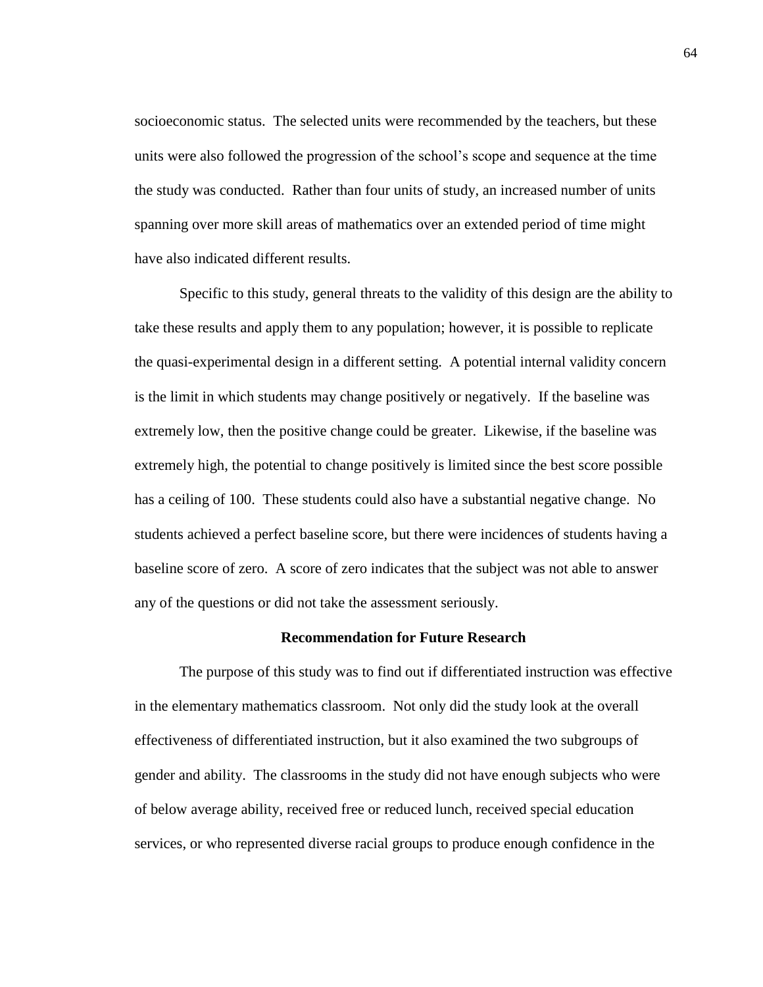socioeconomic status. The selected units were recommended by the teachers, but these units were also followed the progression of the school's scope and sequence at the time the study was conducted. Rather than four units of study, an increased number of units spanning over more skill areas of mathematics over an extended period of time might have also indicated different results.

Specific to this study, general threats to the validity of this design are the ability to take these results and apply them to any population; however, it is possible to replicate the quasi-experimental design in a different setting. A potential internal validity concern is the limit in which students may change positively or negatively. If the baseline was extremely low, then the positive change could be greater. Likewise, if the baseline was extremely high, the potential to change positively is limited since the best score possible has a ceiling of 100. These students could also have a substantial negative change. No students achieved a perfect baseline score, but there were incidences of students having a baseline score of zero. A score of zero indicates that the subject was not able to answer any of the questions or did not take the assessment seriously.

## **Recommendation for Future Research**

The purpose of this study was to find out if differentiated instruction was effective in the elementary mathematics classroom. Not only did the study look at the overall effectiveness of differentiated instruction, but it also examined the two subgroups of gender and ability. The classrooms in the study did not have enough subjects who were of below average ability, received free or reduced lunch, received special education services, or who represented diverse racial groups to produce enough confidence in the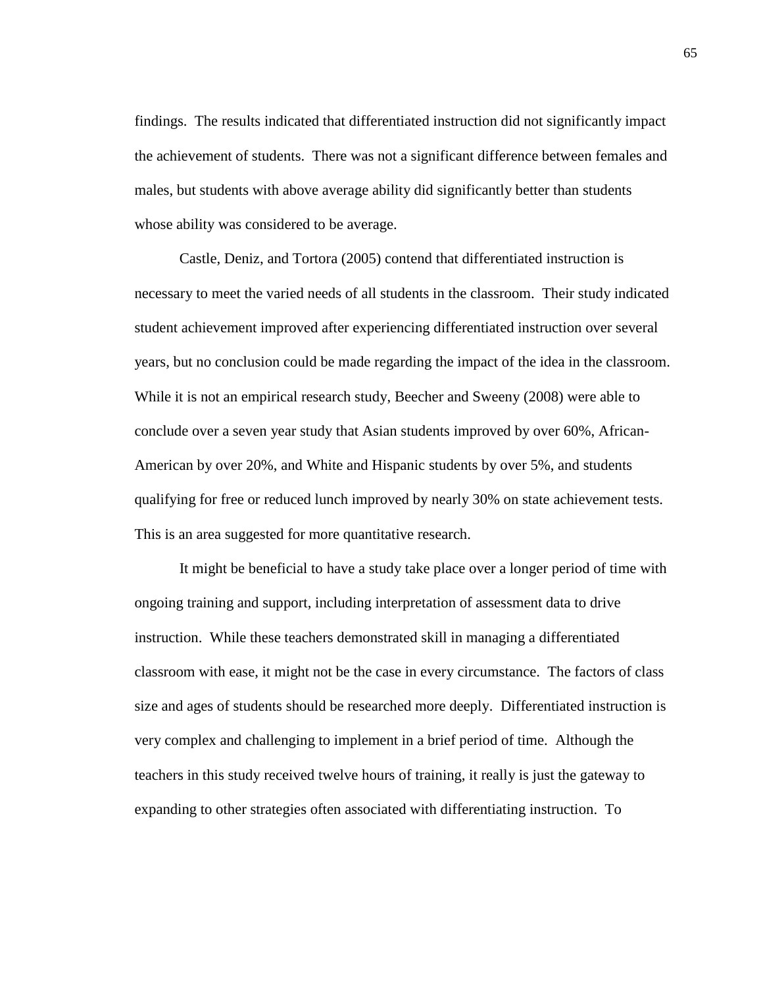findings. The results indicated that differentiated instruction did not significantly impact the achievement of students. There was not a significant difference between females and males, but students with above average ability did significantly better than students whose ability was considered to be average.

Castle, Deniz, and Tortora (2005) contend that differentiated instruction is necessary to meet the varied needs of all students in the classroom. Their study indicated student achievement improved after experiencing differentiated instruction over several years, but no conclusion could be made regarding the impact of the idea in the classroom. While it is not an empirical research study, Beecher and Sweeny (2008) were able to conclude over a seven year study that Asian students improved by over 60%, African-American by over 20%, and White and Hispanic students by over 5%, and students qualifying for free or reduced lunch improved by nearly 30% on state achievement tests. This is an area suggested for more quantitative research.

It might be beneficial to have a study take place over a longer period of time with ongoing training and support, including interpretation of assessment data to drive instruction. While these teachers demonstrated skill in managing a differentiated classroom with ease, it might not be the case in every circumstance. The factors of class size and ages of students should be researched more deeply. Differentiated instruction is very complex and challenging to implement in a brief period of time. Although the teachers in this study received twelve hours of training, it really is just the gateway to expanding to other strategies often associated with differentiating instruction. To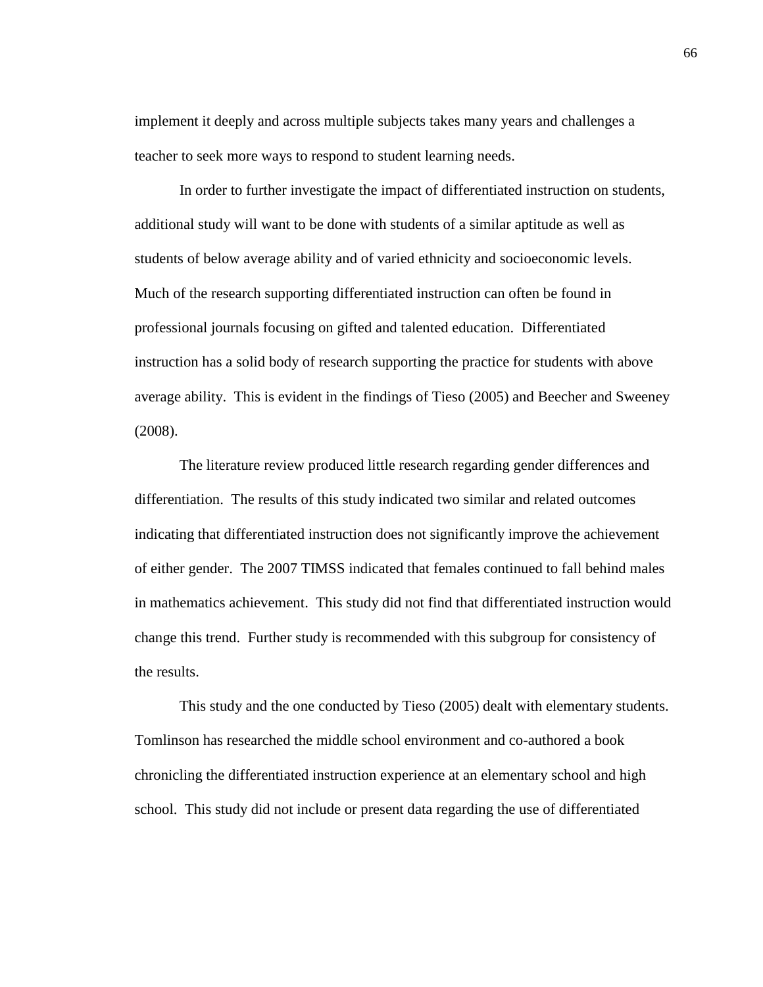implement it deeply and across multiple subjects takes many years and challenges a teacher to seek more ways to respond to student learning needs.

In order to further investigate the impact of differentiated instruction on students, additional study will want to be done with students of a similar aptitude as well as students of below average ability and of varied ethnicity and socioeconomic levels. Much of the research supporting differentiated instruction can often be found in professional journals focusing on gifted and talented education. Differentiated instruction has a solid body of research supporting the practice for students with above average ability. This is evident in the findings of Tieso (2005) and Beecher and Sweeney (2008).

The literature review produced little research regarding gender differences and differentiation. The results of this study indicated two similar and related outcomes indicating that differentiated instruction does not significantly improve the achievement of either gender. The 2007 TIMSS indicated that females continued to fall behind males in mathematics achievement. This study did not find that differentiated instruction would change this trend. Further study is recommended with this subgroup for consistency of the results.

This study and the one conducted by Tieso (2005) dealt with elementary students. Tomlinson has researched the middle school environment and co-authored a book chronicling the differentiated instruction experience at an elementary school and high school. This study did not include or present data regarding the use of differentiated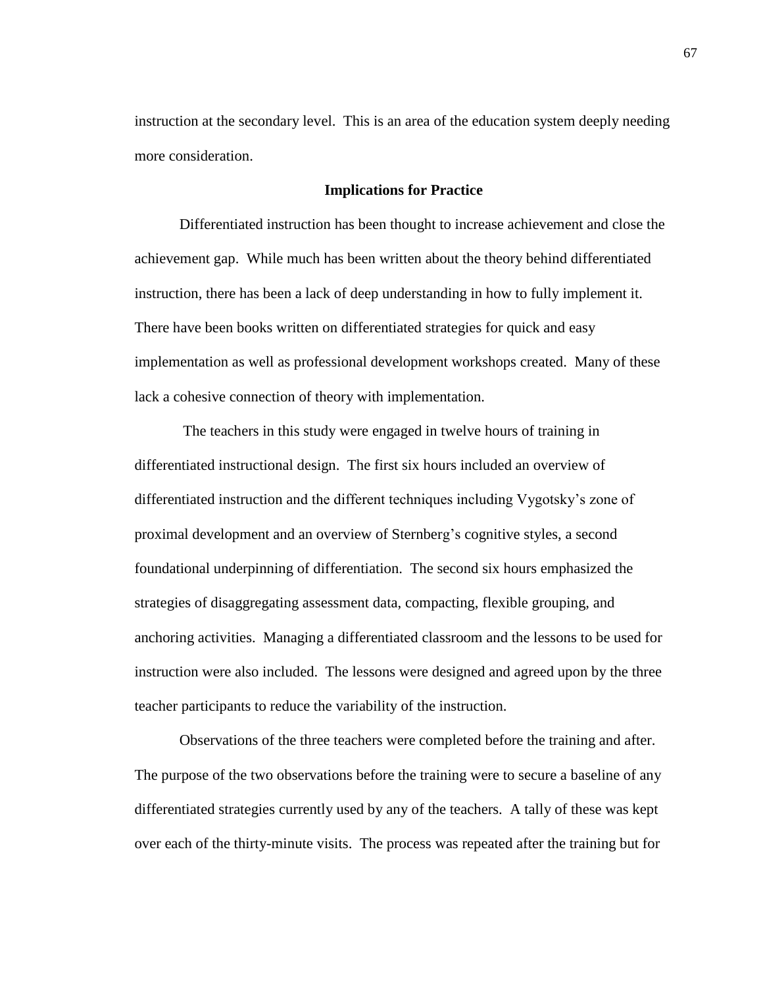instruction at the secondary level. This is an area of the education system deeply needing more consideration.

#### **Implications for Practice**

Differentiated instruction has been thought to increase achievement and close the achievement gap. While much has been written about the theory behind differentiated instruction, there has been a lack of deep understanding in how to fully implement it. There have been books written on differentiated strategies for quick and easy implementation as well as professional development workshops created. Many of these lack a cohesive connection of theory with implementation.

The teachers in this study were engaged in twelve hours of training in differentiated instructional design. The first six hours included an overview of differentiated instruction and the different techniques including Vygotsky's zone of proximal development and an overview of Sternberg's cognitive styles, a second foundational underpinning of differentiation. The second six hours emphasized the strategies of disaggregating assessment data, compacting, flexible grouping, and anchoring activities. Managing a differentiated classroom and the lessons to be used for instruction were also included. The lessons were designed and agreed upon by the three teacher participants to reduce the variability of the instruction.

Observations of the three teachers were completed before the training and after. The purpose of the two observations before the training were to secure a baseline of any differentiated strategies currently used by any of the teachers. A tally of these was kept over each of the thirty-minute visits. The process was repeated after the training but for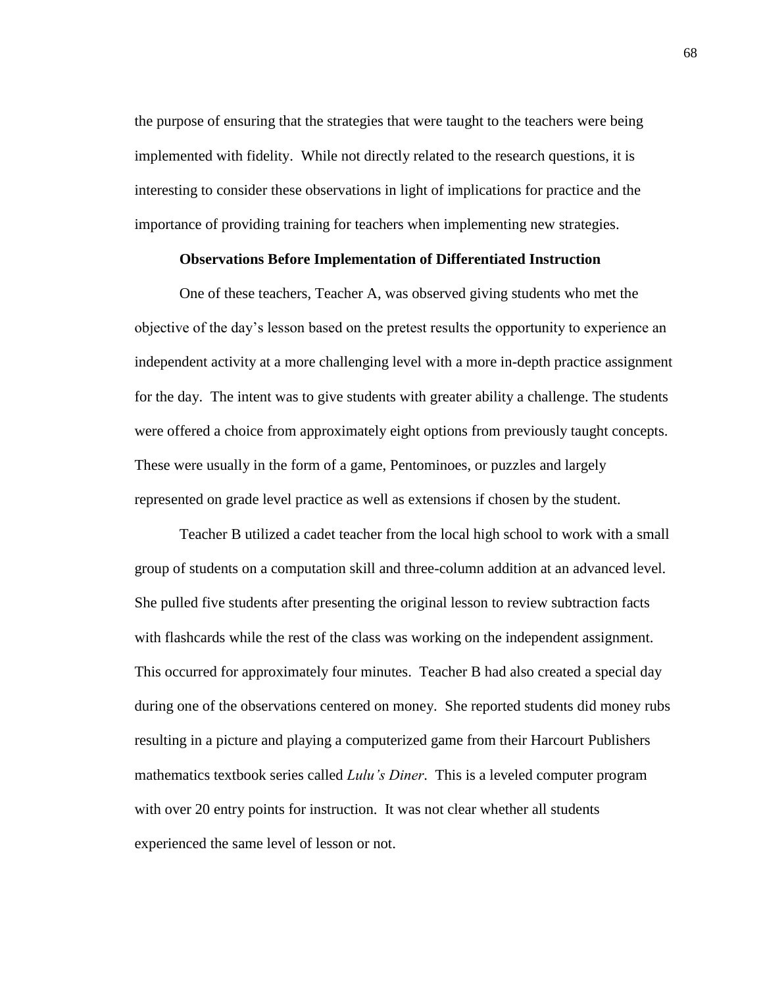the purpose of ensuring that the strategies that were taught to the teachers were being implemented with fidelity. While not directly related to the research questions, it is interesting to consider these observations in light of implications for practice and the importance of providing training for teachers when implementing new strategies.

## **Observations Before Implementation of Differentiated Instruction**

One of these teachers, Teacher A, was observed giving students who met the objective of the day's lesson based on the pretest results the opportunity to experience an independent activity at a more challenging level with a more in-depth practice assignment for the day. The intent was to give students with greater ability a challenge. The students were offered a choice from approximately eight options from previously taught concepts. These were usually in the form of a game, Pentominoes, or puzzles and largely represented on grade level practice as well as extensions if chosen by the student.

Teacher B utilized a cadet teacher from the local high school to work with a small group of students on a computation skill and three-column addition at an advanced level. She pulled five students after presenting the original lesson to review subtraction facts with flashcards while the rest of the class was working on the independent assignment. This occurred for approximately four minutes. Teacher B had also created a special day during one of the observations centered on money. She reported students did money rubs resulting in a picture and playing a computerized game from their Harcourt Publishers mathematics textbook series called *Lulu's Diner*. This is a leveled computer program with over 20 entry points for instruction. It was not clear whether all students experienced the same level of lesson or not.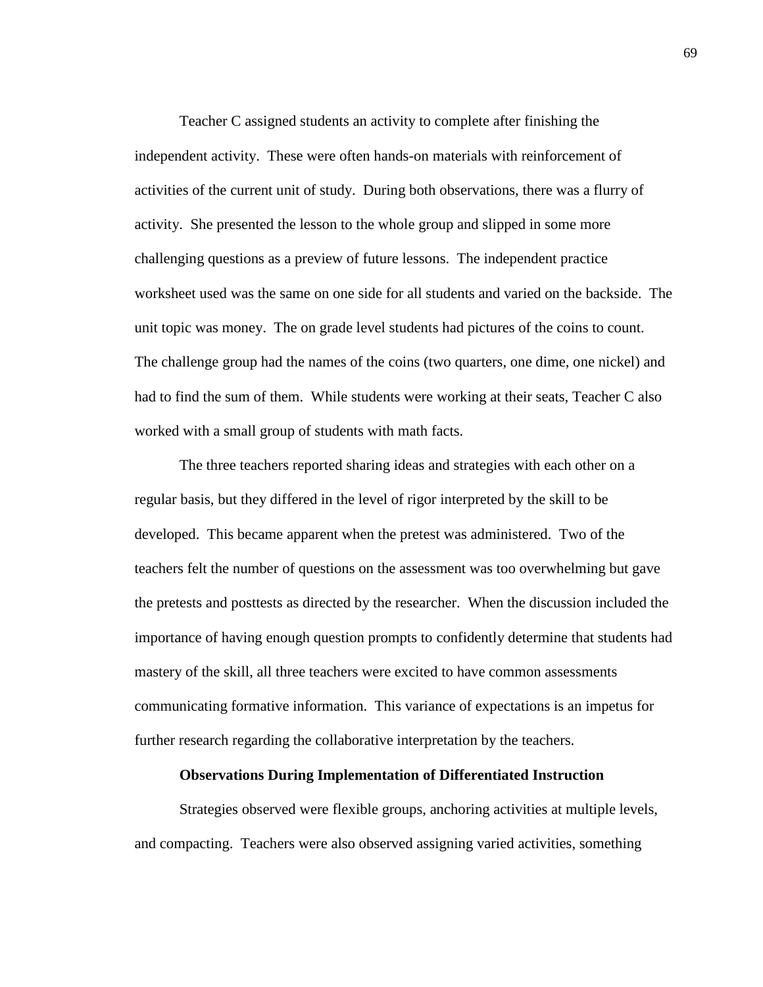Teacher C assigned students an activity to complete after finishing the independent activity. These were often hands-on materials with reinforcement of activities of the current unit of study. During both observations, there was a flurry of activity. She presented the lesson to the whole group and slipped in some more challenging questions as a preview of future lessons. The independent practice worksheet used was the same on one side for all students and varied on the backside. The unit topic was money. The on grade level students had pictures of the coins to count. The challenge group had the names of the coins (two quarters, one dime, one nickel) and had to find the sum of them. While students were working at their seats, Teacher C also worked with a small group of students with math facts.

The three teachers reported sharing ideas and strategies with each other on a regular basis, but they differed in the level of rigor interpreted by the skill to be developed. This became apparent when the pretest was administered. Two of the teachers felt the number of questions on the assessment was too overwhelming but gave the pretests and posttests as directed by the researcher. When the discussion included the importance of having enough question prompts to confidently determine that students had mastery of the skill, all three teachers were excited to have common assessments communicating formative information. This variance of expectations is an impetus for further research regarding the collaborative interpretation by the teachers.

## **Observations During Implementation of Differentiated Instruction**

Strategies observed were flexible groups, anchoring activities at multiple levels, and compacting. Teachers were also observed assigning varied activities, something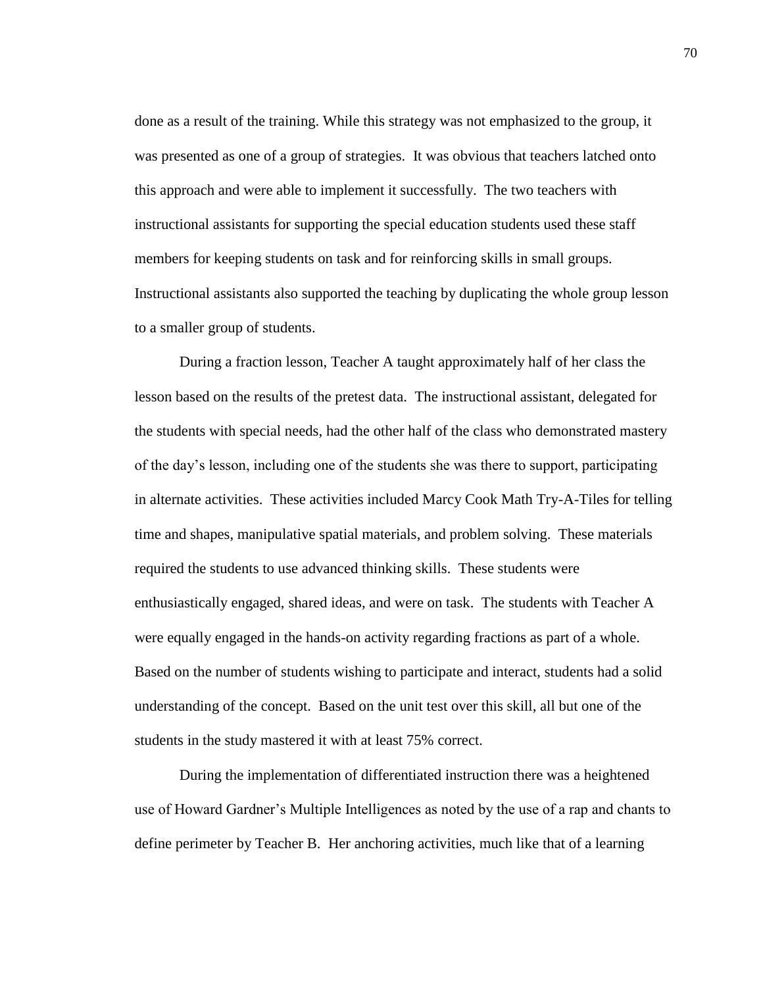done as a result of the training. While this strategy was not emphasized to the group, it was presented as one of a group of strategies. It was obvious that teachers latched onto this approach and were able to implement it successfully. The two teachers with instructional assistants for supporting the special education students used these staff members for keeping students on task and for reinforcing skills in small groups. Instructional assistants also supported the teaching by duplicating the whole group lesson to a smaller group of students.

During a fraction lesson, Teacher A taught approximately half of her class the lesson based on the results of the pretest data. The instructional assistant, delegated for the students with special needs, had the other half of the class who demonstrated mastery of the day's lesson, including one of the students she was there to support, participating in alternate activities. These activities included Marcy Cook Math Try-A-Tiles for telling time and shapes, manipulative spatial materials, and problem solving. These materials required the students to use advanced thinking skills. These students were enthusiastically engaged, shared ideas, and were on task. The students with Teacher A were equally engaged in the hands-on activity regarding fractions as part of a whole. Based on the number of students wishing to participate and interact, students had a solid understanding of the concept. Based on the unit test over this skill, all but one of the students in the study mastered it with at least 75% correct.

During the implementation of differentiated instruction there was a heightened use of Howard Gardner's Multiple Intelligences as noted by the use of a rap and chants to define perimeter by Teacher B. Her anchoring activities, much like that of a learning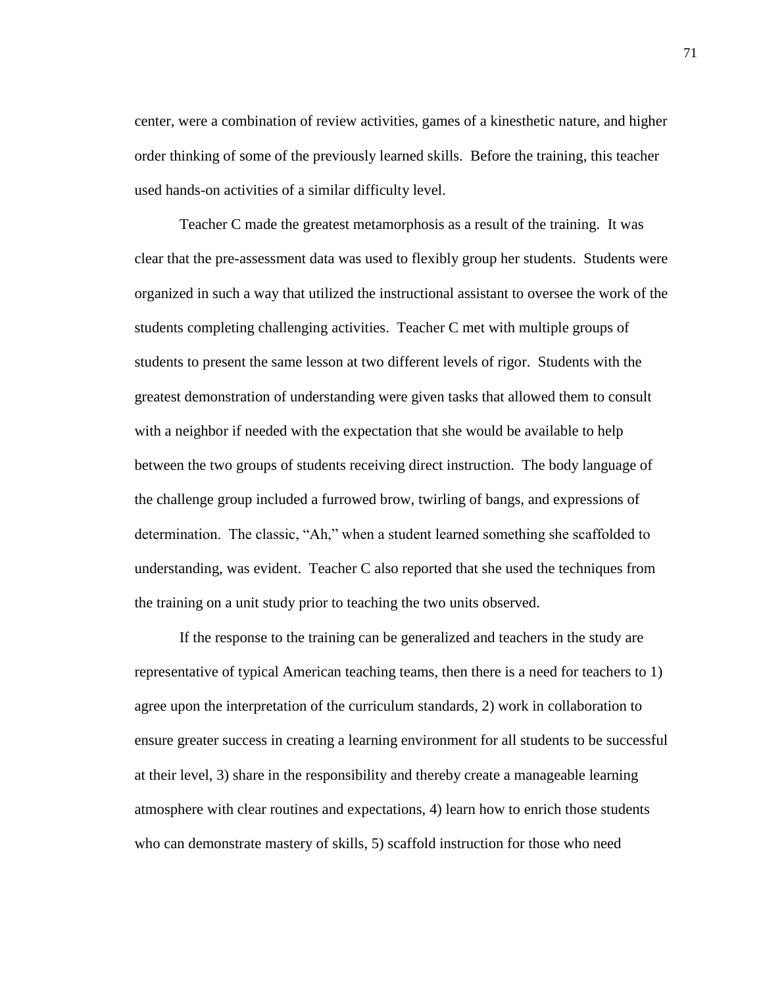center, were a combination of review activities, games of a kinesthetic nature, and higher order thinking of some of the previously learned skills. Before the training, this teacher used hands-on activities of a similar difficulty level.

Teacher C made the greatest metamorphosis as a result of the training. It was clear that the pre-assessment data was used to flexibly group her students. Students were organized in such a way that utilized the instructional assistant to oversee the work of the students completing challenging activities. Teacher C met with multiple groups of students to present the same lesson at two different levels of rigor. Students with the greatest demonstration of understanding were given tasks that allowed them to consult with a neighbor if needed with the expectation that she would be available to help between the two groups of students receiving direct instruction. The body language of the challenge group included a furrowed brow, twirling of bangs, and expressions of determination. The classic, "Ah," when a student learned something she scaffolded to understanding, was evident. Teacher C also reported that she used the techniques from the training on a unit study prior to teaching the two units observed.

If the response to the training can be generalized and teachers in the study are representative of typical American teaching teams, then there is a need for teachers to 1) agree upon the interpretation of the curriculum standards, 2) work in collaboration to ensure greater success in creating a learning environment for all students to be successful at their level, 3) share in the responsibility and thereby create a manageable learning atmosphere with clear routines and expectations, 4) learn how to enrich those students who can demonstrate mastery of skills, 5) scaffold instruction for those who need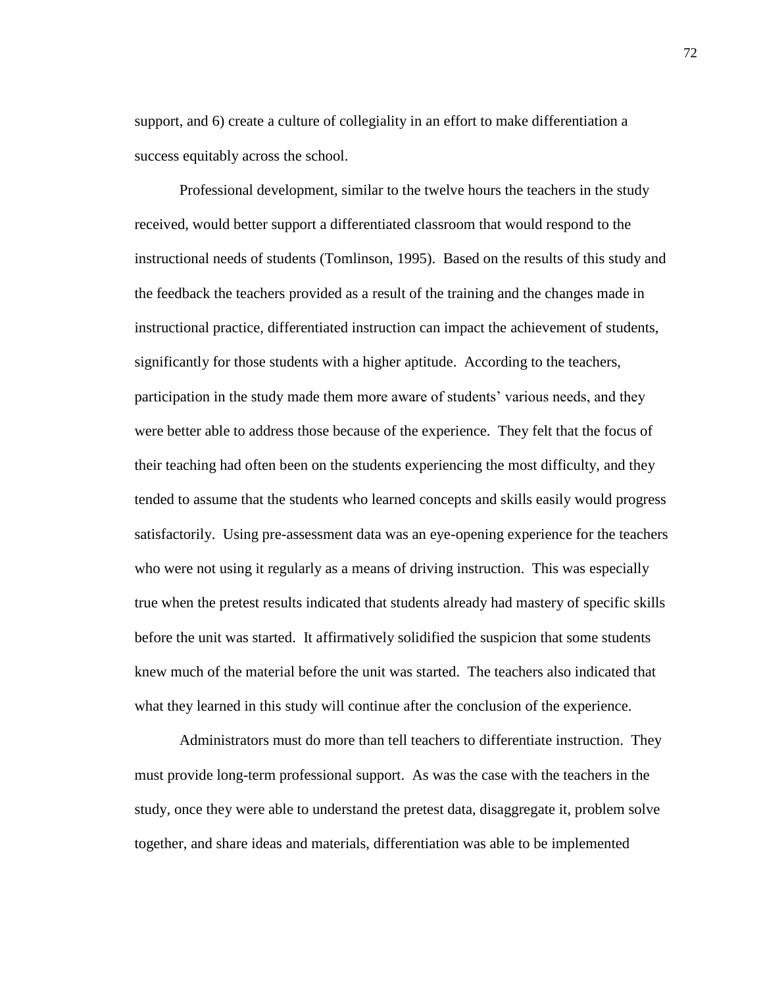support, and 6) create a culture of collegiality in an effort to make differentiation a success equitably across the school.

Professional development, similar to the twelve hours the teachers in the study received, would better support a differentiated classroom that would respond to the instructional needs of students (Tomlinson, 1995). Based on the results of this study and the feedback the teachers provided as a result of the training and the changes made in instructional practice, differentiated instruction can impact the achievement of students, significantly for those students with a higher aptitude. According to the teachers, participation in the study made them more aware of students' various needs, and they were better able to address those because of the experience. They felt that the focus of their teaching had often been on the students experiencing the most difficulty, and they tended to assume that the students who learned concepts and skills easily would progress satisfactorily. Using pre-assessment data was an eye-opening experience for the teachers who were not using it regularly as a means of driving instruction. This was especially true when the pretest results indicated that students already had mastery of specific skills before the unit was started. It affirmatively solidified the suspicion that some students knew much of the material before the unit was started. The teachers also indicated that what they learned in this study will continue after the conclusion of the experience.

Administrators must do more than tell teachers to differentiate instruction. They must provide long-term professional support. As was the case with the teachers in the study, once they were able to understand the pretest data, disaggregate it, problem solve together, and share ideas and materials, differentiation was able to be implemented

72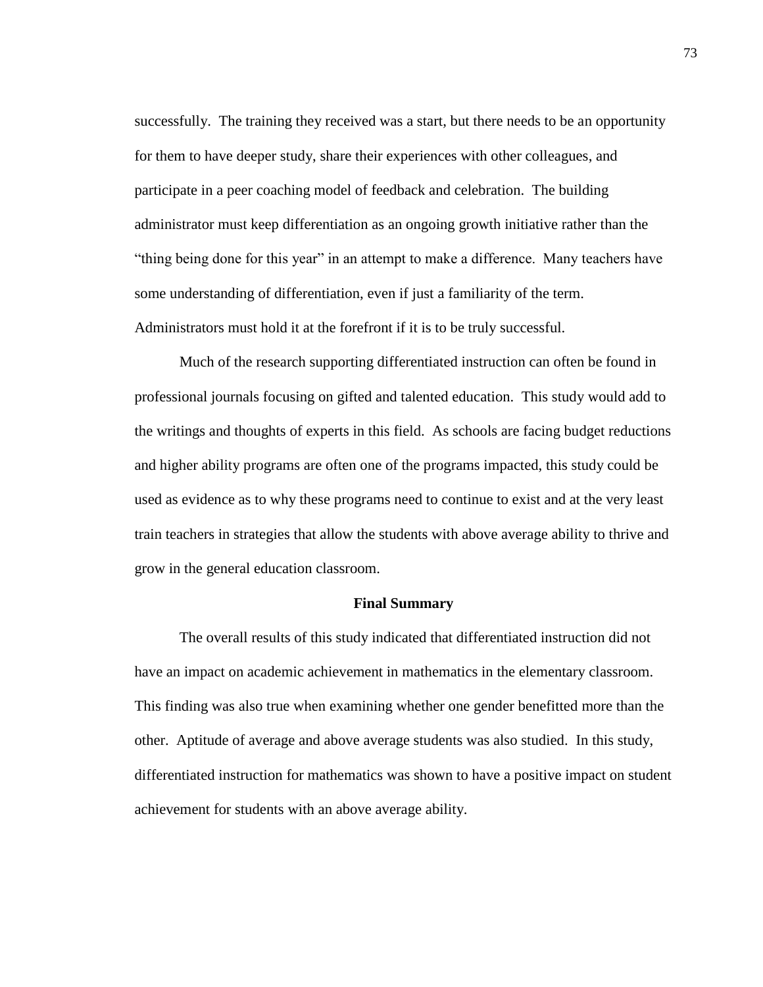successfully. The training they received was a start, but there needs to be an opportunity for them to have deeper study, share their experiences with other colleagues, and participate in a peer coaching model of feedback and celebration. The building administrator must keep differentiation as an ongoing growth initiative rather than the "thing being done for this year" in an attempt to make a difference. Many teachers have some understanding of differentiation, even if just a familiarity of the term. Administrators must hold it at the forefront if it is to be truly successful.

Much of the research supporting differentiated instruction can often be found in professional journals focusing on gifted and talented education. This study would add to the writings and thoughts of experts in this field. As schools are facing budget reductions and higher ability programs are often one of the programs impacted, this study could be used as evidence as to why these programs need to continue to exist and at the very least train teachers in strategies that allow the students with above average ability to thrive and grow in the general education classroom.

### **Final Summary**

The overall results of this study indicated that differentiated instruction did not have an impact on academic achievement in mathematics in the elementary classroom. This finding was also true when examining whether one gender benefitted more than the other. Aptitude of average and above average students was also studied. In this study, differentiated instruction for mathematics was shown to have a positive impact on student achievement for students with an above average ability.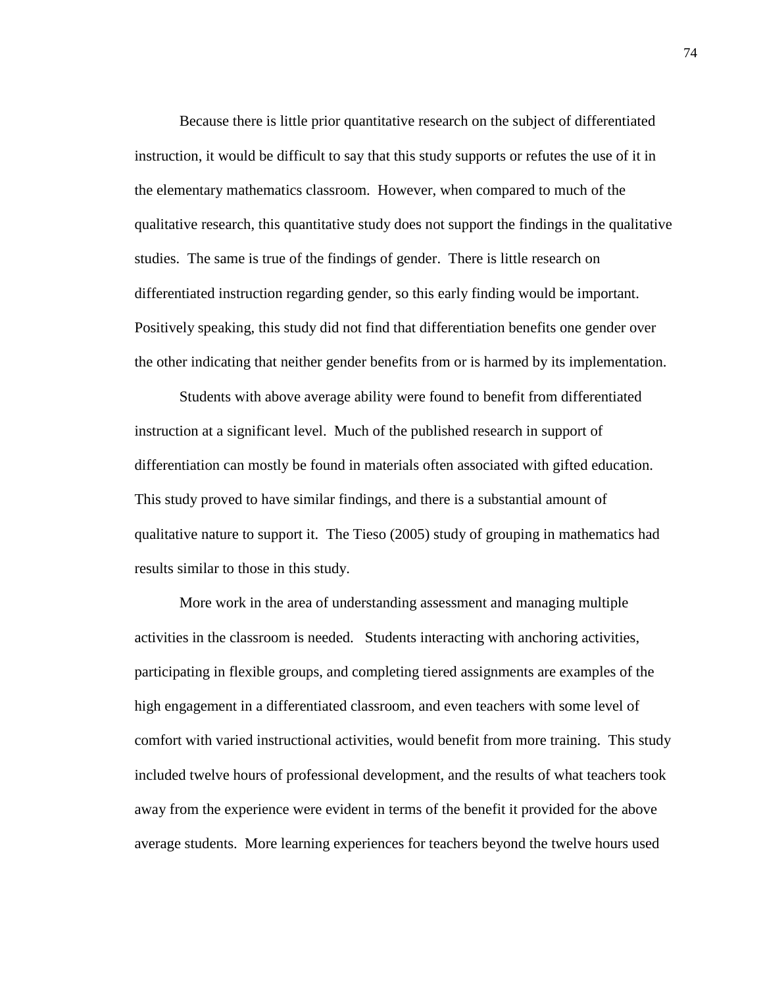Because there is little prior quantitative research on the subject of differentiated instruction, it would be difficult to say that this study supports or refutes the use of it in the elementary mathematics classroom. However, when compared to much of the qualitative research, this quantitative study does not support the findings in the qualitative studies. The same is true of the findings of gender. There is little research on differentiated instruction regarding gender, so this early finding would be important. Positively speaking, this study did not find that differentiation benefits one gender over the other indicating that neither gender benefits from or is harmed by its implementation.

Students with above average ability were found to benefit from differentiated instruction at a significant level. Much of the published research in support of differentiation can mostly be found in materials often associated with gifted education. This study proved to have similar findings, and there is a substantial amount of qualitative nature to support it. The Tieso (2005) study of grouping in mathematics had results similar to those in this study.

More work in the area of understanding assessment and managing multiple activities in the classroom is needed. Students interacting with anchoring activities, participating in flexible groups, and completing tiered assignments are examples of the high engagement in a differentiated classroom, and even teachers with some level of comfort with varied instructional activities, would benefit from more training. This study included twelve hours of professional development, and the results of what teachers took away from the experience were evident in terms of the benefit it provided for the above average students. More learning experiences for teachers beyond the twelve hours used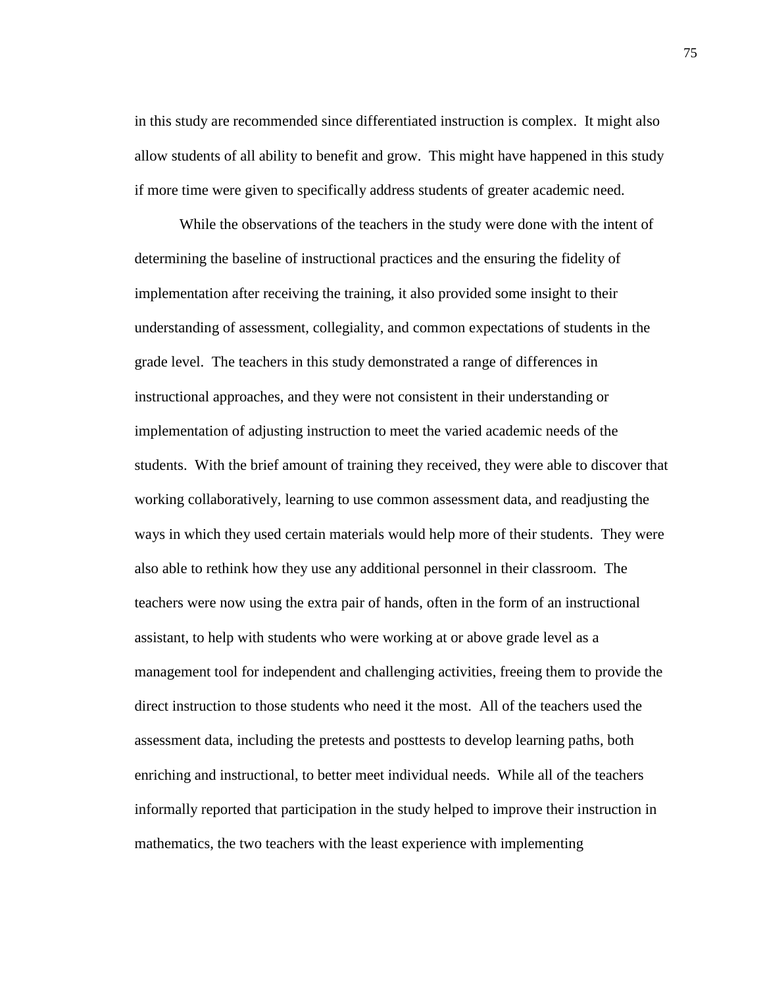in this study are recommended since differentiated instruction is complex. It might also allow students of all ability to benefit and grow. This might have happened in this study if more time were given to specifically address students of greater academic need.

While the observations of the teachers in the study were done with the intent of determining the baseline of instructional practices and the ensuring the fidelity of implementation after receiving the training, it also provided some insight to their understanding of assessment, collegiality, and common expectations of students in the grade level. The teachers in this study demonstrated a range of differences in instructional approaches, and they were not consistent in their understanding or implementation of adjusting instruction to meet the varied academic needs of the students. With the brief amount of training they received, they were able to discover that working collaboratively, learning to use common assessment data, and readjusting the ways in which they used certain materials would help more of their students. They were also able to rethink how they use any additional personnel in their classroom. The teachers were now using the extra pair of hands, often in the form of an instructional assistant, to help with students who were working at or above grade level as a management tool for independent and challenging activities, freeing them to provide the direct instruction to those students who need it the most. All of the teachers used the assessment data, including the pretests and posttests to develop learning paths, both enriching and instructional, to better meet individual needs. While all of the teachers informally reported that participation in the study helped to improve their instruction in mathematics, the two teachers with the least experience with implementing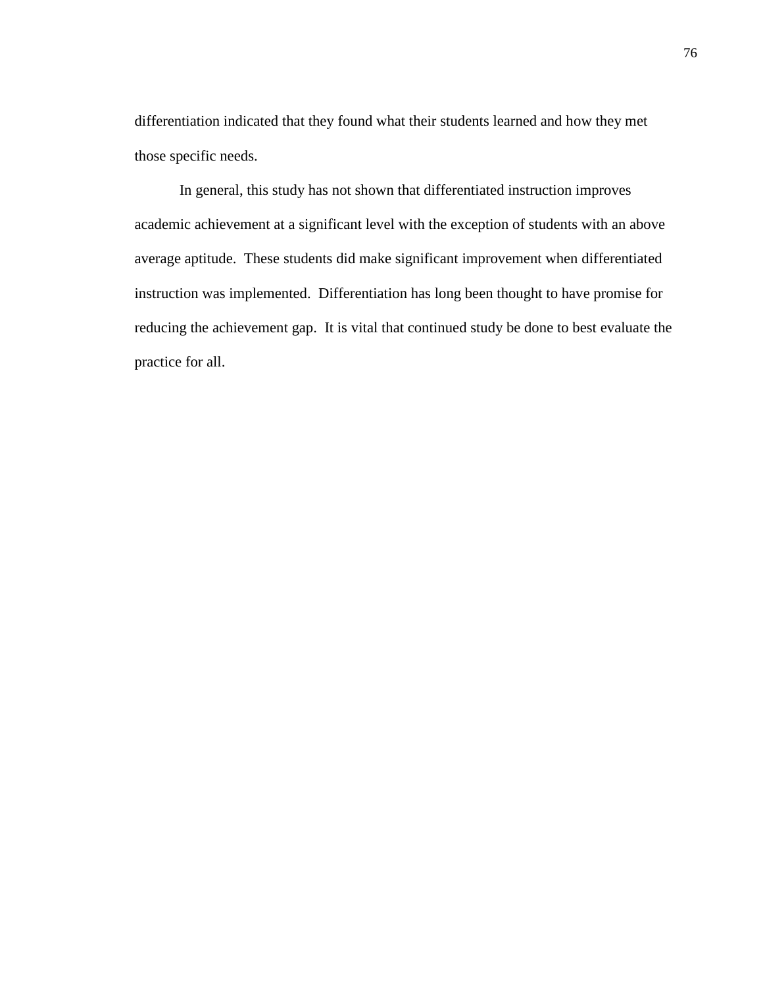differentiation indicated that they found what their students learned and how they met those specific needs.

In general, this study has not shown that differentiated instruction improves academic achievement at a significant level with the exception of students with an above average aptitude. These students did make significant improvement when differentiated instruction was implemented. Differentiation has long been thought to have promise for reducing the achievement gap. It is vital that continued study be done to best evaluate the practice for all.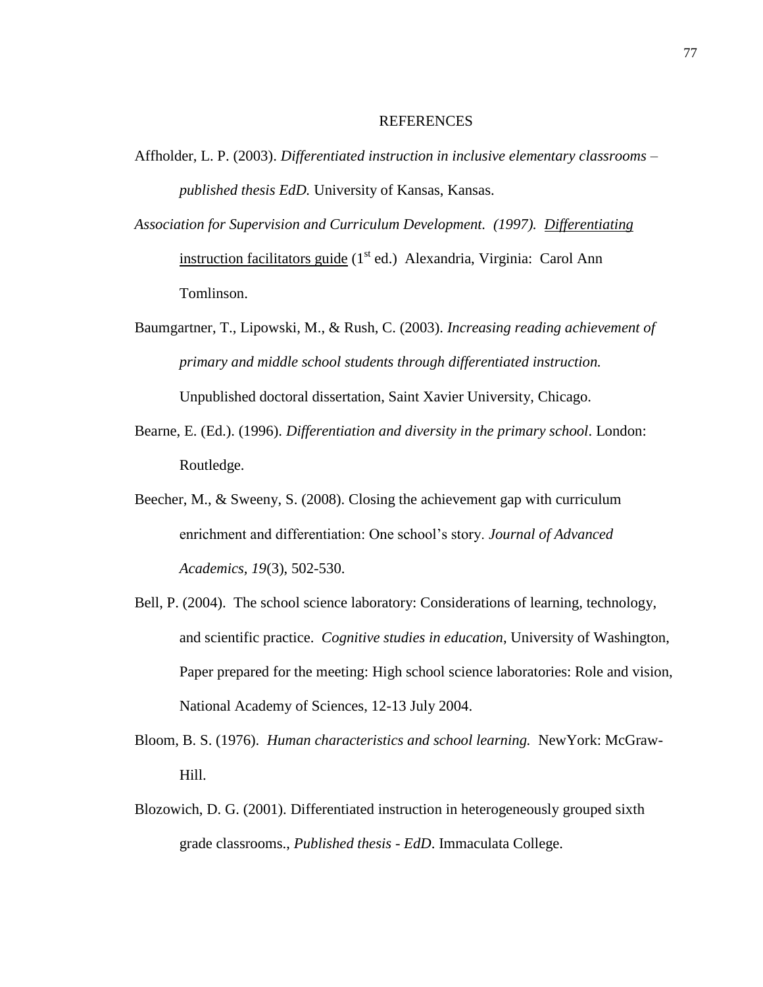#### REFERENCES

- Affholder, L. P. (2003). *Differentiated instruction in inclusive elementary classrooms – published thesis EdD.* University of Kansas, Kansas.
- *Association for Supervision and Curriculum Development. (1997). Differentiating* instruction facilitators guide  $(I<sup>st</sup> ed.)$  Alexandria, Virginia: Carol Ann Tomlinson.
- Baumgartner, T., Lipowski, M., & Rush, C. (2003). *Increasing reading achievement of primary and middle school students through differentiated instruction.*  Unpublished doctoral dissertation, Saint Xavier University, Chicago.
- Bearne, E. (Ed.). (1996). *Differentiation and diversity in the primary school*. London: Routledge.
- Beecher, M., & Sweeny, S. (2008). Closing the achievement gap with curriculum enrichment and differentiation: One school's story. *Journal of Advanced Academics, 19*(3), 502-530.
- Bell, P. (2004). The school science laboratory: Considerations of learning, technology, and scientific practice. *Cognitive studies in education*, University of Washington, Paper prepared for the meeting: High school science laboratories: Role and vision, National Academy of Sciences, 12-13 July 2004.
- Bloom, B. S. (1976). *Human characteristics and school learning.* NewYork: McGraw-Hill.
- Blozowich, D. G. (2001). Differentiated instruction in heterogeneously grouped sixth grade classrooms., *Published thesis - EdD*. Immaculata College.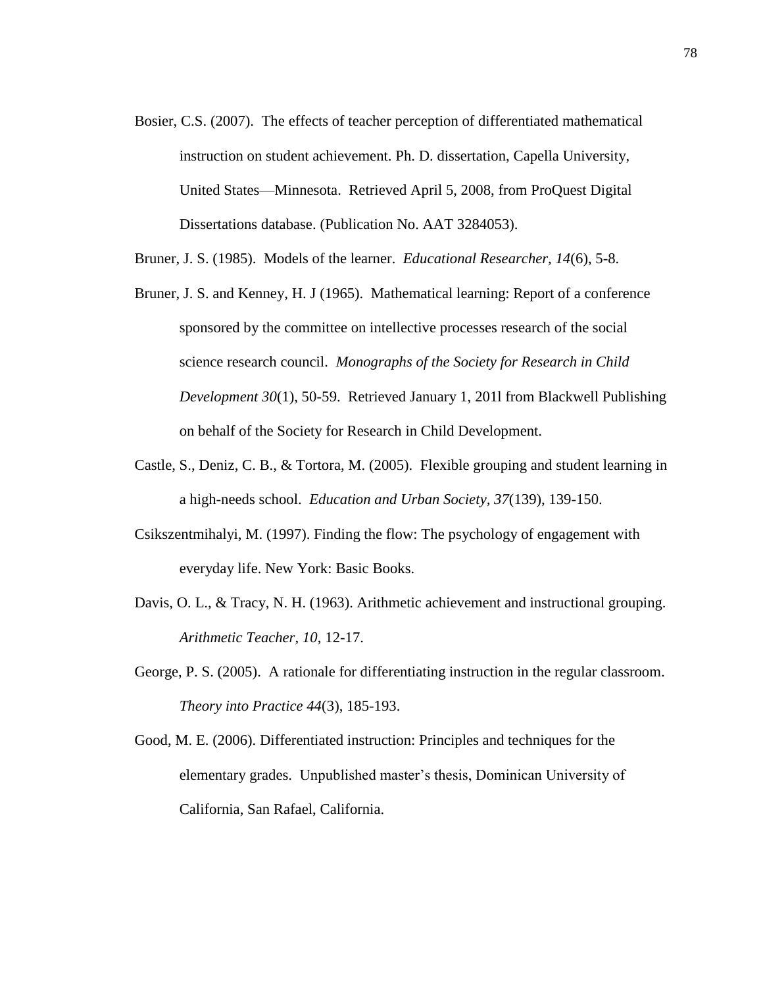- Bosier, C.S. (2007). The effects of teacher perception of differentiated mathematical instruction on student achievement. Ph. D. dissertation, Capella University, United States—Minnesota. Retrieved April 5, 2008, from ProQuest Digital Dissertations database. (Publication No. AAT 3284053).
- Bruner, J. S. (1985). Models of the learner. *Educational Researcher, 14*(6), 5-8.
- Bruner, J. S. and Kenney, H. J (1965). Mathematical learning: Report of a conference sponsored by the committee on intellective processes research of the social science research council. *Monographs of the Society for Research in Child Development 30*(1), 50-59. Retrieved January 1, 201l from Blackwell Publishing on behalf of the Society for Research in Child Development.
- Castle, S., Deniz, C. B., & Tortora, M. (2005). Flexible grouping and student learning in a high-needs school. *Education and Urban Society, 37*(139), 139-150.
- Csikszentmihalyi, M. (1997). Finding the flow: The psychology of engagement with everyday life. New York: Basic Books.
- Davis, O. L., & Tracy, N. H. (1963). Arithmetic achievement and instructional grouping. *Arithmetic Teacher, 10*, 12-17.
- George, P. S. (2005). A rationale for differentiating instruction in the regular classroom. *Theory into Practice 44*(3), 185-193.
- Good, M. E. (2006). Differentiated instruction: Principles and techniques for the elementary grades. Unpublished master's thesis, Dominican University of California, San Rafael, California.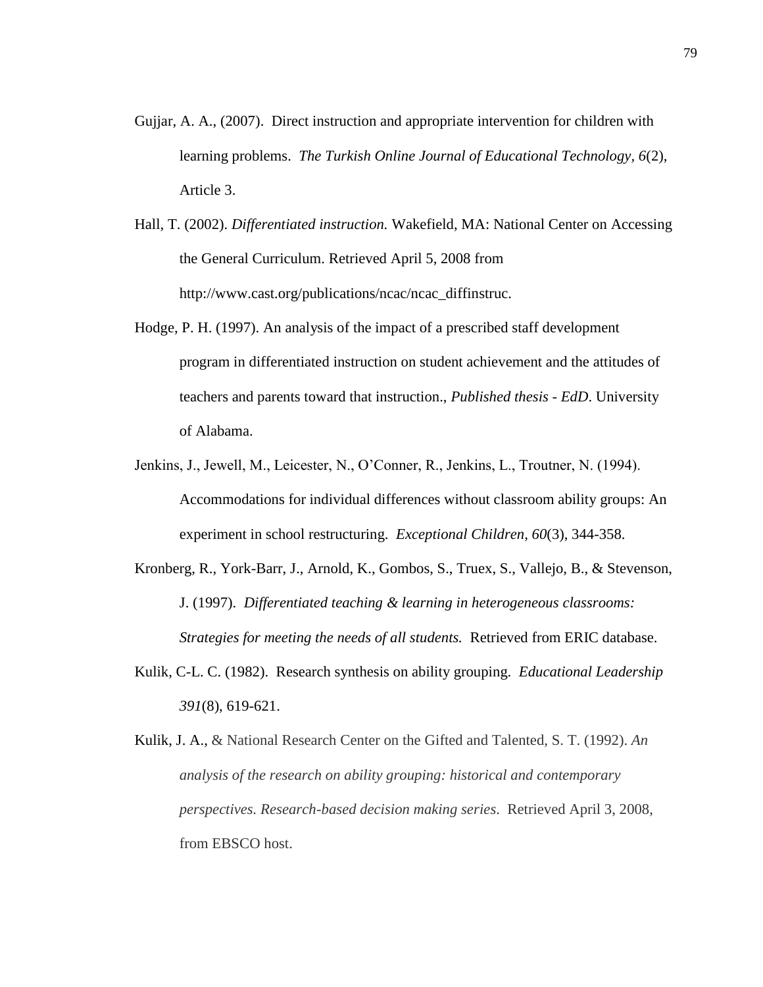- Gujjar, A. A., (2007). Direct instruction and appropriate intervention for children with learning problems. *The Turkish Online Journal of Educational Technology, 6*(2), Article 3.
- Hall, T. (2002). *Differentiated instruction.* Wakefield, MA: National Center on Accessing the General Curriculum. Retrieved April 5, 2008 from http://www.cast.org/publications/ncac/ncac\_diffinstruc.
- Hodge, P. H. (1997). An analysis of the impact of a prescribed staff development program in differentiated instruction on student achievement and the attitudes of teachers and parents toward that instruction., *Published thesis - EdD*. University of Alabama.
- Jenkins, J., Jewell, M., Leicester, N., O'Conner, R., Jenkins, L., Troutner, N. (1994). Accommodations for individual differences without classroom ability groups: An experiment in school restructuring. *Exceptional Children, 60*(3), 344-358.
- Kronberg, R., York-Barr, J., Arnold, K., Gombos, S., Truex, S., Vallejo, B., & Stevenson, J. (1997). *Differentiated teaching & learning in heterogeneous classrooms: Strategies for meeting the needs of all students.* Retrieved from ERIC database.
- Kulik, C-L. C. (1982). Research synthesis on ability grouping. *Educational Leadership 391*(8), 619-621.
- Kulik, J. A., & National Research Center on the Gifted and Talented, S. T. (1992). *An analysis of the research on ability grouping: historical and contemporary perspectives. Research-based decision making series*. Retrieved April 3, 2008, from EBSCO host.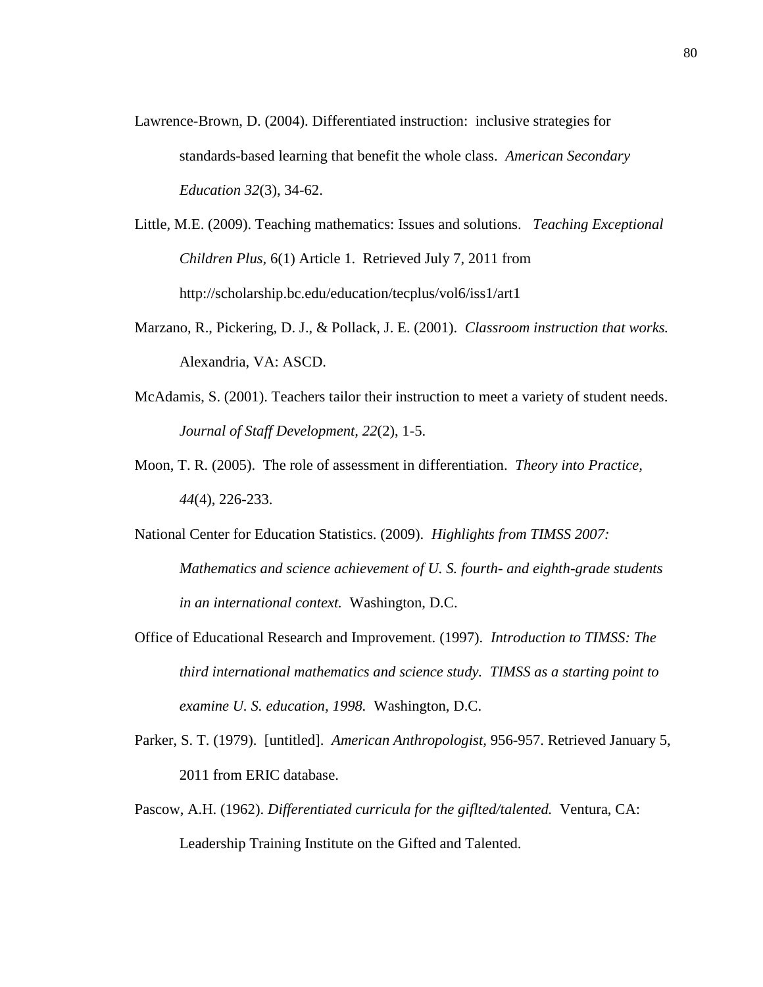- Lawrence-Brown, D. (2004). Differentiated instruction: inclusive strategies for standards-based learning that benefit the whole class. *American Secondary Education 32*(3), 34-62.
- Little, M.E. (2009). Teaching mathematics: Issues and solutions. *Teaching Exceptional Children Plus,* 6(1) Article 1. Retrieved July 7, 2011 from http://scholarship.bc.edu/education/tecplus/vol6/iss1/art1
- Marzano, R., Pickering, D. J., & Pollack, J. E. (2001). *Classroom instruction that works.*  Alexandria, VA: ASCD.
- McAdamis, S. (2001). Teachers tailor their instruction to meet a variety of student needs. *Journal of Staff Development, 22*(2), 1-5.
- Moon, T. R. (2005). The role of assessment in differentiation. *Theory into Practice, 44*(4), 226-233.
- National Center for Education Statistics. (2009). *Highlights from TIMSS 2007: Mathematics and science achievement of U. S. fourth- and eighth-grade students in an international context.* Washington, D.C.
- Office of Educational Research and Improvement. (1997). *Introduction to TIMSS: The third international mathematics and science study. TIMSS as a starting point to examine U. S. education, 1998.* Washington, D.C.
- Parker, S. T. (1979). [untitled]. *American Anthropologist,* 956-957. Retrieved January 5, 2011 from ERIC database.
- Pascow, A.H. (1962). *Differentiated curricula for the giflted/talented.* Ventura, CA: Leadership Training Institute on the Gifted and Talented.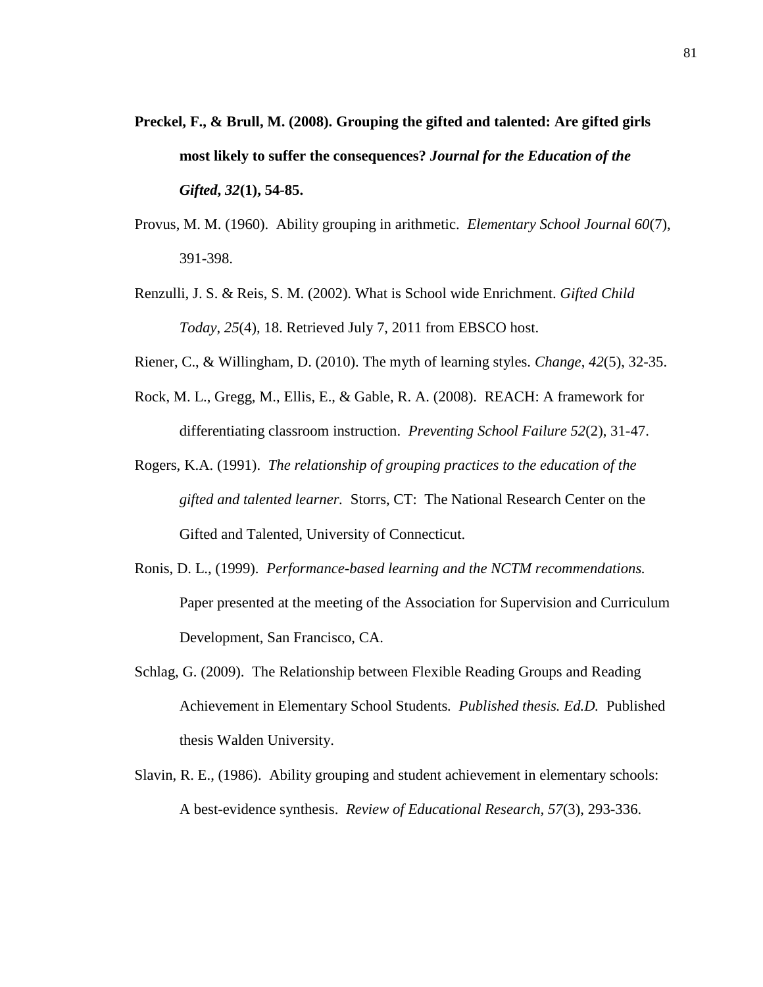- **Preckel, F., & Brull, M. (2008). Grouping the gifted and talented: Are gifted girls most likely to suffer the consequences?** *Journal for the Education of the Gifted***,** *32***(1), 54-85.**
- Provus, M. M. (1960). Ability grouping in arithmetic. *Elementary School Journal 60*(7), 391-398.
- Renzulli, J. S. & Reis, S. M. (2002). What is School wide Enrichment. *Gifted Child Today*, *25*(4), 18. Retrieved July 7, 2011 from EBSCO host.
- Riener, C., & Willingham, D. (2010). The myth of learning styles. *Change*, *42*(5), 32-35.
- Rock, M. L., Gregg, M., Ellis, E., & Gable, R. A. (2008). REACH: A framework for differentiating classroom instruction. *Preventing School Failure 52*(2), 31-47.
- Rogers, K.A. (1991). *The relationship of grouping practices to the education of the gifted and talented learner.* Storrs, CT: The National Research Center on the Gifted and Talented, University of Connecticut.
- Ronis, D. L., (1999). *Performance-based learning and the NCTM recommendations.* Paper presented at the meeting of the Association for Supervision and Curriculum Development, San Francisco, CA.
- Schlag, G. (2009). The Relationship between Flexible Reading Groups and Reading Achievement in Elementary School Students*. Published thesis. Ed.D.* Published thesis Walden University.
- Slavin, R. E., (1986). Ability grouping and student achievement in elementary schools: A best-evidence synthesis. *Review of Educational Research, 57*(3), 293-336.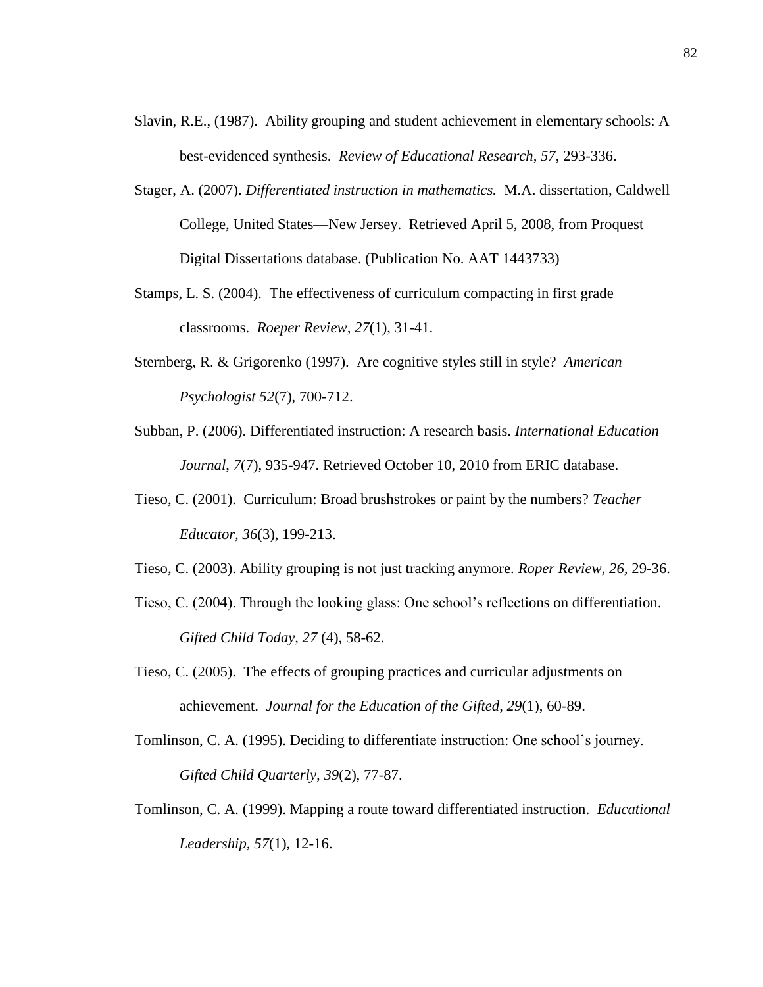- Slavin, R.E., (1987). Ability grouping and student achievement in elementary schools: A best-evidenced synthesis. *Review of Educational Research, 57*, 293-336.
- Stager, A. (2007). *Differentiated instruction in mathematics.* M.A. dissertation, Caldwell College, United States—New Jersey. Retrieved April 5, 2008, from Proquest Digital Dissertations database. (Publication No. AAT 1443733)
- Stamps, L. S. (2004). The effectiveness of curriculum compacting in first grade classrooms. *Roeper Review, 27*(1), 31-41.
- Sternberg, R. & Grigorenko (1997). Are cognitive styles still in style? *American Psychologist 52*(7), 700-712.
- Subban, P. (2006). Differentiated instruction: A research basis. *International Education Journal*, *7*(7), 935-947. Retrieved October 10, 2010 from ERIC database.
- Tieso, C. (2001). Curriculum: Broad brushstrokes or paint by the numbers? *Teacher Educator, 36*(3), 199-213.
- Tieso, C. (2003). Ability grouping is not just tracking anymore. *Roper Review, 26,* 29-36.
- Tieso, C. (2004). Through the looking glass: One school's reflections on differentiation. *Gifted Child Today, 27* (4), 58-62.
- Tieso, C. (2005). The effects of grouping practices and curricular adjustments on achievement. *Journal for the Education of the Gifted, 29*(1), 60-89.
- Tomlinson, C. A. (1995). Deciding to differentiate instruction: One school's journey. *Gifted Child Quarterly, 39*(2), 77-87.
- Tomlinson, C. A. (1999). Mapping a route toward differentiated instruction. *Educational Leadership, 57*(1), 12-16.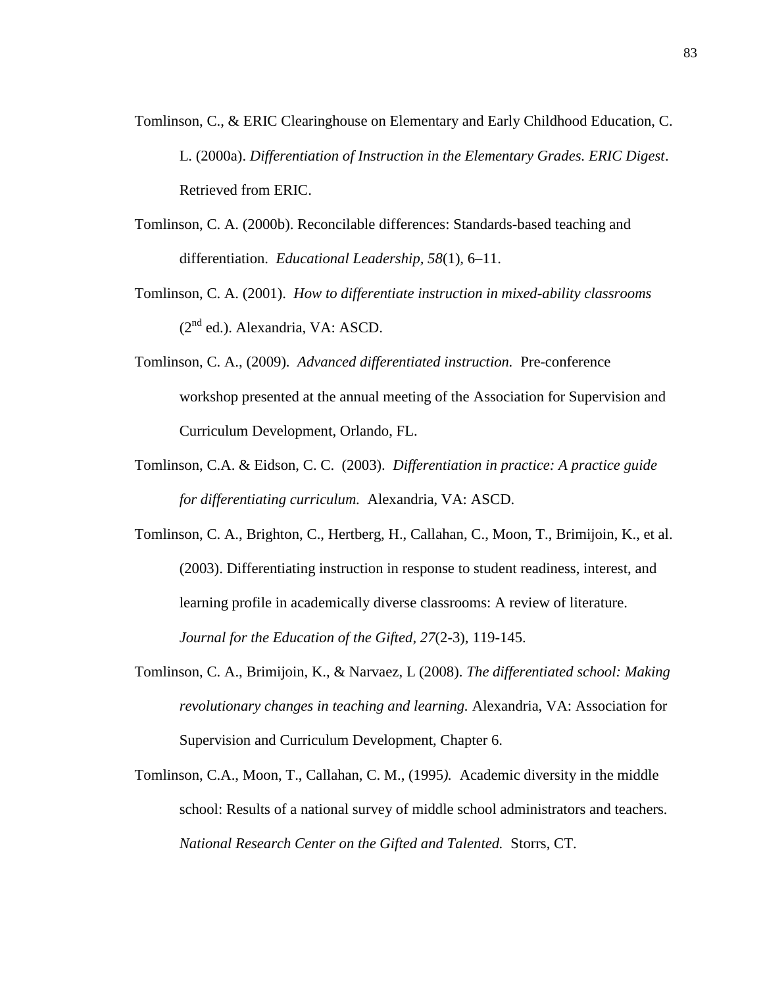- Tomlinson, C., & ERIC Clearinghouse on Elementary and Early Childhood Education, C. L. (2000a). *Differentiation of Instruction in the Elementary Grades. ERIC Digest*. Retrieved from ERIC.
- Tomlinson, C. A. (2000b). Reconcilable differences: Standards-based teaching and differentiation. *Educational Leadership, 58*(1)*,* 6–11.
- Tomlinson, C. A. (2001). *How to differentiate instruction in mixed-ability classrooms*  $(2<sup>nd</sup>$  ed.). Alexandria, VA: ASCD.
- Tomlinson, C. A., (2009). *Advanced differentiated instruction.* Pre-conference workshop presented at the annual meeting of the Association for Supervision and Curriculum Development, Orlando, FL.
- Tomlinson, C.A. & Eidson, C. C. (2003). *Differentiation in practice: A practice guide for differentiating curriculum.* Alexandria, VA: ASCD.
- Tomlinson, C. A., Brighton, C., Hertberg, H., Callahan, C., Moon, T., Brimijoin, K., et al. (2003). Differentiating instruction in response to student readiness, interest, and learning profile in academically diverse classrooms: A review of literature. *Journal for the Education of the Gifted*, *27*(2-3), 119-145.
- Tomlinson, C. A., Brimijoin, K., & Narvaez, L (2008). *The differentiated school: Making revolutionary changes in teaching and learning.* Alexandria, VA: Association for Supervision and Curriculum Development, Chapter 6.
- Tomlinson, C.A., Moon, T., Callahan, C. M., (1995*).* Academic diversity in the middle school: Results of a national survey of middle school administrators and teachers*. National Research Center on the Gifted and Talented.* Storrs, CT.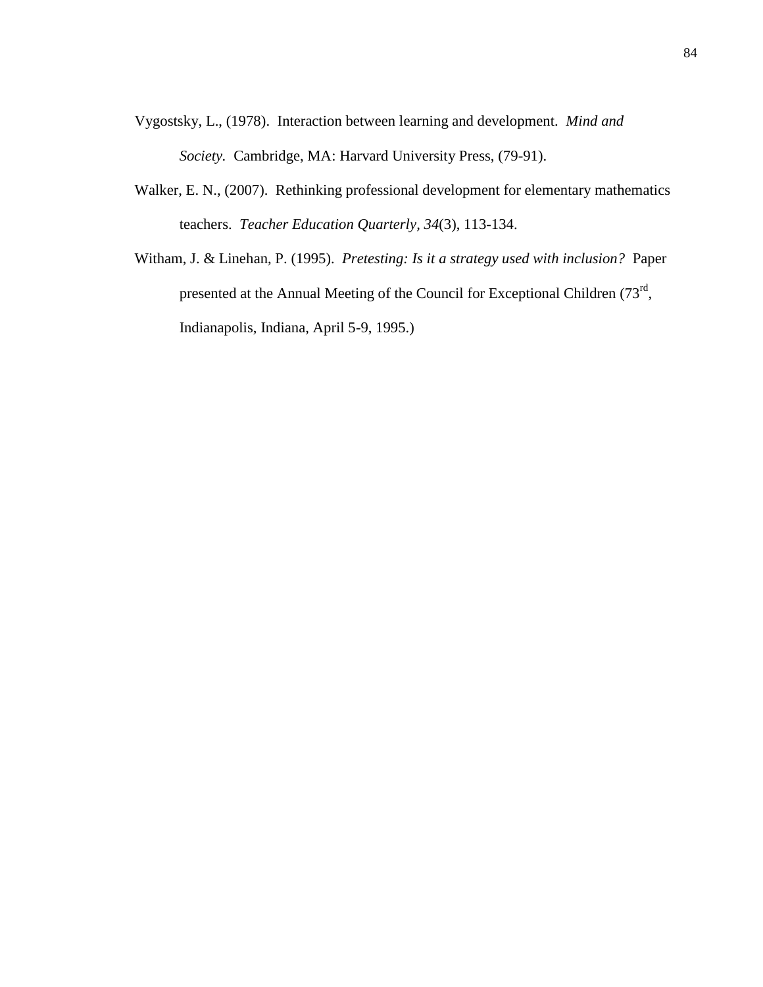- Vygostsky, L., (1978). Interaction between learning and development. *Mind and Society.* Cambridge, MA: Harvard University Press, (79-91).
- Walker, E. N., (2007). Rethinking professional development for elementary mathematics teachers. *Teacher Education Quarterly, 34*(3), 113-134.
- Witham, J. & Linehan, P. (1995). *Pretesting: Is it a strategy used with inclusion?* Paper presented at the Annual Meeting of the Council for Exceptional Children  $(73<sup>rd</sup>,$ Indianapolis, Indiana, April 5-9, 1995.)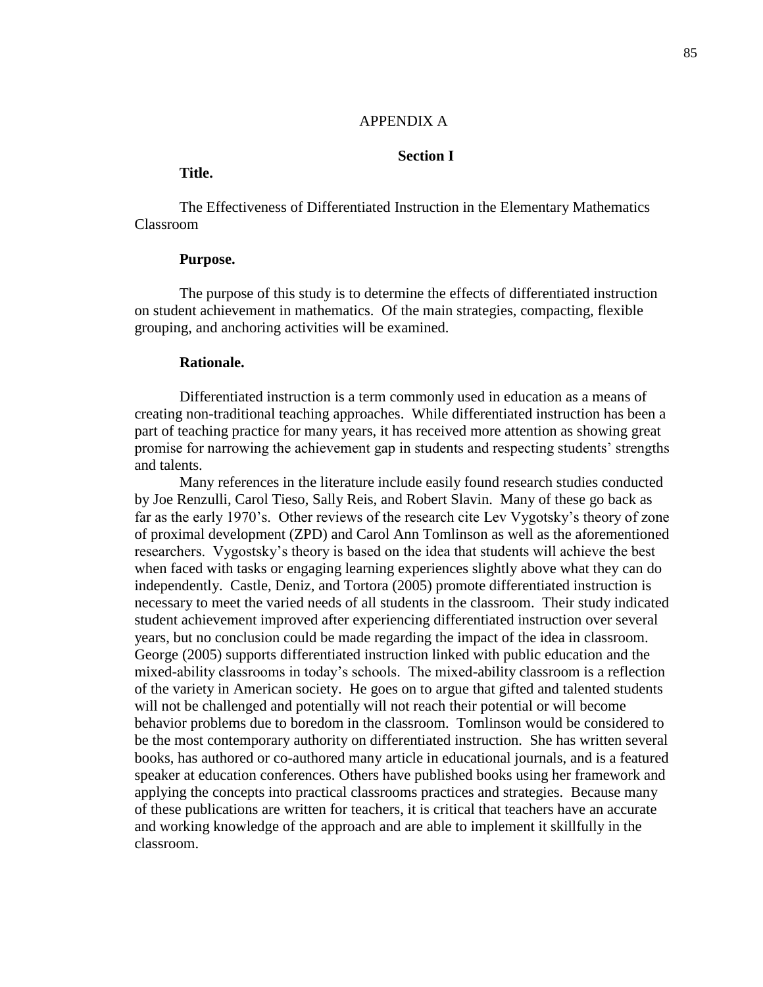#### APPENDIX A

## **Section I**

# **Title.**

The Effectiveness of Differentiated Instruction in the Elementary Mathematics Classroom

# **Purpose.**

The purpose of this study is to determine the effects of differentiated instruction on student achievement in mathematics. Of the main strategies, compacting, flexible grouping, and anchoring activities will be examined.

#### **Rationale.**

Differentiated instruction is a term commonly used in education as a means of creating non-traditional teaching approaches. While differentiated instruction has been a part of teaching practice for many years, it has received more attention as showing great promise for narrowing the achievement gap in students and respecting students' strengths and talents.

Many references in the literature include easily found research studies conducted by Joe Renzulli, Carol Tieso, Sally Reis, and Robert Slavin. Many of these go back as far as the early 1970's. Other reviews of the research cite Lev Vygotsky's theory of zone of proximal development (ZPD) and Carol Ann Tomlinson as well as the aforementioned researchers. Vygostsky's theory is based on the idea that students will achieve the best when faced with tasks or engaging learning experiences slightly above what they can do independently. Castle, Deniz, and Tortora (2005) promote differentiated instruction is necessary to meet the varied needs of all students in the classroom. Their study indicated student achievement improved after experiencing differentiated instruction over several years, but no conclusion could be made regarding the impact of the idea in classroom. George (2005) supports differentiated instruction linked with public education and the mixed-ability classrooms in today's schools. The mixed-ability classroom is a reflection of the variety in American society. He goes on to argue that gifted and talented students will not be challenged and potentially will not reach their potential or will become behavior problems due to boredom in the classroom. Tomlinson would be considered to be the most contemporary authority on differentiated instruction. She has written several books, has authored or co-authored many article in educational journals, and is a featured speaker at education conferences. Others have published books using her framework and applying the concepts into practical classrooms practices and strategies. Because many of these publications are written for teachers, it is critical that teachers have an accurate and working knowledge of the approach and are able to implement it skillfully in the classroom.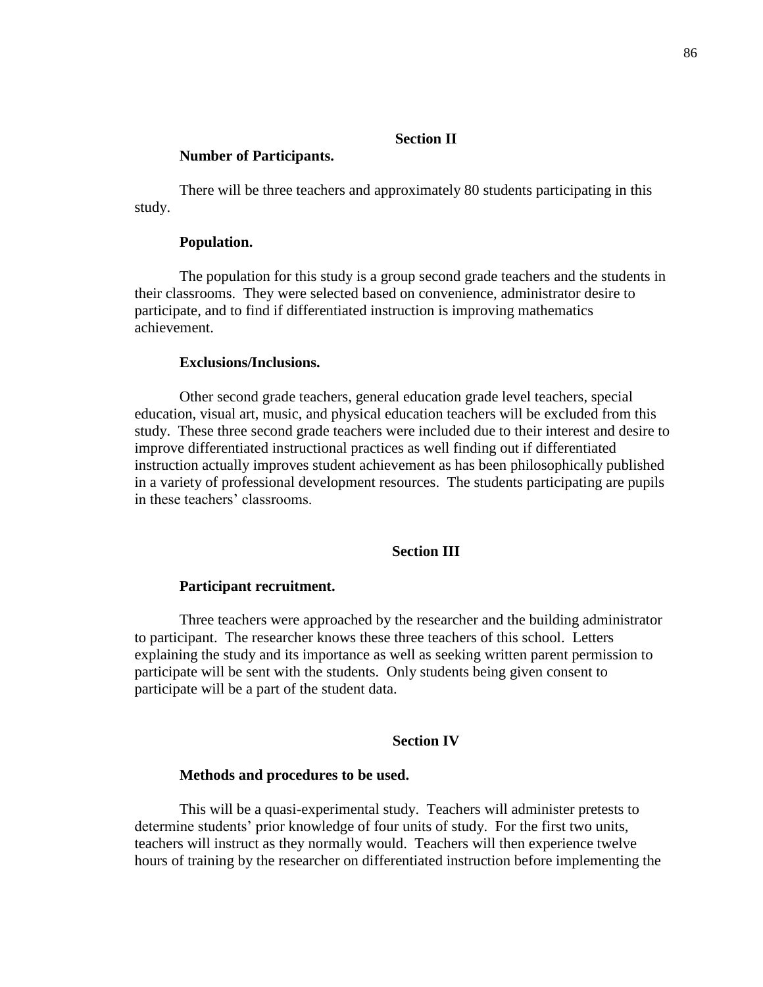# **Section II**

#### **Number of Participants.**

There will be three teachers and approximately 80 students participating in this study.

## **Population.**

The population for this study is a group second grade teachers and the students in their classrooms. They were selected based on convenience, administrator desire to participate, and to find if differentiated instruction is improving mathematics achievement.

#### **Exclusions/Inclusions.**

Other second grade teachers, general education grade level teachers, special education, visual art, music, and physical education teachers will be excluded from this study. These three second grade teachers were included due to their interest and desire to improve differentiated instructional practices as well finding out if differentiated instruction actually improves student achievement as has been philosophically published in a variety of professional development resources. The students participating are pupils in these teachers' classrooms.

## **Section III**

### **Participant recruitment.**

Three teachers were approached by the researcher and the building administrator to participant. The researcher knows these three teachers of this school. Letters explaining the study and its importance as well as seeking written parent permission to participate will be sent with the students. Only students being given consent to participate will be a part of the student data.

## **Section IV**

#### **Methods and procedures to be used.**

This will be a quasi-experimental study. Teachers will administer pretests to determine students' prior knowledge of four units of study. For the first two units, teachers will instruct as they normally would. Teachers will then experience twelve hours of training by the researcher on differentiated instruction before implementing the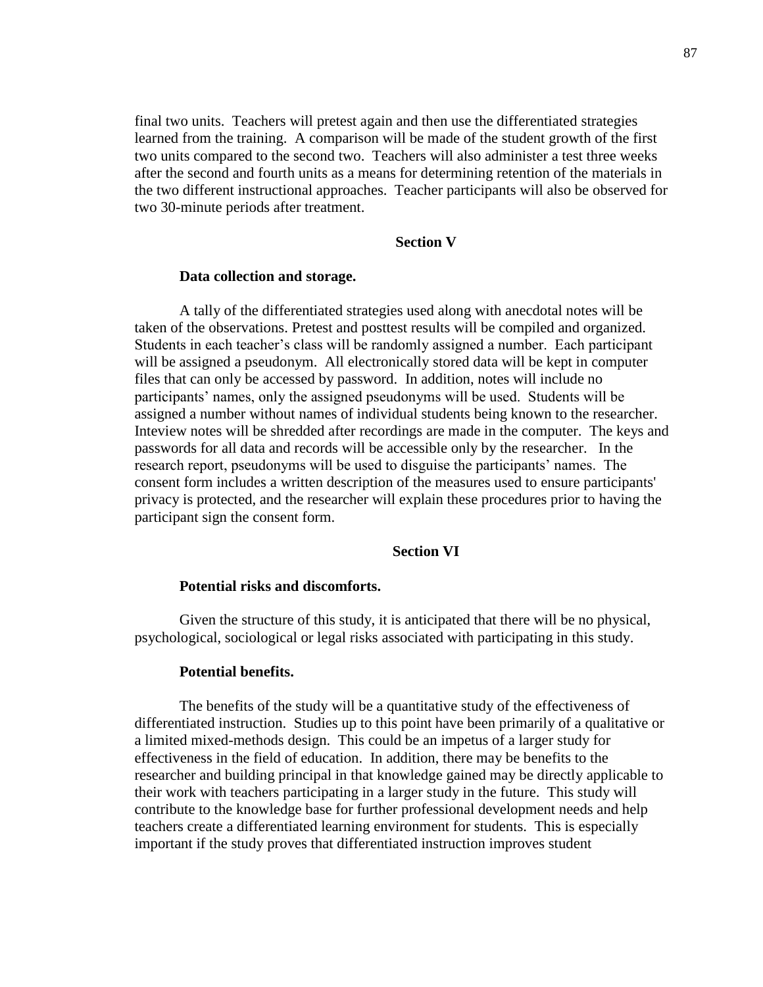final two units. Teachers will pretest again and then use the differentiated strategies learned from the training. A comparison will be made of the student growth of the first two units compared to the second two. Teachers will also administer a test three weeks after the second and fourth units as a means for determining retention of the materials in the two different instructional approaches. Teacher participants will also be observed for two 30-minute periods after treatment.

# **Section V**

#### **Data collection and storage.**

A tally of the differentiated strategies used along with anecdotal notes will be taken of the observations. Pretest and posttest results will be compiled and organized. Students in each teacher's class will be randomly assigned a number. Each participant will be assigned a pseudonym. All electronically stored data will be kept in computer files that can only be accessed by password. In addition, notes will include no participants' names, only the assigned pseudonyms will be used. Students will be assigned a number without names of individual students being known to the researcher. Inteview notes will be shredded after recordings are made in the computer. The keys and passwords for all data and records will be accessible only by the researcher. In the research report, pseudonyms will be used to disguise the participants' names. The consent form includes a written description of the measures used to ensure participants' privacy is protected, and the researcher will explain these procedures prior to having the participant sign the consent form.

## **Section VI**

# **Potential risks and discomforts.**

Given the structure of this study, it is anticipated that there will be no physical, psychological, sociological or legal risks associated with participating in this study.

#### **Potential benefits.**

The benefits of the study will be a quantitative study of the effectiveness of differentiated instruction. Studies up to this point have been primarily of a qualitative or a limited mixed-methods design. This could be an impetus of a larger study for effectiveness in the field of education. In addition, there may be benefits to the researcher and building principal in that knowledge gained may be directly applicable to their work with teachers participating in a larger study in the future. This study will contribute to the knowledge base for further professional development needs and help teachers create a differentiated learning environment for students. This is especially important if the study proves that differentiated instruction improves student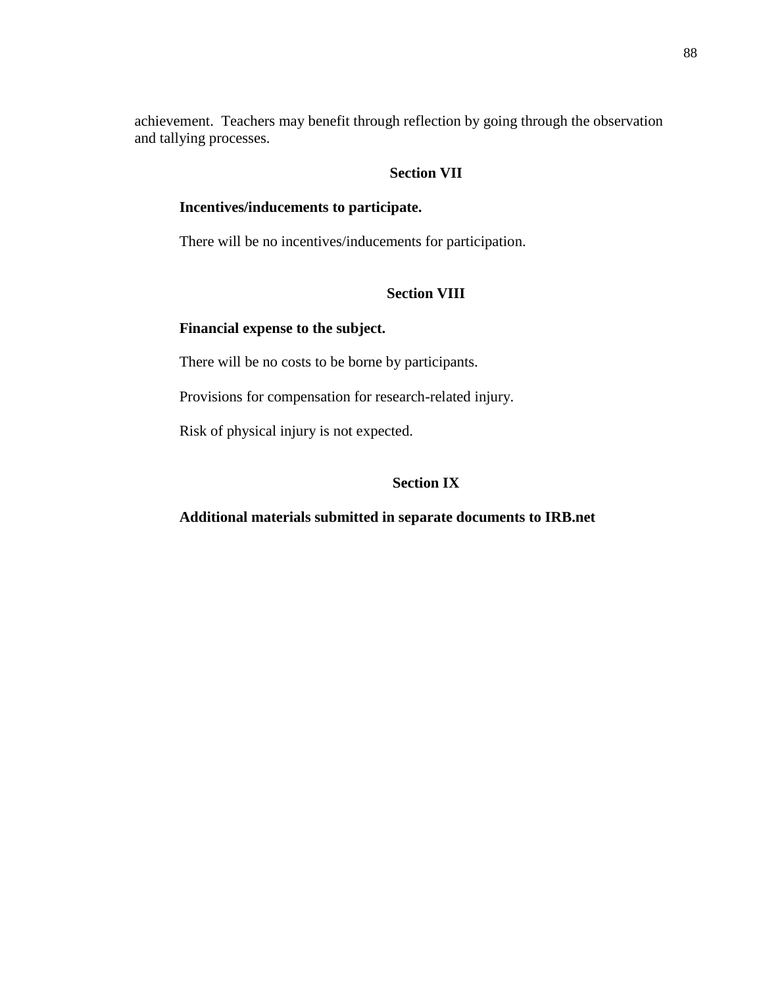achievement. Teachers may benefit through reflection by going through the observation and tallying processes.

# **Section VII**

# **Incentives/inducements to participate.**

There will be no incentives/inducements for participation.

# **Section VIII**

## **Financial expense to the subject.**

There will be no costs to be borne by participants.

Provisions for compensation for research-related injury.

Risk of physical injury is not expected.

# **Section IX**

**Additional materials submitted in separate documents to IRB.net**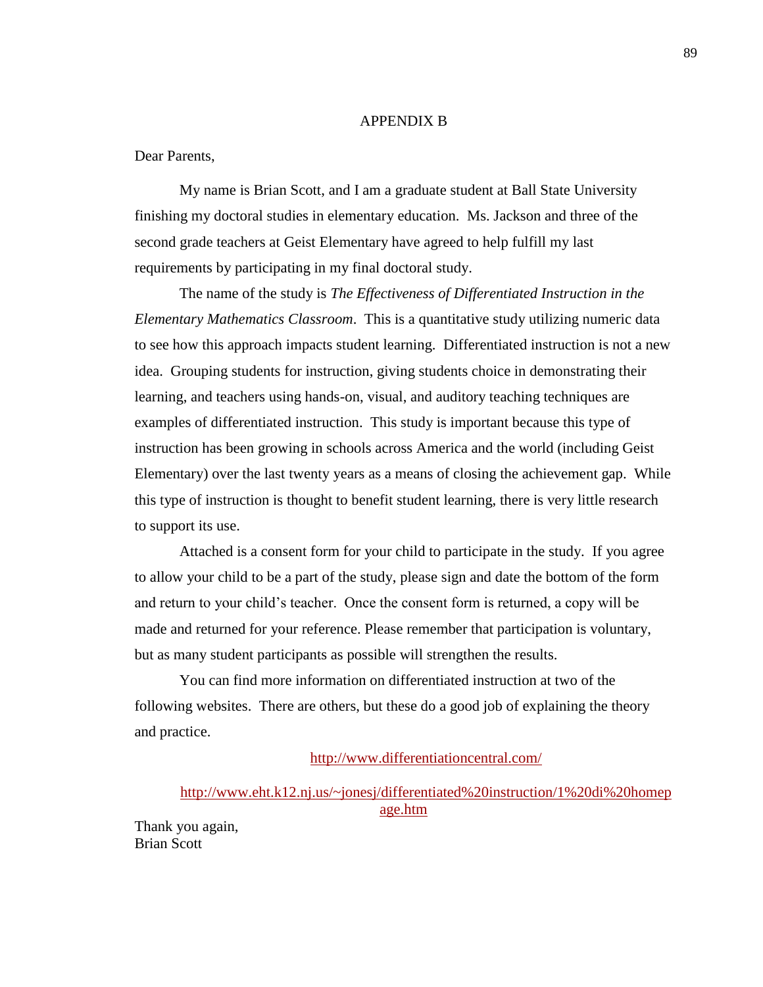#### APPENDIX B

#### Dear Parents,

My name is Brian Scott, and I am a graduate student at Ball State University finishing my doctoral studies in elementary education. Ms. Jackson and three of the second grade teachers at Geist Elementary have agreed to help fulfill my last requirements by participating in my final doctoral study.

The name of the study is *The Effectiveness of Differentiated Instruction in the Elementary Mathematics Classroom*. This is a quantitative study utilizing numeric data to see how this approach impacts student learning. Differentiated instruction is not a new idea. Grouping students for instruction, giving students choice in demonstrating their learning, and teachers using hands-on, visual, and auditory teaching techniques are examples of differentiated instruction. This study is important because this type of instruction has been growing in schools across America and the world (including Geist Elementary) over the last twenty years as a means of closing the achievement gap. While this type of instruction is thought to benefit student learning, there is very little research to support its use.

Attached is a consent form for your child to participate in the study. If you agree to allow your child to be a part of the study, please sign and date the bottom of the form and return to your child's teacher. Once the consent form is returned, a copy will be made and returned for your reference. Please remember that participation is voluntary, but as many student participants as possible will strengthen the results.

You can find more information on differentiated instruction at two of the following websites. There are others, but these do a good job of explaining the theory and practice.

# <http://www.differentiationcentral.com/>

[http://www.eht.k12.nj.us/~jonesj/differentiated%20instruction/1%20di%20homep](http://www.eht.k12.nj.us/~jonesj/differentiated%20instruction/1%20di%20homepage.htm) [age.htm](http://www.eht.k12.nj.us/~jonesj/differentiated%20instruction/1%20di%20homepage.htm)

Thank you again, Brian Scott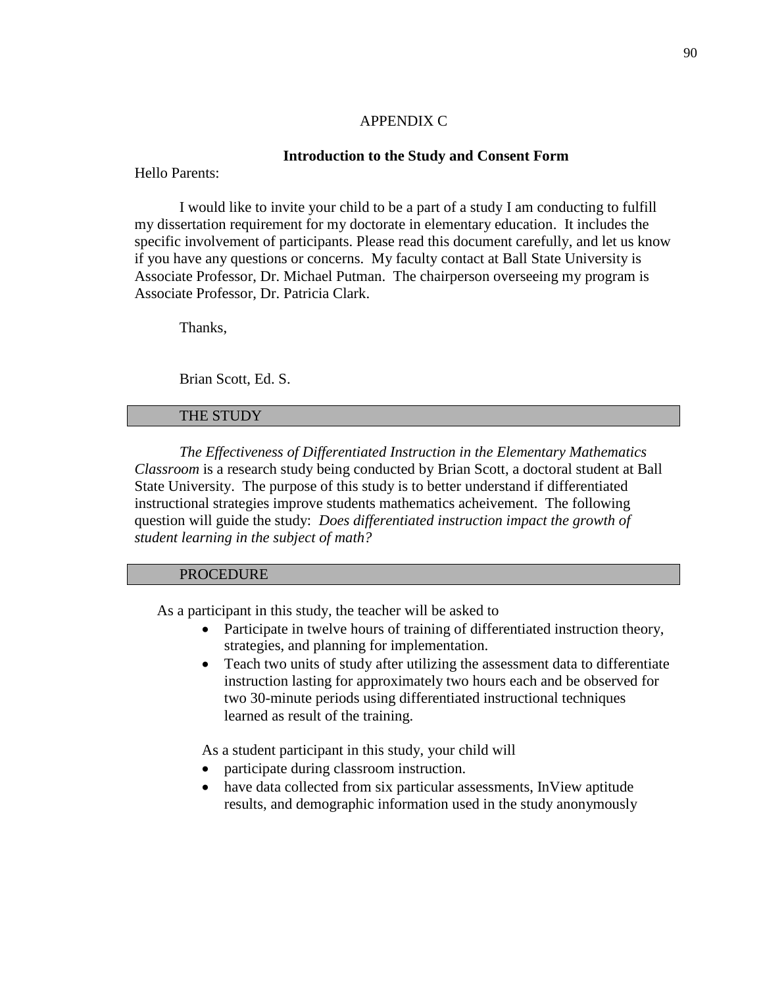## APPENDIX C

## **Introduction to the Study and Consent Form**

Hello Parents:

I would like to invite your child to be a part of a study I am conducting to fulfill my dissertation requirement for my doctorate in elementary education. It includes the specific involvement of participants. Please read this document carefully, and let us know if you have any questions or concerns. My faculty contact at Ball State University is Associate Professor, Dr. Michael Putman. The chairperson overseeing my program is Associate Professor, Dr. Patricia Clark.

Thanks,

Brian Scott, Ed. S.

## THE STUDY

*The Effectiveness of Differentiated Instruction in the Elementary Mathematics Classroom* is a research study being conducted by Brian Scott, a doctoral student at Ball State University. The purpose of this study is to better understand if differentiated instructional strategies improve students mathematics acheivement. The following question will guide the study: *Does differentiated instruction impact the growth of student learning in the subject of math?*

# PROCEDURE

As a participant in this study, the teacher will be asked to

- Participate in twelve hours of training of differentiated instruction theory, strategies, and planning for implementation.
- Teach two units of study after utilizing the assessment data to differentiate instruction lasting for approximately two hours each and be observed for two 30-minute periods using differentiated instructional techniques learned as result of the training.

As a student participant in this study, your child will

- participate during classroom instruction.
- have data collected from six particular assessments, InView aptitude results, and demographic information used in the study anonymously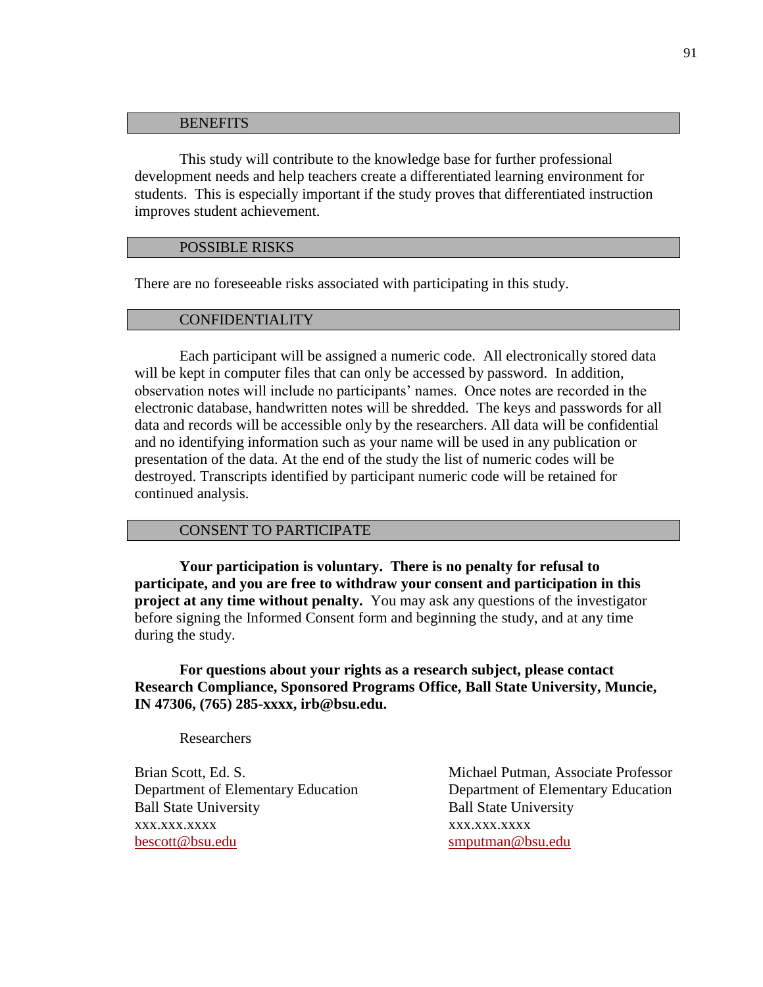#### **BENEFITS**

This study will contribute to the knowledge base for further professional development needs and help teachers create a differentiated learning environment for students. This is especially important if the study proves that differentiated instruction improves student achievement.

## POSSIBLE RISKS

There are no foreseeable risks associated with participating in this study.

#### CONFIDENTIALITY

Each participant will be assigned a numeric code. All electronically stored data will be kept in computer files that can only be accessed by password. In addition, observation notes will include no participants' names. Once notes are recorded in the electronic database, handwritten notes will be shredded. The keys and passwords for all data and records will be accessible only by the researchers. All data will be confidential and no identifying information such as your name will be used in any publication or presentation of the data. At the end of the study the list of numeric codes will be destroyed. Transcripts identified by participant numeric code will be retained for continued analysis.

### CONSENT TO PARTICIPATE

**Your participation is voluntary. There is no penalty for refusal to participate, and you are free to withdraw your consent and participation in this project at any time without penalty.** You may ask any questions of the investigator before signing the Informed Consent form and beginning the study, and at any time during the study.

**For questions about your rights as a research subject, please contact Research Compliance, Sponsored Programs Office, Ball State University, Muncie, IN 47306, (765) 285-xxxx, irb@bsu.edu.** 

Researchers

Ball State University Ball State University xxx.xxx.xxxx xxx.xxx.xxxx [bescott@bsu.edu](mailto:bescott@bsu.edu) [smputman@bsu.edu](mailto:smputman@bsu.edu)

Brian Scott, Ed. S. Michael Putman, Associate Professor Department of Elementary Education Department of Elementary Education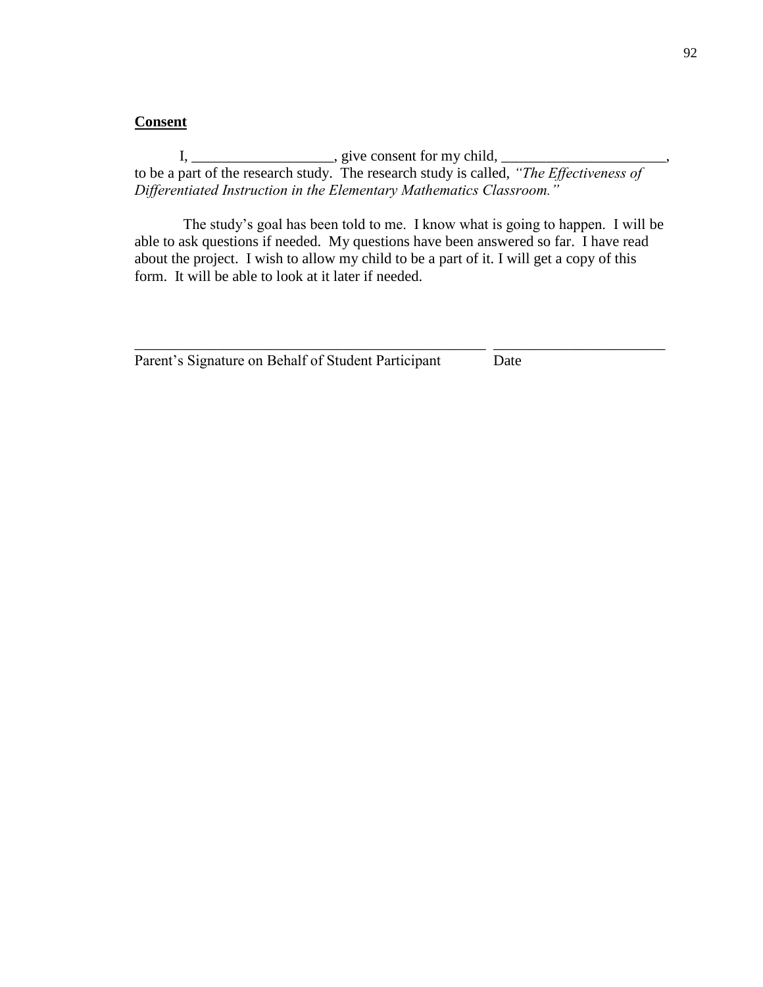# **Consent**

 $I, \underline{\hspace{2cm}}$  give consent for my child,  $\underline{\hspace{2cm}}$ to be a part of the research study. The research study is called, *"The Effectiveness of Differentiated Instruction in the Elementary Mathematics Classroom."*

The study's goal has been told to me. I know what is going to happen. I will be able to ask questions if needed. My questions have been answered so far. I have read about the project. I wish to allow my child to be a part of it. I will get a copy of this form. It will be able to look at it later if needed.

\_\_\_\_\_\_\_\_\_\_\_\_\_\_\_\_\_\_\_\_\_\_\_\_\_\_\_\_\_\_\_\_\_\_\_\_\_\_\_\_\_\_\_\_\_\_\_ \_\_\_\_\_\_\_\_\_\_\_\_\_\_\_\_\_\_\_\_\_\_\_

Parent's Signature on Behalf of Student Participant Date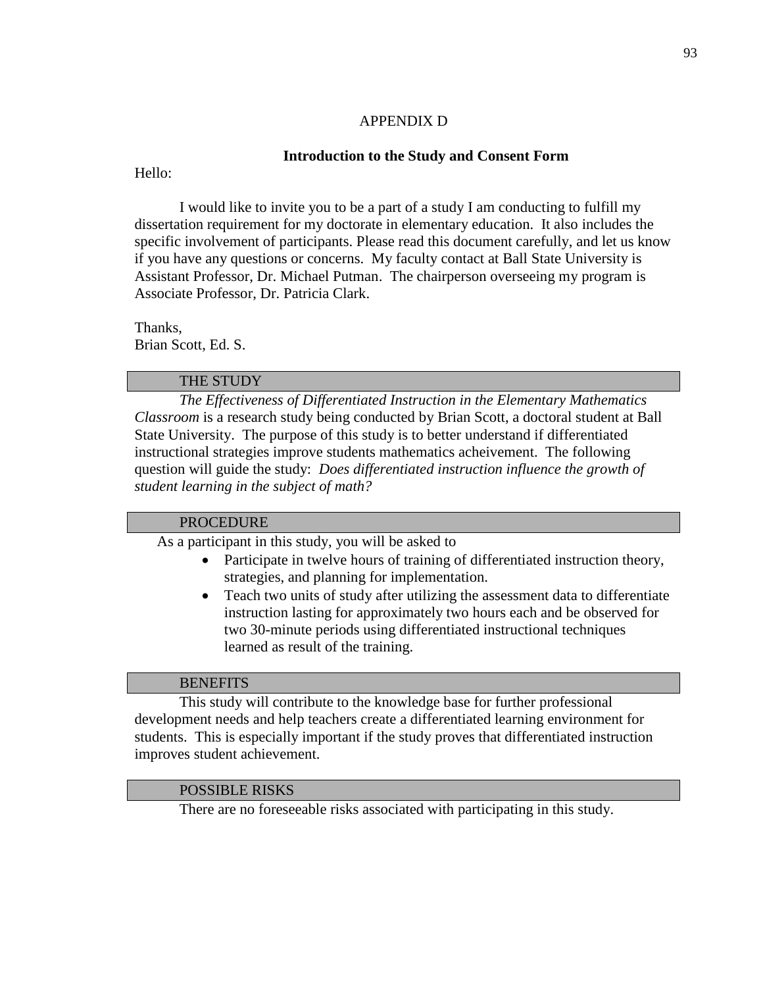# APPENDIX D

# **Introduction to the Study and Consent Form**

Hello:

I would like to invite you to be a part of a study I am conducting to fulfill my dissertation requirement for my doctorate in elementary education. It also includes the specific involvement of participants. Please read this document carefully, and let us know if you have any questions or concerns. My faculty contact at Ball State University is Assistant Professor, Dr. Michael Putman. The chairperson overseeing my program is Associate Professor, Dr. Patricia Clark.

Thanks, Brian Scott, Ed. S.

# THE STUDY

*The Effectiveness of Differentiated Instruction in the Elementary Mathematics Classroom* is a research study being conducted by Brian Scott, a doctoral student at Ball State University. The purpose of this study is to better understand if differentiated instructional strategies improve students mathematics acheivement. The following question will guide the study: *Does differentiated instruction influence the growth of student learning in the subject of math?*

# **PROCEDURE**

As a participant in this study, you will be asked to

- Participate in twelve hours of training of differentiated instruction theory, strategies, and planning for implementation.
- Teach two units of study after utilizing the assessment data to differentiate instruction lasting for approximately two hours each and be observed for two 30-minute periods using differentiated instructional techniques learned as result of the training.

## **BENEFITS**

This study will contribute to the knowledge base for further professional development needs and help teachers create a differentiated learning environment for students. This is especially important if the study proves that differentiated instruction improves student achievement.

# POSSIBLE RISKS

There are no foreseeable risks associated with participating in this study.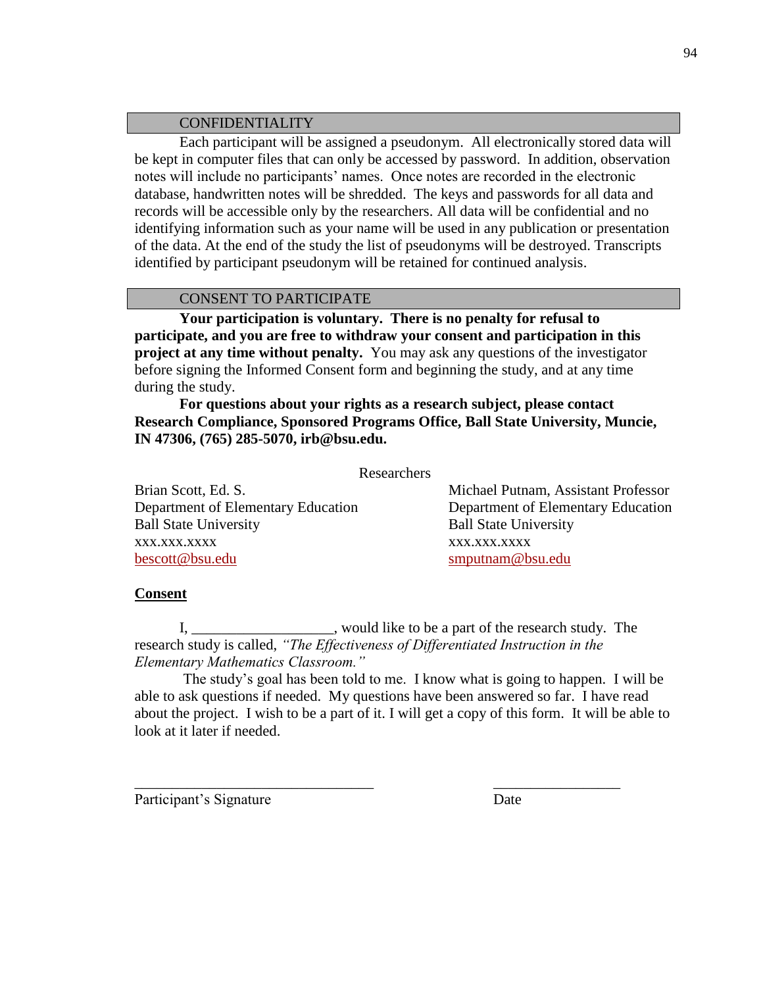# CONFIDENTIALITY

Each participant will be assigned a pseudonym. All electronically stored data will be kept in computer files that can only be accessed by password. In addition, observation notes will include no participants' names. Once notes are recorded in the electronic database, handwritten notes will be shredded. The keys and passwords for all data and records will be accessible only by the researchers. All data will be confidential and no identifying information such as your name will be used in any publication or presentation of the data. At the end of the study the list of pseudonyms will be destroyed. Transcripts identified by participant pseudonym will be retained for continued analysis.

# CONSENT TO PARTICIPATE

**Your participation is voluntary. There is no penalty for refusal to participate, and you are free to withdraw your consent and participation in this project at any time without penalty.** You may ask any questions of the investigator before signing the Informed Consent form and beginning the study, and at any time during the study.

**For questions about your rights as a research subject, please contact Research Compliance, Sponsored Programs Office, Ball State University, Muncie, IN 47306, (765) 285-5070, irb@bsu.edu.** 

Researchers

Brian Scott, Ed. S. Michael Putnam, Assistant Professor Department of Elementary Education Department of Elementary Education Ball State University Ball State University xxx.xxx.xxxx xxx.xxx.xxxx [bescott@bsu.edu](mailto:bescott@bsu.edu) [smputnam@bsu.edu](mailto:smputnam@bsu.edu)

# **Consent**

I, would like to be a part of the research study. The research study is called, *"The Effectiveness of Differentiated Instruction in the Elementary Mathematics Classroom."*

\_\_\_\_\_\_\_\_\_\_\_\_\_\_\_\_\_\_\_\_\_\_\_\_\_\_\_\_\_\_\_\_ \_\_\_\_\_\_\_\_\_\_\_\_\_\_\_\_\_

The study's goal has been told to me. I know what is going to happen. I will be able to ask questions if needed. My questions have been answered so far. I have read about the project. I wish to be a part of it. I will get a copy of this form. It will be able to look at it later if needed.

Participant's Signature Date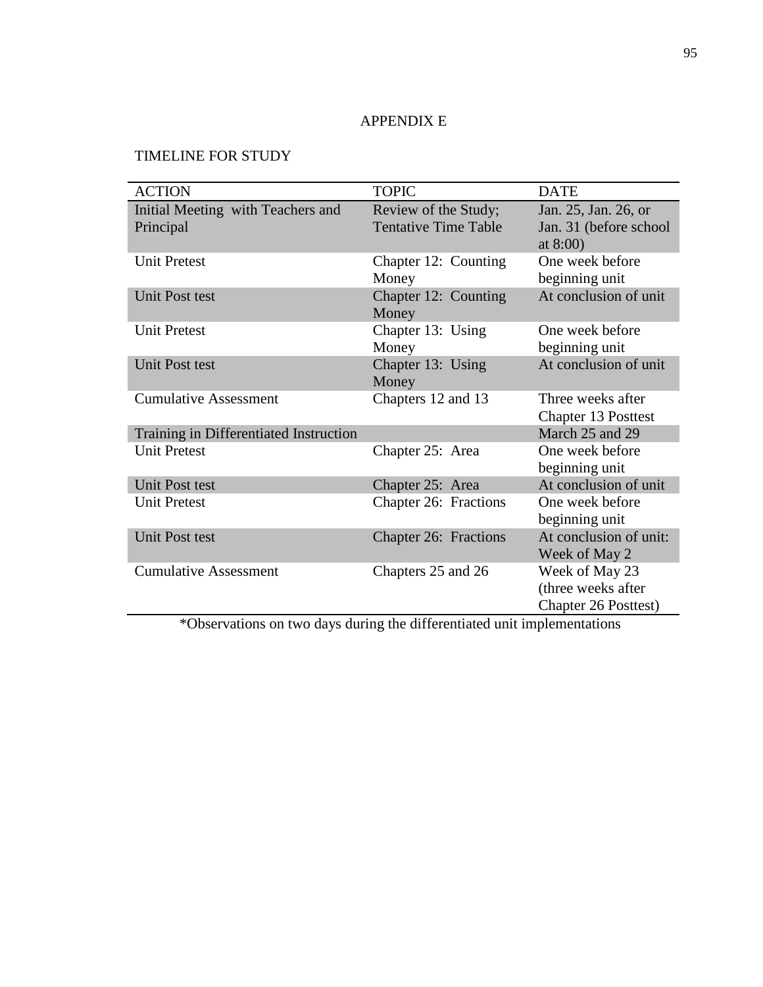# APPENDIX E

# TIMELINE FOR STUDY

| <b>ACTION</b>                                  | <b>TOPIC</b>                                        | <b>DATE</b>                                                         |
|------------------------------------------------|-----------------------------------------------------|---------------------------------------------------------------------|
| Initial Meeting with Teachers and<br>Principal | Review of the Study;<br><b>Tentative Time Table</b> | Jan. 25, Jan. 26, or<br>Jan. 31 (before school<br>at $8:00$ )       |
| <b>Unit Pretest</b>                            | Chapter 12: Counting<br>Money                       | One week before<br>beginning unit                                   |
| <b>Unit Post test</b>                          | Chapter 12: Counting<br>Money                       | At conclusion of unit                                               |
| <b>Unit Pretest</b>                            | Chapter 13: Using<br>Money                          | One week before<br>beginning unit                                   |
| <b>Unit Post test</b>                          | Chapter 13: Using<br>Money                          | At conclusion of unit                                               |
| <b>Cumulative Assessment</b>                   | Chapters 12 and 13                                  | Three weeks after<br><b>Chapter 13 Posttest</b>                     |
| Training in Differentiated Instruction         |                                                     | March 25 and 29                                                     |
| <b>Unit Pretest</b>                            | Chapter 25: Area                                    | One week before<br>beginning unit                                   |
| Unit Post test                                 | Chapter 25: Area                                    | At conclusion of unit                                               |
| <b>Unit Pretest</b>                            | Chapter 26: Fractions                               | One week before<br>beginning unit                                   |
| <b>Unit Post test</b>                          | <b>Chapter 26: Fractions</b>                        | At conclusion of unit:<br>Week of May 2                             |
| <b>Cumulative Assessment</b>                   | Chapters 25 and 26                                  | Week of May 23<br>(three weeks after<br><b>Chapter 26 Posttest)</b> |

\*Observations on two days during the differentiated unit implementations